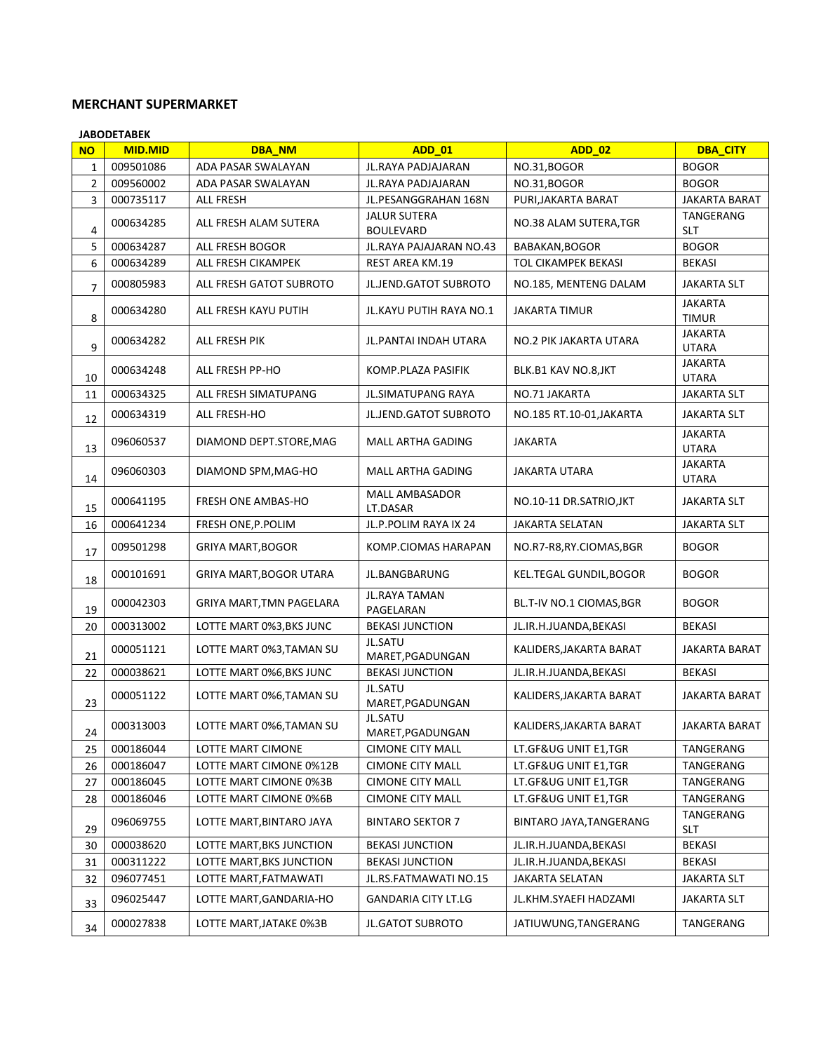## **MERCHANT SUPERMARKET**

|                | <b>JABODETABEK</b> |                                |                                         |                          |                                |
|----------------|--------------------|--------------------------------|-----------------------------------------|--------------------------|--------------------------------|
| <b>NO</b>      | <b>MID.MID</b>     | <b>DBA_NM</b>                  | <b>ADD_01</b>                           | <b>ADD_02</b>            | <b>DBA_CITY</b>                |
| 1              | 009501086          | <b>ADA PASAR SWALAYAN</b>      | JL.RAYA PADJAJARAN                      | NO.31, BOGOR             | <b>BOGOR</b>                   |
| $\overline{2}$ | 009560002          | ADA PASAR SWALAYAN             | JL.RAYA PADJAJARAN                      | NO.31, BOGOR             | <b>BOGOR</b>                   |
| 3              | 000735117          | <b>ALL FRESH</b>               | JL.PESANGGRAHAN 168N                    | PURI, JAKARTA BARAT      | <b>JAKARTA BARAT</b>           |
| 4              | 000634285          | ALL FRESH ALAM SUTERA          | <b>JALUR SUTERA</b><br><b>BOULEVARD</b> | NO.38 ALAM SUTERA, TGR   | TANGERANG<br><b>SLT</b>        |
| 5              | 000634287          | ALL FRESH BOGOR                | JL.RAYA PAJAJARAN NO.43                 | BABAKAN, BOGOR           | <b>BOGOR</b>                   |
| 6              | 000634289          | ALL FRESH CIKAMPEK             | <b>REST AREA KM.19</b>                  | TOL CIKAMPEK BEKASI      | <b>BEKASI</b>                  |
| $\overline{7}$ | 000805983          | ALL FRESH GATOT SUBROTO        | JL.JEND.GATOT SUBROTO                   | NO.185, MENTENG DALAM    | <b>JAKARTA SLT</b>             |
| 8              | 000634280          | ALL FRESH KAYU PUTIH           | <b>JL.KAYU PUTIH RAYA NO.1</b>          | <b>JAKARTA TIMUR</b>     | <b>JAKARTA</b><br><b>TIMUR</b> |
| 9              | 000634282          | ALL FRESH PIK                  | JL.PANTAI INDAH UTARA                   | NO.2 PIK JAKARTA UTARA   | <b>JAKARTA</b><br><b>UTARA</b> |
| 10             | 000634248          | ALL FRESH PP-HO                | KOMP.PLAZA PASIFIK                      | BLK.B1 KAV NO.8,JKT      | JAKARTA<br><b>UTARA</b>        |
| 11             | 000634325          | ALL FRESH SIMATUPANG           | <b>JL.SIMATUPANG RAYA</b>               | NO.71 JAKARTA            | <b>JAKARTA SLT</b>             |
| 12             | 000634319          | ALL FRESH-HO                   | JL.JEND.GATOT SUBROTO                   | NO.185 RT.10-01, JAKARTA | <b>JAKARTA SLT</b>             |
| 13             | 096060537          | DIAMOND DEPT.STORE, MAG        | MALL ARTHA GADING                       | JAKARTA                  | <b>JAKARTA</b><br><b>UTARA</b> |
| 14             | 096060303          | DIAMOND SPM, MAG-HO            | <b>MALL ARTHA GADING</b>                | JAKARTA UTARA            | JAKARTA<br><b>UTARA</b>        |
| 15             | 000641195          | <b>FRESH ONE AMBAS-HO</b>      | MALL AMBASADOR<br>LT.DASAR              | NO.10-11 DR.SATRIO, JKT  | <b>JAKARTA SLT</b>             |
| 16             | 000641234          | FRESH ONE, P. POLIM            | JL.P.POLIM RAYA IX 24                   | <b>JAKARTA SELATAN</b>   | <b>JAKARTA SLT</b>             |
| 17             | 009501298          | <b>GRIYA MART, BOGOR</b>       | KOMP.CIOMAS HARAPAN                     | NO.R7-R8,RY.CIOMAS,BGR   | <b>BOGOR</b>                   |
| 18             | 000101691          | <b>GRIYA MART, BOGOR UTARA</b> | JL.BANGBARUNG                           | KEL.TEGAL GUNDIL, BOGOR  | <b>BOGOR</b>                   |
| 19             | 000042303          | GRIYA MART, TMN PAGELARA       | JL.RAYA TAMAN<br>PAGELARAN              | BL.T-IV NO.1 CIOMAS, BGR | <b>BOGOR</b>                   |
| 20             | 000313002          | LOTTE MART 0%3, BKS JUNC       | <b>BEKASI JUNCTION</b>                  | JL.IR.H.JUANDA,BEKASI    | <b>BEKASI</b>                  |
| 21             | 000051121          | LOTTE MART 0%3, TAMAN SU       | JL.SATU<br>MARET, PGADUNGAN             | KALIDERS, JAKARTA BARAT  | JAKARTA BARAT                  |
| 22             | 000038621          | LOTTE MART 0%6, BKS JUNC       | <b>BEKASI JUNCTION</b>                  | JL.IR.H.JUANDA, BEKASI   | <b>BEKASI</b>                  |
| 23             | 000051122          | LOTTE MART 0%6, TAMAN SU       | JL.SATU<br>MARET, PGADUNGAN             | KALIDERS, JAKARTA BARAT  | JAKARTA BARAT                  |
| 24             | 000313003          | LOTTE MART 0%6, TAMAN SU       | JL.SATU<br>MARET, PGADUNGAN             | KALIDERS, JAKARTA BARAT  | JAKARTA BARAT                  |
| 25             | 000186044          | LOTTE MART CIMONE              | <b>CIMONE CITY MALL</b>                 | LT.GF&UG UNIT E1,TGR     | TANGERANG                      |
| 26             | 000186047          | LOTTE MART CIMONE 0%12B        | <b>CIMONE CITY MALL</b>                 | LT.GF&UG UNIT E1,TGR     | TANGERANG                      |
| 27             | 000186045          | LOTTE MART CIMONE 0%3B         | <b>CIMONE CITY MALL</b>                 | LT.GF&UG UNIT E1,TGR     | TANGERANG                      |
| 28             | 000186046          | LOTTE MART CIMONE 0%6B         | <b>CIMONE CITY MALL</b>                 | LT.GF&UG UNIT E1,TGR     | TANGERANG                      |
| 29             | 096069755          | LOTTE MART, BINTARO JAYA       | <b>BINTARO SEKTOR 7</b>                 | BINTARO JAYA, TANGERANG  | TANGERANG<br><b>SLT</b>        |
| 30             | 000038620          | LOTTE MART, BKS JUNCTION       | <b>BEKASI JUNCTION</b>                  | JL.IR.H.JUANDA, BEKASI   | <b>BEKASI</b>                  |
| 31             | 000311222          | LOTTE MART, BKS JUNCTION       | <b>BEKASI JUNCTION</b>                  | JL.IR.H.JUANDA, BEKASI   | <b>BEKASI</b>                  |
| 32             | 096077451          | LOTTE MART, FATMAWATI          | JL.RS.FATMAWATI NO.15                   | JAKARTA SELATAN          | <b>JAKARTA SLT</b>             |
| 33             | 096025447          | LOTTE MART, GANDARIA-HO        | <b>GANDARIA CITY LT.LG</b>              | JL.KHM.SYAEFI HADZAMI    | <b>JAKARTA SLT</b>             |
| 34             | 000027838          | LOTTE MART, JATAKE 0%3B        | <b>JL.GATOT SUBROTO</b>                 | JATIUWUNG, TANGERANG     | TANGERANG                      |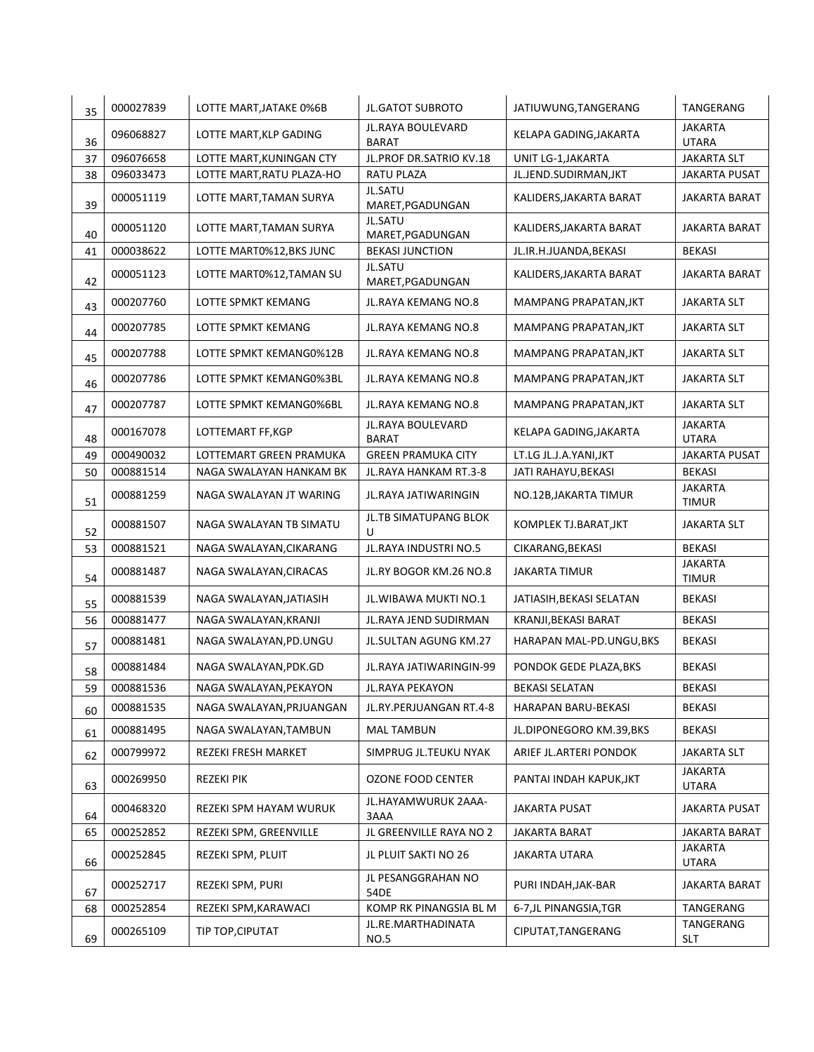| 35 | 000027839 | LOTTE MART, JATAKE 0%6B   | <b>JL.GATOT SUBROTO</b>            | JATIUWUNG, TANGERANG     | TANGERANG                      |
|----|-----------|---------------------------|------------------------------------|--------------------------|--------------------------------|
| 36 | 096068827 | LOTTE MART, KLP GADING    | JL.RAYA BOULEVARD<br><b>BARAT</b>  | KELAPA GADING, JAKARTA   | <b>JAKARTA</b><br><b>UTARA</b> |
| 37 | 096076658 | LOTTE MART, KUNINGAN CTY  | JL.PROF DR.SATRIO KV.18            | UNIT LG-1, JAKARTA       | <b>JAKARTA SLT</b>             |
| 38 | 096033473 | LOTTE MART, RATU PLAZA-HO | <b>RATU PLAZA</b>                  | JL.JEND.SUDIRMAN, JKT    | JAKARTA PUSAT                  |
| 39 | 000051119 | LOTTE MART, TAMAN SURYA   | <b>JL.SATU</b><br>MARET, PGADUNGAN | KALIDERS, JAKARTA BARAT  | <b>JAKARTA BARAT</b>           |
| 40 | 000051120 | LOTTE MART, TAMAN SURYA   | <b>JL.SATU</b><br>MARET, PGADUNGAN | KALIDERS, JAKARTA BARAT  | JAKARTA BARAT                  |
| 41 | 000038622 | LOTTE MART0%12, BKS JUNC  | <b>BEKASI JUNCTION</b>             | JL.IR.H.JUANDA, BEKASI   | <b>BEKASI</b>                  |
| 42 | 000051123 | LOTTE MART0%12, TAMAN SU  | <b>JL.SATU</b><br>MARET, PGADUNGAN | KALIDERS, JAKARTA BARAT  | <b>JAKARTA BARAT</b>           |
| 43 | 000207760 | LOTTE SPMKT KEMANG        | JL.RAYA KEMANG NO.8                | MAMPANG PRAPATAN, JKT    | <b>JAKARTA SLT</b>             |
| 44 | 000207785 | LOTTE SPMKT KEMANG        | JL.RAYA KEMANG NO.8                | MAMPANG PRAPATAN, JKT    | JAKARTA SLT                    |
| 45 | 000207788 | LOTTE SPMKT KEMANG0%12B   | JL.RAYA KEMANG NO.8                | MAMPANG PRAPATAN, JKT    | <b>JAKARTA SLT</b>             |
| 46 | 000207786 | LOTTE SPMKT KEMANG0%3BL   | JL.RAYA KEMANG NO.8                | MAMPANG PRAPATAN, JKT    | <b>JAKARTA SLT</b>             |
| 47 | 000207787 | LOTTE SPMKT KEMANG0%6BL   | JL.RAYA KEMANG NO.8                | MAMPANG PRAPATAN, JKT    | <b>JAKARTA SLT</b>             |
| 48 | 000167078 | LOTTEMART FF, KGP         | JL.RAYA BOULEVARD<br><b>BARAT</b>  | KELAPA GADING, JAKARTA   | <b>JAKARTA</b><br><b>UTARA</b> |
| 49 | 000490032 | LOTTEMART GREEN PRAMUKA   | <b>GREEN PRAMUKA CITY</b>          | LT.LG JL.J.A.YANI,JKT    | <b>JAKARTA PUSAT</b>           |
| 50 | 000881514 | NAGA SWALAYAN HANKAM BK   | JL.RAYA HANKAM RT.3-8              | JATI RAHAYU, BEKASI      | <b>BEKASI</b>                  |
| 51 | 000881259 | NAGA SWALAYAN JT WARING   | JL.RAYA JATIWARINGIN               | NO.12B, JAKARTA TIMUR    | <b>JAKARTA</b><br><b>TIMUR</b> |
| 52 | 000881507 | NAGA SWALAYAN TB SIMATU   | JL.TB SIMATUPANG BLOK<br>U         | KOMPLEK TJ.BARAT, JKT    | <b>JAKARTA SLT</b>             |
| 53 | 000881521 | NAGA SWALAYAN, CIKARANG   | JL.RAYA INDUSTRI NO.5              | CIKARANG, BEKASI         | <b>BEKASI</b>                  |
| 54 | 000881487 | NAGA SWALAYAN, CIRACAS    | JL.RY BOGOR KM.26 NO.8             | <b>JAKARTA TIMUR</b>     | <b>JAKARTA</b><br><b>TIMUR</b> |
| 55 | 000881539 | NAGA SWALAYAN, JATIASIH   | JL. WIBAWA MUKTI NO.1              | JATIASIH, BEKASI SELATAN | <b>BEKASI</b>                  |
| 56 | 000881477 | NAGA SWALAYAN, KRANJI     | JL.RAYA JEND SUDIRMAN              | KRANJI, BEKASI BARAT     | <b>BEKASI</b>                  |
| 57 | 000881481 | NAGA SWALAYAN, PD. UNGU   | JL.SULTAN AGUNG KM.27              | HARAPAN MAL-PD.UNGU, BKS | <b>BEKASI</b>                  |
| 58 | 000881484 | NAGA SWALAYAN, PDK.GD     | JL.RAYA JATIWARINGIN-99            | PONDOK GEDE PLAZA, BKS   | <b>BEKASI</b>                  |
| 59 | 000881536 | NAGA SWALAYAN, PEKAYON    | JL.RAYA PEKAYON                    | <b>BEKASI SELATAN</b>    | <b>BEKASI</b>                  |
| 60 | 000881535 | NAGA SWALAYAN, PRJUANGAN  | JL.RY.PERJUANGAN RT.4-8            | HARAPAN BARU-BEKASI      | <b>BEKASI</b>                  |
| 61 | 000881495 | NAGA SWALAYAN, TAMBUN     | <b>MAL TAMBUN</b>                  | JL.DIPONEGORO KM.39,BKS  | <b>BEKASI</b>                  |
| 62 | 000799972 | REZEKI FRESH MARKET       | SIMPRUG JL.TEUKU NYAK              | ARIEF JL.ARTERI PONDOK   | <b>JAKARTA SLT</b>             |
| 63 | 000269950 | <b>REZEKI PIK</b>         | OZONE FOOD CENTER                  | PANTAI INDAH KAPUK, JKT  | <b>JAKARTA</b><br>UTARA        |
| 64 | 000468320 | REZEKI SPM HAYAM WURUK    | JL.HAYAMWURUK 2AAA-<br>3AAA        | JAKARTA PUSAT            | JAKARTA PUSAT                  |
| 65 | 000252852 | REZEKI SPM, GREENVILLE    | JL GREENVILLE RAYA NO 2            | JAKARTA BARAT            | <b>JAKARTA BARAT</b>           |
| 66 | 000252845 | REZEKI SPM, PLUIT         | JL PLUIT SAKTI NO 26               | <b>JAKARTA UTARA</b>     | <b>JAKARTA</b><br>UTARA        |
| 67 | 000252717 | REZEKI SPM, PURI          | JL PESANGGRAHAN NO<br>54DE         | PURI INDAH, JAK-BAR      | JAKARTA BARAT                  |
| 68 | 000252854 | REZEKI SPM, KARAWACI      | KOMP RK PINANGSIA BL M             | 6-7, JL PINANGSIA, TGR   | TANGERANG                      |
| 69 | 000265109 | TIP TOP, CIPUTAT          | JL.RE.MARTHADINATA<br>NO.5         | CIPUTAT, TANGERANG       | TANGERANG<br>SLT               |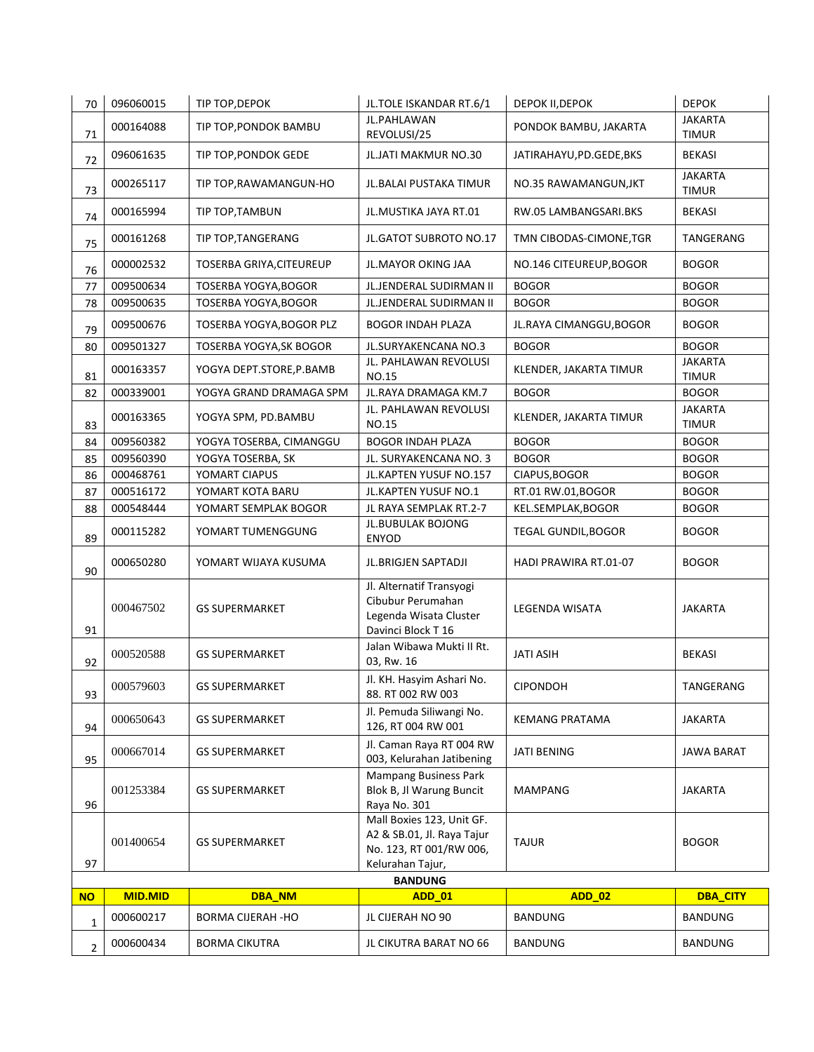| 96       | 001253384<br>001400654 | <b>GS SUPERMARKET</b><br><b>GS SUPERMARKET</b><br><b>GS SUPERMARKET</b> | 003, Kelurahan Jatibening<br><b>Mampang Business Park</b><br>Blok B, Jl Warung Buncit<br>Raya No. 301<br>Mall Boxies 123, Unit GF.<br>A2 & SB.01, Jl. Raya Tajur | JATI BENING<br>MAMPANG<br><b>TAJUR</b> | JAWA BARAT<br><b>JAKARTA</b><br><b>BOGOR</b> |
|----------|------------------------|-------------------------------------------------------------------------|------------------------------------------------------------------------------------------------------------------------------------------------------------------|----------------------------------------|----------------------------------------------|
|          |                        |                                                                         |                                                                                                                                                                  |                                        |                                              |
|          |                        |                                                                         |                                                                                                                                                                  |                                        |                                              |
| 95       | 000667014              |                                                                         | Jl. Caman Raya RT 004 RW                                                                                                                                         |                                        |                                              |
| 94       | 000650643              | <b>GS SUPERMARKET</b>                                                   | Jl. Pemuda Siliwangi No.<br>126, RT 004 RW 001                                                                                                                   | KEMANG PRATAMA                         | JAKARTA                                      |
| 93       | 000579603              | <b>GS SUPERMARKET</b>                                                   | Jl. KH. Hasyim Ashari No.<br>88. RT 002 RW 003                                                                                                                   | <b>CIPONDOH</b>                        | TANGERANG                                    |
| 92       | 000520588              | <b>GS SUPERMARKET</b>                                                   | Jalan Wibawa Mukti II Rt.<br>03, Rw. 16                                                                                                                          | JATI ASIH                              | <b>BEKASI</b>                                |
| 91       | 000467502              | <b>GS SUPERMARKET</b>                                                   | Jl. Alternatif Transyogi<br>Cibubur Perumahan<br>Legenda Wisata Cluster<br>Davinci Block T 16                                                                    | LEGENDA WISATA                         | JAKARTA                                      |
| 90       | 000650280              | YOMART WIJAYA KUSUMA                                                    | JL.BRIGJEN SAPTADJI                                                                                                                                              | HADI PRAWIRA RT.01-07                  | <b>BOGOR</b>                                 |
| 89       | 000115282              | YOMART TUMENGGUNG                                                       | JL.BUBULAK BOJONG<br>ENYOD                                                                                                                                       | <b>TEGAL GUNDIL, BOGOR</b>             | <b>BOGOR</b>                                 |
| 88       | 000548444              | YOMART SEMPLAK BOGOR                                                    | JL RAYA SEMPLAK RT.2-7                                                                                                                                           | KEL.SEMPLAK, BOGOR                     | <b>BOGOR</b>                                 |
| 87       | 000516172              | YOMART KOTA BARU                                                        | JL.KAPTEN YUSUF NO.1                                                                                                                                             | RT.01 RW.01,BOGOR                      | <b>BOGOR</b>                                 |
| 86       | 000468761              | YOMART CIAPUS                                                           | JL.KAPTEN YUSUF NO.157                                                                                                                                           | CIAPUS, BOGOR                          | <b>BOGOR</b>                                 |
| 84<br>85 | 009560390              | YOGYA TOSERBA, CIMANGGU<br>YOGYA TOSERBA, SK                            | JL. SURYAKENCANA NO. 3                                                                                                                                           | <b>BOGOR</b>                           | <b>BOGOR</b>                                 |
| 83       | 000163365<br>009560382 | YOGYA SPM, PD.BAMBU                                                     | JL. PAHLAWAN REVOLUSI<br>NO.15<br><b>BOGOR INDAH PLAZA</b>                                                                                                       | KLENDER, JAKARTA TIMUR<br><b>BOGOR</b> | JAKARTA<br><b>TIMUR</b><br><b>BOGOR</b>      |
| 82       | 000339001              | YOGYA GRAND DRAMAGA SPM                                                 | JL.RAYA DRAMAGA KM.7                                                                                                                                             | <b>BOGOR</b>                           | <b>BOGOR</b>                                 |
| 81       | 000163357              | YOGYA DEPT.STORE, P.BAMB                                                | JL. PAHLAWAN REVOLUSI<br>NO.15                                                                                                                                   | KLENDER, JAKARTA TIMUR                 | JAKARTA<br><b>TIMUR</b>                      |
| 80       | 009501327              | TOSERBA YOGYA, SK BOGOR                                                 | JL.SURYAKENCANA NO.3                                                                                                                                             | <b>BOGOR</b>                           | <b>BOGOR</b>                                 |
| 79       | 009500676              | TOSERBA YOGYA, BOGOR PLZ                                                | <b>BOGOR INDAH PLAZA</b>                                                                                                                                         | JL.RAYA CIMANGGU,BOGOR                 | <b>BOGOR</b>                                 |
| 77<br>78 | 009500634<br>009500635 | <b>TOSERBA YOGYA, BOGOR</b><br>TOSERBA YOGYA, BOGOR                     | <b>JL.JENDERAL SUDIRMAN II</b><br>JL.JENDERAL SUDIRMAN II                                                                                                        | <b>BOGOR</b><br><b>BOGOR</b>           | <b>BOGOR</b><br><b>BOGOR</b>                 |
| 76       | 000002532              | <b>TOSERBA GRIYA, CITEUREUP</b>                                         | JL.MAYOR OKING JAA                                                                                                                                               | NO.146 CITEUREUP, BOGOR                | <b>BOGOR</b>                                 |
| 75       | 000161268              | TIP TOP, TANGERANG                                                      | JL.GATOT SUBROTO NO.17                                                                                                                                           | TMN CIBODAS-CIMONE, TGR                | TANGERANG                                    |
| 74       | 000165994              | TIP TOP, TAMBUN                                                         | JL.MUSTIKA JAYA RT.01                                                                                                                                            | RW.05 LAMBANGSARI.BKS                  | <b>BEKASI</b>                                |
| 73       | 000265117              | TIP TOP, RAWAMANGUN-HO                                                  | JL. BALAI PUSTAKA TIMUR                                                                                                                                          | NO.35 RAWAMANGUN, JKT                  | JAKARTA<br>TIMUR                             |
| 72       | 096061635              | TIP TOP, PONDOK GEDE                                                    | JL.JATI MAKMUR NO.30                                                                                                                                             | JATIRAHAYU, PD. GEDE, BKS              | <b>BEKASI</b>                                |
| 71       | 000164088              | TIP TOP, PONDOK BAMBU                                                   | JL.PAHLAWAN<br>REVOLUSI/25                                                                                                                                       | PONDOK BAMBU, JAKARTA                  | <b>JAKARTA</b><br><b>TIMUR</b>               |
| 70       | 096060015              | TIP TOP, DEPOK                                                          | JL.TOLE ISKANDAR RT.6/1                                                                                                                                          | DEPOK II, DEPOK                        | <b>DEPOK</b>                                 |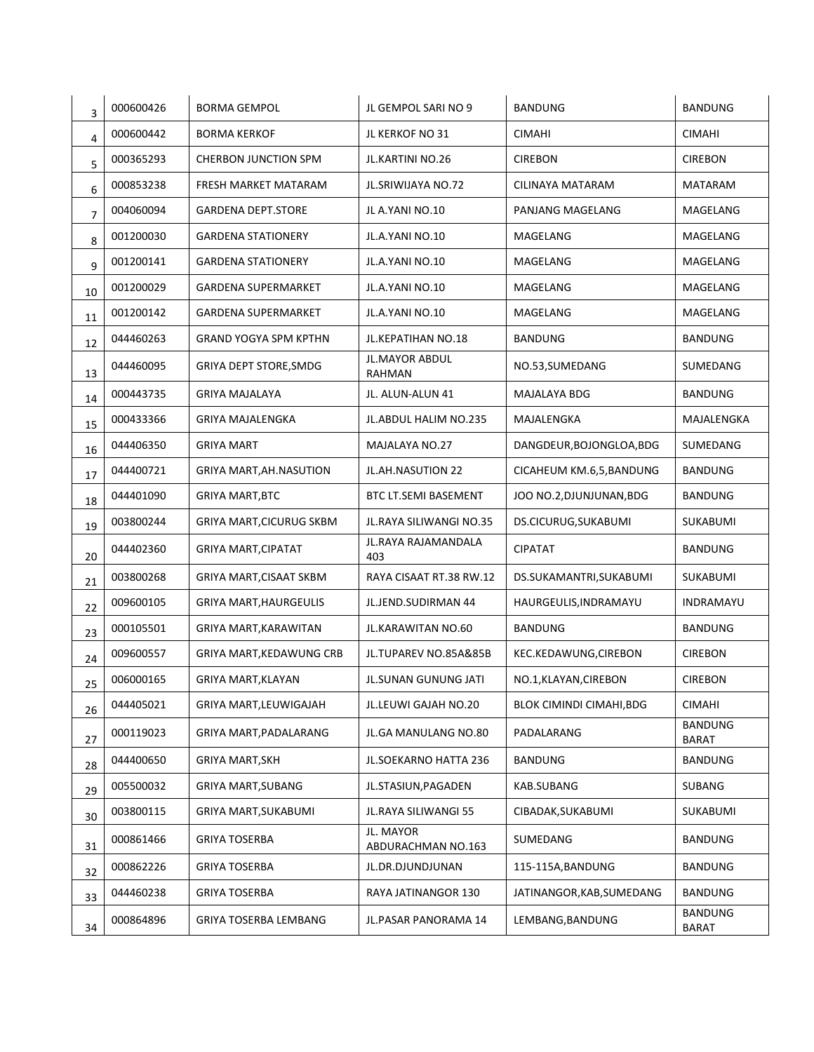| 3  | 000600426 | <b>BORMA GEMPOL</b>             | JL GEMPOL SARI NO 9             | <b>BANDUNG</b>            | <b>BANDUNG</b>                 |
|----|-----------|---------------------------------|---------------------------------|---------------------------|--------------------------------|
| 4  | 000600442 | <b>BORMA KERKOF</b>             | JL KERKOF NO 31                 | <b>CIMAHI</b>             | <b>CIMAHI</b>                  |
| 5  | 000365293 | <b>CHERBON JUNCTION SPM</b>     | JL.KARTINI NO.26                | <b>CIREBON</b>            | <b>CIREBON</b>                 |
| 6  | 000853238 | FRESH MARKET MATARAM            | JL.SRIWIJAYA NO.72              | CILINAYA MATARAM          | <b>MATARAM</b>                 |
| 7  | 004060094 | <b>GARDENA DEPT.STORE</b>       | JL A.YANI NO.10                 | PANJANG MAGELANG          | MAGELANG                       |
| 8  | 001200030 | <b>GARDENA STATIONERY</b>       | JL.A.YANI NO.10                 | MAGELANG                  | MAGELANG                       |
| 9  | 001200141 | <b>GARDENA STATIONERY</b>       | JL.A.YANI NO.10                 | MAGELANG                  | MAGELANG                       |
| 10 | 001200029 | <b>GARDENA SUPERMARKET</b>      | JL.A.YANI NO.10                 | MAGELANG                  | <b>MAGELANG</b>                |
| 11 | 001200142 | GARDENA SUPERMARKET             | JL.A.YANI NO.10                 | MAGELANG                  | MAGELANG                       |
| 12 | 044460263 | <b>GRAND YOGYA SPM KPTHN</b>    | JL.KEPATIHAN NO.18              | <b>BANDUNG</b>            | <b>BANDUNG</b>                 |
| 13 | 044460095 | GRIYA DEPT STORE, SMDG          | <b>JL.MAYOR ABDUL</b><br>RAHMAN | NO.53, SUMEDANG           | SUMEDANG                       |
| 14 | 000443735 | <b>GRIYA MAJALAYA</b>           | JL. ALUN-ALUN 41                | MAJALAYA BDG              | <b>BANDUNG</b>                 |
| 15 | 000433366 | <b>GRIYA MAJALENGKA</b>         | JL.ABDUL HALIM NO.235           | MAJALENGKA                | MAJALENGKA                     |
| 16 | 044406350 | <b>GRIYA MART</b>               | MAJALAYA NO.27                  | DANGDEUR, BOJONGLOA, BDG  | SUMEDANG                       |
| 17 | 044400721 | GRIYA MART, AH. NASUTION        | JL.AH.NASUTION 22               | CICAHEUM KM.6,5, BANDUNG  | <b>BANDUNG</b>                 |
| 18 | 044401090 | <b>GRIYA MART, BTC</b>          | <b>BTC LT.SEMI BASEMENT</b>     | JOO NO.2, DJUNJUNAN, BDG  | <b>BANDUNG</b>                 |
| 19 | 003800244 | <b>GRIYA MART, CICURUG SKBM</b> | JL.RAYA SILIWANGI NO.35         | DS.CICURUG, SUKABUMI      | SUKABUMI                       |
| 20 | 044402360 | <b>GRIYA MART, CIPATAT</b>      | JL.RAYA RAJAMANDALA<br>403      | <b>CIPATAT</b>            | <b>BANDUNG</b>                 |
| 21 | 003800268 | GRIYA MART, CISAAT SKBM         | RAYA CISAAT RT.38 RW.12         | DS.SUKAMANTRI, SUKABUMI   | <b>SUKABUMI</b>                |
| 22 | 009600105 | <b>GRIYA MART, HAURGEULIS</b>   | JL.JEND.SUDIRMAN 44             | HAURGEULIS, INDRAMAYU     | INDRAMAYU                      |
| 23 | 000105501 | GRIYA MART, KARAWITAN           | JL.KARAWITAN NO.60              | <b>BANDUNG</b>            | <b>BANDUNG</b>                 |
| 24 | 009600557 | <b>GRIYA MART, KEDAWUNG CRB</b> | JL.TUPAREV NO.85A&85B           | KEC.KEDAWUNG,CIREBON      | <b>CIREBON</b>                 |
| 25 | 006000165 | <b>GRIYA MART, KLAYAN</b>       | JL.SUNAN GUNUNG JATI            | NO.1, KLAYAN, CIREBON     | <b>CIREBON</b>                 |
| 26 | 044405021 | GRIYA MART, LEUWIGAJAH          | JL.LEUWI GAJAH NO.20            | BLOK CIMINDI CIMAHI, BDG  | <b>CIMAHI</b>                  |
| 27 | 000119023 | GRIYA MART, PADALARANG          | JL.GA MANULANG NO.80            | PADALARANG                | <b>BANDUNG</b><br><b>BARAT</b> |
| 28 | 044400650 | <b>GRIYA MART, SKH</b>          | JL.SOEKARNO HATTA 236           | <b>BANDUNG</b>            | <b>BANDUNG</b>                 |
| 29 | 005500032 | <b>GRIYA MART, SUBANG</b>       | JL.STASIUN, PAGADEN             | KAB.SUBANG                | SUBANG                         |
| 30 | 003800115 | GRIYA MART, SUKABUMI            | JL.RAYA SILIWANGI 55            | CIBADAK, SUKABUMI         | SUKABUMI                       |
| 31 | 000861466 | <b>GRIYA TOSERBA</b>            | JL. MAYOR<br>ABDURACHMAN NO.163 | SUMEDANG                  | <b>BANDUNG</b>                 |
| 32 | 000862226 | <b>GRIYA TOSERBA</b>            | JL.DR.DJUNDJUNAN                | 115-115A, BANDUNG         | <b>BANDUNG</b>                 |
| 33 | 044460238 | <b>GRIYA TOSERBA</b>            | RAYA JATINANGOR 130             | JATINANGOR, KAB, SUMEDANG | <b>BANDUNG</b>                 |
| 34 | 000864896 | GRIYA TOSERBA LEMBANG           | JL.PASAR PANORAMA 14            | LEMBANG, BANDUNG          | <b>BANDUNG</b><br>BARAT        |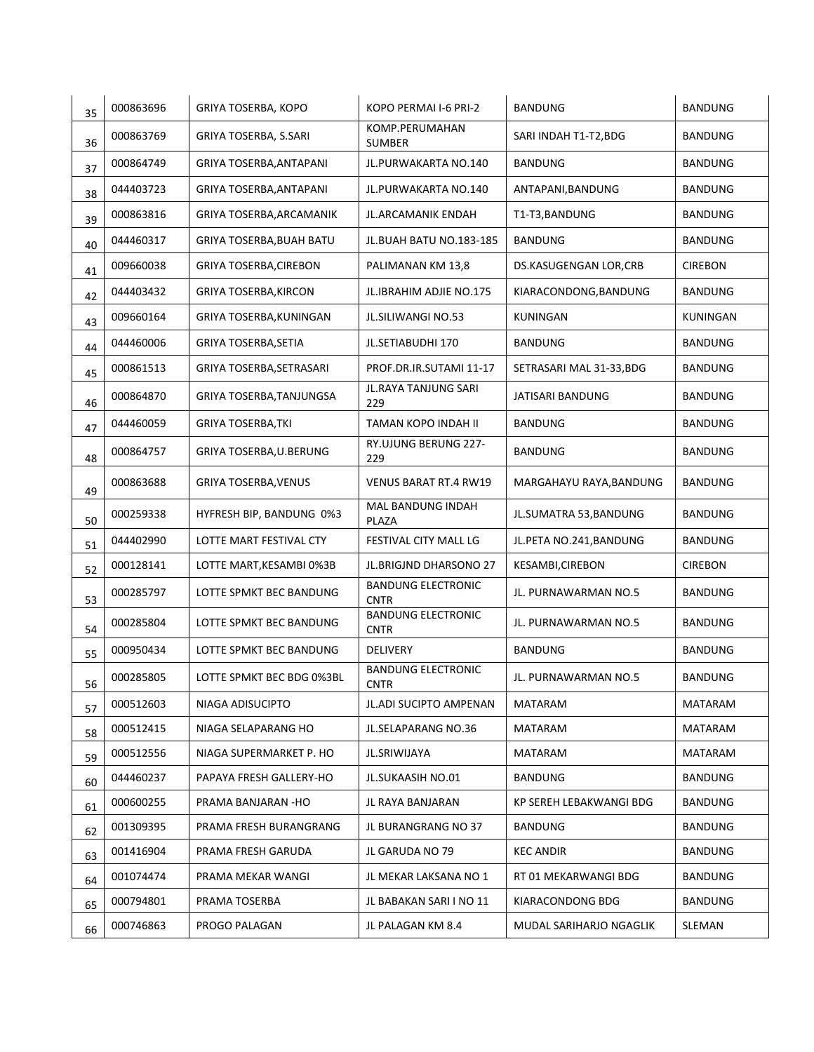| 35 | 000863696 | GRIYA TOSERBA, KOPO           | KOPO PERMAI I-6 PRI-2                    | <b>BANDUNG</b>               | <b>BANDUNG</b>  |
|----|-----------|-------------------------------|------------------------------------------|------------------------------|-----------------|
| 36 | 000863769 | GRIYA TOSERBA, S.SARI         | KOMP.PERUMAHAN<br><b>SUMBER</b>          | SARI INDAH T1-T2,BDG         | <b>BANDUNG</b>  |
| 37 | 000864749 | GRIYA TOSERBA, ANTAPANI       | JL.PURWAKARTA NO.140                     | <b>BANDUNG</b>               | <b>BANDUNG</b>  |
| 38 | 044403723 | GRIYA TOSERBA, ANTAPANI       | JL.PURWAKARTA NO.140                     | ANTAPANI, BANDUNG            | <b>BANDUNG</b>  |
| 39 | 000863816 | GRIYA TOSERBA, ARCAMANIK      | JL.ARCAMANIK ENDAH                       | T1-T3, BANDUNG               | <b>BANDUNG</b>  |
| 40 | 044460317 | GRIYA TOSERBA, BUAH BATU      | JL.BUAH BATU NO.183-185                  | <b>BANDUNG</b>               | <b>BANDUNG</b>  |
| 41 | 009660038 | <b>GRIYA TOSERBA, CIREBON</b> | PALIMANAN KM 13,8                        | <b>DS.KASUGENGAN LOR,CRB</b> | <b>CIREBON</b>  |
| 42 | 044403432 | <b>GRIYA TOSERBA, KIRCON</b>  | JL.IBRAHIM ADJIE NO.175                  | KIARACONDONG, BANDUNG        | <b>BANDUNG</b>  |
| 43 | 009660164 | GRIYA TOSERBA, KUNINGAN       | JL.SILIWANGI NO.53                       | <b>KUNINGAN</b>              | <b>KUNINGAN</b> |
| 44 | 044460006 | GRIYA TOSERBA, SETIA          | JL.SETIABUDHI 170                        | <b>BANDUNG</b>               | <b>BANDUNG</b>  |
| 45 | 000861513 | GRIYA TOSERBA, SETRASARI      | PROF.DR.IR.SUTAMI 11-17                  | SETRASARI MAL 31-33,BDG      | <b>BANDUNG</b>  |
| 46 | 000864870 | GRIYA TOSERBA, TANJUNGSA      | JL.RAYA TANJUNG SARI<br>229              | JATISARI BANDUNG             | <b>BANDUNG</b>  |
| 47 | 044460059 | <b>GRIYA TOSERBA, TKI</b>     | TAMAN KOPO INDAH II                      | <b>BANDUNG</b>               | BANDUNG         |
| 48 | 000864757 | GRIYA TOSERBA,U.BERUNG        | RY.UJUNG BERUNG 227-<br>229              | <b>BANDUNG</b>               | <b>BANDUNG</b>  |
| 49 | 000863688 | <b>GRIYA TOSERBA, VENUS</b>   | <b>VENUS BARAT RT.4 RW19</b>             | MARGAHAYU RAYA, BANDUNG      | <b>BANDUNG</b>  |
| 50 | 000259338 | HYFRESH BIP, BANDUNG 0%3      | MAL BANDUNG INDAH<br><b>PLAZA</b>        | JL.SUMATRA 53, BANDUNG       | <b>BANDUNG</b>  |
| 51 | 044402990 | LOTTE MART FESTIVAL CTY       | FESTIVAL CITY MALL LG                    | JL.PETA NO.241, BANDUNG      | <b>BANDUNG</b>  |
| 52 | 000128141 | LOTTE MART, KESAMBI 0%3B      | JL.BRIGJND DHARSONO 27                   | KESAMBI, CIREBON             | <b>CIREBON</b>  |
| 53 | 000285797 | LOTTE SPMKT BEC BANDUNG       | <b>BANDUNG ELECTRONIC</b><br><b>CNTR</b> | JL. PURNAWARMAN NO.5         | <b>BANDUNG</b>  |
| 54 | 000285804 | LOTTE SPMKT BEC BANDUNG       | <b>BANDUNG ELECTRONIC</b><br><b>CNTR</b> | JL. PURNAWARMAN NO.5         | BANDUNG         |
| 55 | 000950434 | LOTTE SPMKT BEC BANDUNG       | <b>DELIVERY</b>                          | <b>BANDUNG</b>               | <b>BANDUNG</b>  |
| 56 | 000285805 | LOTTE SPMKT BEC BDG 0%3BL     | <b>BANDUNG ELECTRONIC</b><br><b>CNTR</b> | JL. PURNAWARMAN NO.5         | <b>BANDUNG</b>  |
| 57 | 000512603 | NIAGA ADISUCIPTO              | JL.ADI SUCIPTO AMPENAN                   | MATARAM                      | MATARAM         |
| 58 | 000512415 | NIAGA SELAPARANG HO           | JL.SELAPARANG NO.36                      | MATARAM                      | MATARAM         |
| 59 | 000512556 | NIAGA SUPERMARKET P. HO       | JL.SRIWIJAYA                             | MATARAM                      | MATARAM         |
| 60 | 044460237 | PAPAYA FRESH GALLERY-HO       | <b>JL.SUKAASIH NO.01</b>                 | <b>BANDUNG</b>               | BANDUNG         |
| 61 | 000600255 | PRAMA BANJARAN -HO            | JL RAYA BANJARAN                         | KP SEREH LEBAKWANGI BDG      | <b>BANDUNG</b>  |
| 62 | 001309395 | PRAMA FRESH BURANGRANG        | JL BURANGRANG NO 37                      | <b>BANDUNG</b>               | <b>BANDUNG</b>  |
| 63 | 001416904 | PRAMA FRESH GARUDA            | JL GARUDA NO 79                          | <b>KEC ANDIR</b>             | <b>BANDUNG</b>  |
| 64 | 001074474 | PRAMA MEKAR WANGI             | JL MEKAR LAKSANA NO 1                    | RT 01 MEKARWANGI BDG         | <b>BANDUNG</b>  |
| 65 | 000794801 | PRAMA TOSERBA                 | JL BABAKAN SARI I NO 11                  | KIARACONDONG BDG             | BANDUNG         |
| 66 | 000746863 | PROGO PALAGAN                 | JL PALAGAN KM 8.4                        | MUDAL SARIHARJO NGAGLIK      | SLEMAN          |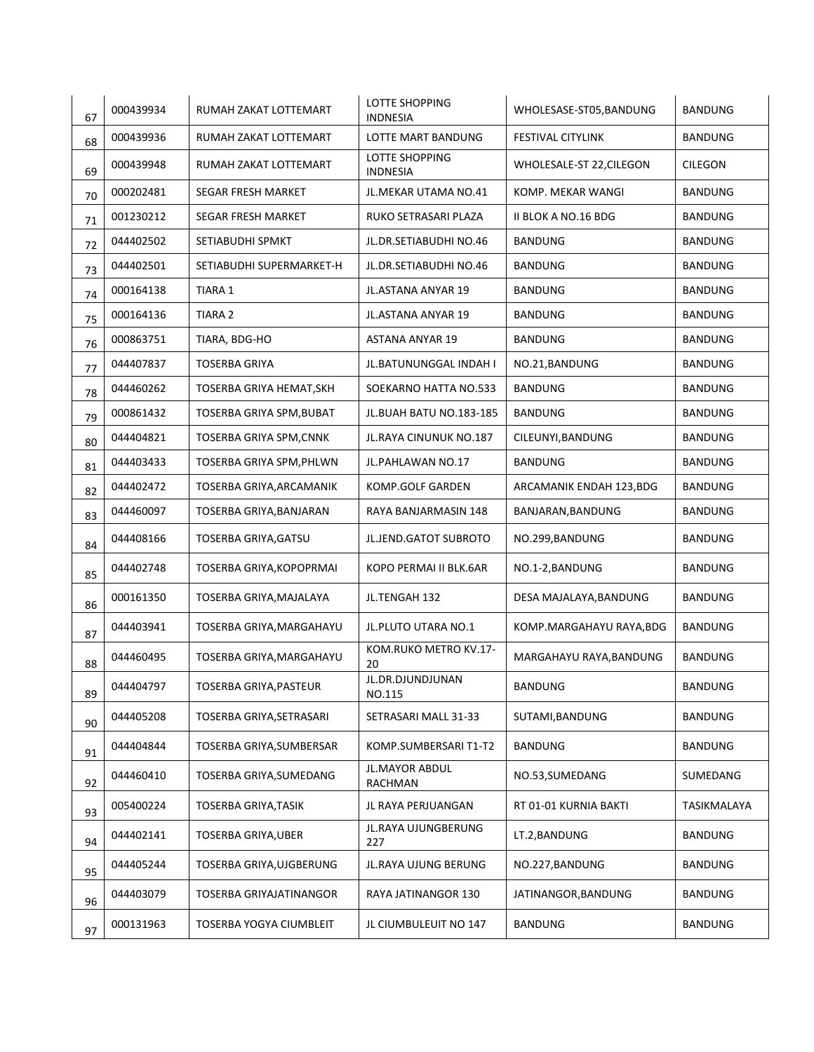| 67 | 000439934 | RUMAH ZAKAT LOTTEMART          | LOTTE SHOPPING<br><b>INDNESIA</b> | WHOLESASE-ST05, BANDUNG  | <b>BANDUNG</b> |
|----|-----------|--------------------------------|-----------------------------------|--------------------------|----------------|
| 68 | 000439936 | RUMAH ZAKAT LOTTEMART          | LOTTE MART BANDUNG                | <b>FESTIVAL CITYLINK</b> | <b>BANDUNG</b> |
| 69 | 000439948 | RUMAH ZAKAT LOTTEMART          | LOTTE SHOPPING<br><b>INDNESIA</b> | WHOLESALE-ST 22, CILEGON | <b>CILEGON</b> |
| 70 | 000202481 | SEGAR FRESH MARKET             | JL.MEKAR UTAMA NO.41              | KOMP. MEKAR WANGI        | <b>BANDUNG</b> |
| 71 | 001230212 | SEGAR FRESH MARKET             | RUKO SETRASARI PLAZA              | II BLOK A NO.16 BDG      | <b>BANDUNG</b> |
| 72 | 044402502 | SETIABUDHI SPMKT               | JL.DR.SETIABUDHI NO.46            | <b>BANDUNG</b>           | <b>BANDUNG</b> |
| 73 | 044402501 | SETIABUDHI SUPERMARKET-H       | JL.DR.SETIABUDHI NO.46            | <b>BANDUNG</b>           | <b>BANDUNG</b> |
| 74 | 000164138 | TIARA 1                        | JL.ASTANA ANYAR 19                | BANDUNG                  | <b>BANDUNG</b> |
| 75 | 000164136 | TIARA 2                        | JL.ASTANA ANYAR 19                | BANDUNG                  | <b>BANDUNG</b> |
| 76 | 000863751 | TIARA, BDG-HO                  | <b>ASTANA ANYAR 19</b>            | <b>BANDUNG</b>           | <b>BANDUNG</b> |
| 77 | 044407837 | <b>TOSERBA GRIYA</b>           | JL.BATUNUNGGAL INDAH I            | NO.21, BANDUNG           | <b>BANDUNG</b> |
| 78 | 044460262 | TOSERBA GRIYA HEMAT, SKH       | SOEKARNO HATTA NO.533             | <b>BANDUNG</b>           | <b>BANDUNG</b> |
| 79 | 000861432 | TOSERBA GRIYA SPM, BUBAT       | JL.BUAH BATU NO.183-185           | <b>BANDUNG</b>           | <b>BANDUNG</b> |
| 80 | 044404821 | <b>TOSERBA GRIYA SPM, CNNK</b> | JL. RAYA CINUNUK NO. 187          | CILEUNYI, BANDUNG        | <b>BANDUNG</b> |
| 81 | 044403433 | TOSERBA GRIYA SPM, PHLWN       | JL.PAHLAWAN NO.17                 | <b>BANDUNG</b>           | <b>BANDUNG</b> |
| 82 | 044402472 | TOSERBA GRIYA, ARCAMANIK       | KOMP.GOLF GARDEN                  | ARCAMANIK ENDAH 123, BDG | BANDUNG        |
| 83 | 044460097 | TOSERBA GRIYA, BANJARAN        | RAYA BANJARMASIN 148              | BANJARAN, BANDUNG        | <b>BANDUNG</b> |
| 84 | 044408166 | TOSERBA GRIYA, GATSU           | JL.JEND.GATOT SUBROTO             | NO.299, BANDUNG          | <b>BANDUNG</b> |
| 85 | 044402748 | TOSERBA GRIYA, KOPOPRMAI       | KOPO PERMAI II BLK.6AR            | NO.1-2, BANDUNG          | <b>BANDUNG</b> |
| 86 | 000161350 | TOSERBA GRIYA, MAJALAYA        | JL.TENGAH 132                     | DESA MAJALAYA, BANDUNG   | BANDUNG        |
| 87 | 044403941 | TOSERBA GRIYA, MARGAHAYU       | JL.PLUTO UTARA NO.1               | KOMP.MARGAHAYU RAYA, BDG | <b>BANDUNG</b> |
| 88 | 044460495 | TOSERBA GRIYA, MARGAHAYU       | KOM.RUKO METRO KV.17-<br>20       | MARGAHAYU RAYA, BANDUNG  | <b>BANDUNG</b> |
| 89 | 044404797 | TOSERBA GRIYA, PASTEUR         | JL.DR.DJUNDJUNAN<br>NO.115        | BANDUNG                  | <b>BANDUNG</b> |
| 90 | 044405208 | TOSERBA GRIYA, SETRASARI       | SETRASARI MALL 31-33              | SUTAMI, BANDUNG          | <b>BANDUNG</b> |
| 91 | 044404844 | TOSERBA GRIYA, SUMBERSAR       | KOMP.SUMBERSARI T1-T2             | <b>BANDUNG</b>           | <b>BANDUNG</b> |
| 92 | 044460410 | TOSERBA GRIYA, SUMEDANG        | JL.MAYOR ABDUL<br>RACHMAN         | NO.53, SUMEDANG          | SUMEDANG       |
| 93 | 005400224 | <b>TOSERBA GRIYA, TASIK</b>    | JL RAYA PERJUANGAN                | RT 01-01 KURNIA BAKTI    | TASIKMALAYA    |
| 94 | 044402141 | TOSERBA GRIYA, UBER            | JL.RAYA UJUNGBERUNG<br>227        | LT.2, BANDUNG            | <b>BANDUNG</b> |
| 95 | 044405244 | TOSERBA GRIYA, UJGBERUNG       | JL.RAYA UJUNG BERUNG              | NO.227, BANDUNG          | BANDUNG        |
| 96 | 044403079 | TOSERBA GRIYAJATINANGOR        | RAYA JATINANGOR 130               | JATINANGOR, BANDUNG      | BANDUNG        |
| 97 | 000131963 | TOSERBA YOGYA CIUMBLEIT        | JL CIUMBULEUIT NO 147             | BANDUNG                  | <b>BANDUNG</b> |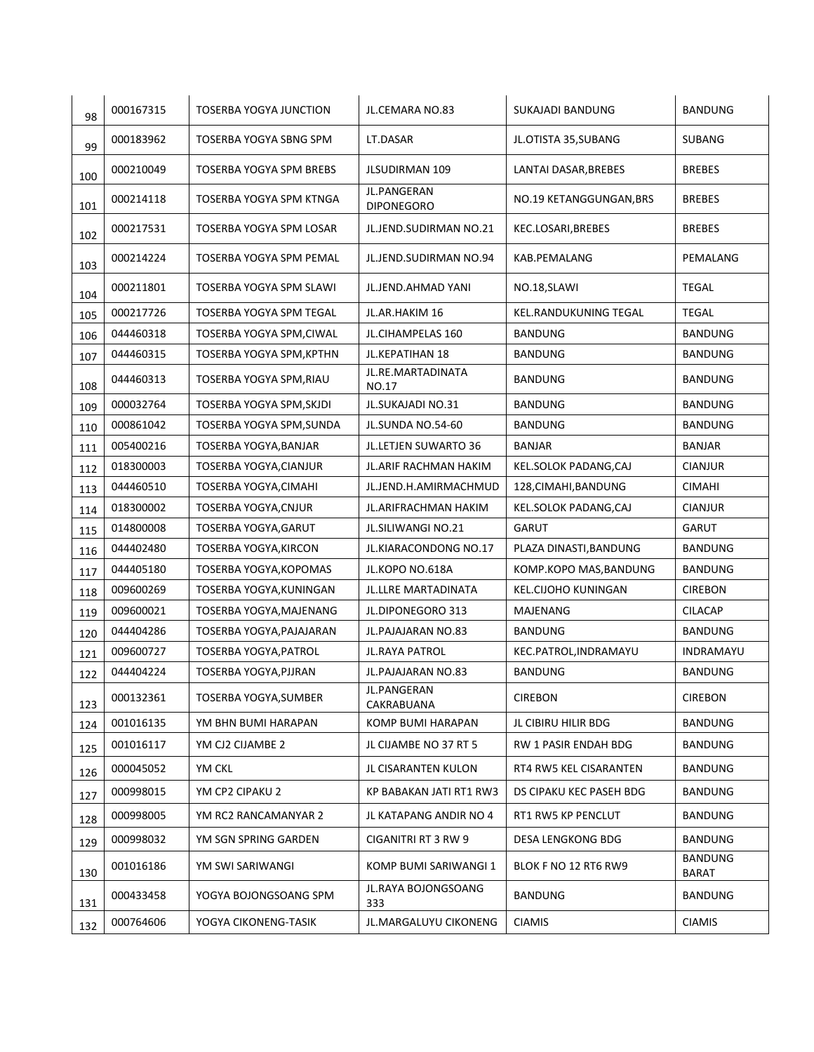| 98  | 000167315 | TOSERBA YOGYA JUNCTION   | JL.CEMARA NO.83                  | SUKAJADI BANDUNG        | <b>BANDUNG</b>          |
|-----|-----------|--------------------------|----------------------------------|-------------------------|-------------------------|
| 99  | 000183962 | TOSERBA YOGYA SBNG SPM   | LT.DASAR                         | JL.OTISTA 35,SUBANG     | <b>SUBANG</b>           |
| 100 | 000210049 | TOSERBA YOGYA SPM BREBS  | <b>JLSUDIRMAN 109</b>            | LANTAI DASAR, BREBES    | <b>BREBES</b>           |
| 101 | 000214118 | TOSERBA YOGYA SPM KTNGA  | JL.PANGERAN<br><b>DIPONEGORO</b> | NO.19 KETANGGUNGAN, BRS | <b>BREBES</b>           |
| 102 | 000217531 | TOSERBA YOGYA SPM LOSAR  | JL.JEND.SUDIRMAN NO.21           | KEC.LOSARI, BREBES      | <b>BREBES</b>           |
| 103 | 000214224 | TOSERBA YOGYA SPM PEMAL  | JL.JEND.SUDIRMAN NO.94           | KAB.PEMALANG            | PEMALANG                |
| 104 | 000211801 | TOSERBA YOGYA SPM SLAWI  | JL.JEND.AHMAD YANI               | NO.18, SLAWI            | <b>TEGAL</b>            |
| 105 | 000217726 | TOSERBA YOGYA SPM TEGAL  | JL.AR.HAKIM 16                   | KEL.RANDUKUNING TEGAL   | TEGAL                   |
| 106 | 044460318 | TOSERBA YOGYA SPM, CIWAL | JL.CIHAMPELAS 160                | <b>BANDUNG</b>          | <b>BANDUNG</b>          |
| 107 | 044460315 | TOSERBA YOGYA SPM, KPTHN | <b>JL.KEPATIHAN 18</b>           | <b>BANDUNG</b>          | <b>BANDUNG</b>          |
| 108 | 044460313 | TOSERBA YOGYA SPM, RIAU  | JL.RE.MARTADINATA<br>NO.17       | <b>BANDUNG</b>          | <b>BANDUNG</b>          |
| 109 | 000032764 | TOSERBA YOGYA SPM, SKJDI | JL.SUKAJADI NO.31                | <b>BANDUNG</b>          | <b>BANDUNG</b>          |
| 110 | 000861042 | TOSERBA YOGYA SPM, SUNDA | JL.SUNDA NO.54-60                | <b>BANDUNG</b>          | BANDUNG                 |
| 111 | 005400216 | TOSERBA YOGYA, BANJAR    | JL.LETJEN SUWARTO 36             | <b>BANJAR</b>           | <b>BANJAR</b>           |
| 112 | 018300003 | TOSERBA YOGYA, CIANJUR   | JL.ARIF RACHMAN HAKIM            | KEL.SOLOK PADANG,CAJ    | <b>CIANJUR</b>          |
| 113 | 044460510 | TOSERBA YOGYA, CIMAHI    | JL.JEND.H.AMIRMACHMUD            | 128, CIMAHI, BANDUNG    | <b>CIMAHI</b>           |
| 114 | 018300002 | TOSERBA YOGYA, CNJUR     | JL.ARIFRACHMAN HAKIM             | KEL.SOLOK PADANG,CAJ    | <b>CIANJUR</b>          |
| 115 | 014800008 | TOSERBA YOGYA, GARUT     | JL.SILIWANGI NO.21               | <b>GARUT</b>            | <b>GARUT</b>            |
| 116 | 044402480 | TOSERBA YOGYA, KIRCON    | JL.KIARACONDONG NO.17            | PLAZA DINASTI, BANDUNG  | BANDUNG                 |
| 117 | 044405180 | TOSERBA YOGYA, KOPOMAS   | JL.KOPO NO.618A                  | KOMP.KOPO MAS, BANDUNG  | BANDUNG                 |
| 118 | 009600269 | TOSERBA YOGYA, KUNINGAN  | JL.LLRE MARTADINATA              | KEL.CIJOHO KUNINGAN     | <b>CIREBON</b>          |
| 119 | 009600021 | TOSERBA YOGYA, MAJENANG  | JL.DIPONEGORO 313                | MAJENANG                | <b>CILACAP</b>          |
| 120 | 044404286 | TOSERBA YOGYA, PAJAJARAN | JL.PAJAJARAN NO.83               | <b>BANDUNG</b>          | <b>BANDUNG</b>          |
| 121 | 009600727 | TOSERBA YOGYA, PATROL    | JL.RAYA PATROL                   | KEC.PATROL, INDRAMAYU   | INDRAMAYU               |
| 122 | 044404224 | TOSERBA YOGYA, PJJRAN    | JL.PAJAJARAN NO.83               | BANDUNG                 | BANDUNG                 |
| 123 | 000132361 | TOSERBA YOGYA, SUMBER    | JL.PANGERAN<br>CAKRABUANA        | <b>CIREBON</b>          | <b>CIREBON</b>          |
| 124 | 001016135 | YM BHN BUMI HARAPAN      | KOMP BUMI HARAPAN                | JL CIBIRU HILIR BDG     | <b>BANDUNG</b>          |
| 125 | 001016117 | YM CJ2 CIJAMBE 2         | JL CIJAMBE NO 37 RT 5            | RW 1 PASIR ENDAH BDG    | <b>BANDUNG</b>          |
| 126 | 000045052 | YM CKL                   | JL CISARANTEN KULON              | RT4 RW5 KEL CISARANTEN  | <b>BANDUNG</b>          |
| 127 | 000998015 | YM CP2 CIPAKU 2          | KP BABAKAN JATI RT1 RW3          | DS CIPAKU KEC PASEH BDG | <b>BANDUNG</b>          |
| 128 | 000998005 | YM RC2 RANCAMANYAR 2     | JL KATAPANG ANDIR NO 4           | RT1 RW5 KP PENCLUT      | <b>BANDUNG</b>          |
| 129 | 000998032 | YM SGN SPRING GARDEN     | CIGANITRI RT 3 RW 9              | DESA LENGKONG BDG       | <b>BANDUNG</b>          |
| 130 | 001016186 | YM SWI SARIWANGI         | KOMP BUMI SARIWANGI 1            | BLOK F NO 12 RT6 RW9    | <b>BANDUNG</b><br>BARAT |
| 131 | 000433458 | YOGYA BOJONGSOANG SPM    | JL.RAYA BOJONGSOANG<br>333       | <b>BANDUNG</b>          | <b>BANDUNG</b>          |
| 132 | 000764606 | YOGYA CIKONENG-TASIK     | JL.MARGALUYU CIKONENG            | <b>CIAMIS</b>           | <b>CIAMIS</b>           |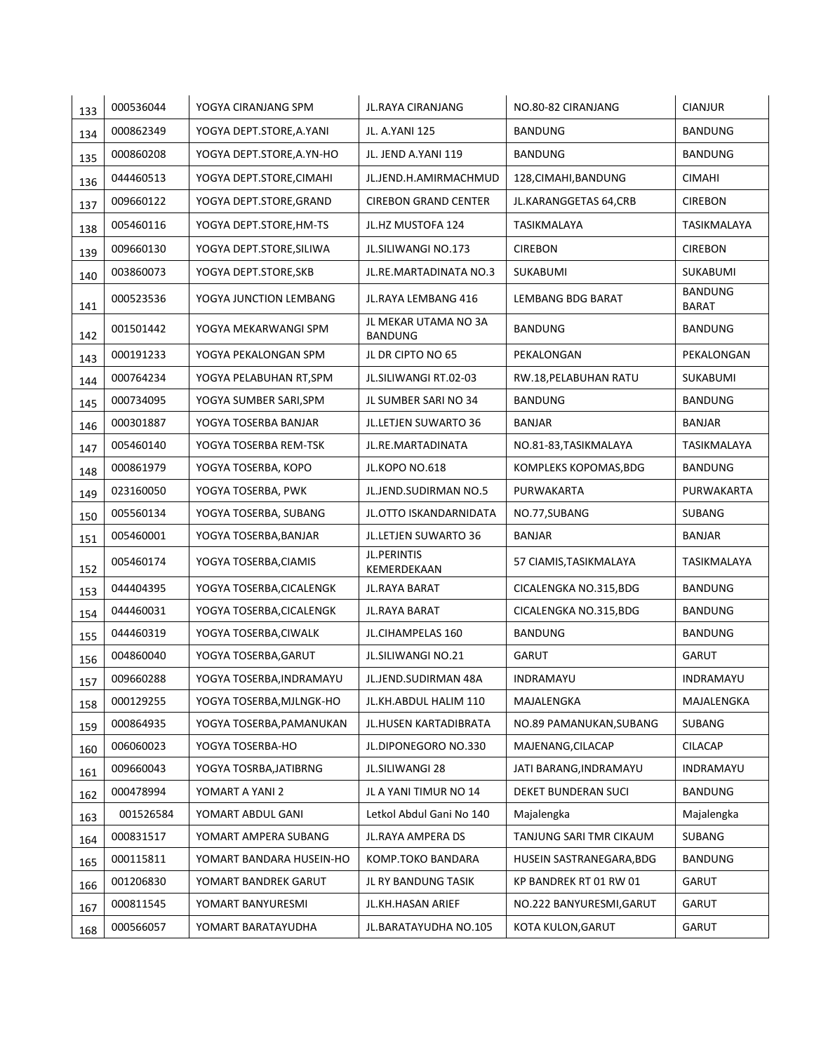| 133 | 000536044 | YOGYA CIRANJANG SPM       | JL.RAYA CIRANJANG                      | NO.80-82 CIRANJANG       | <b>CIANJUR</b>                 |
|-----|-----------|---------------------------|----------------------------------------|--------------------------|--------------------------------|
| 134 | 000862349 | YOGYA DEPT.STORE, A. YANI | JL. A.YANI 125                         | <b>BANDUNG</b>           | <b>BANDUNG</b>                 |
| 135 | 000860208 | YOGYA DEPT.STORE, A.YN-HO | JL. JEND A.YANI 119                    | <b>BANDUNG</b>           | <b>BANDUNG</b>                 |
| 136 | 044460513 | YOGYA DEPT.STORE, CIMAHI  | JL.JEND.H.AMIRMACHMUD                  | 128, CIMAHI, BANDUNG     | <b>CIMAHI</b>                  |
| 137 | 009660122 | YOGYA DEPT.STORE, GRAND   | <b>CIREBON GRAND CENTER</b>            | JL.KARANGGETAS 64,CRB    | <b>CIREBON</b>                 |
| 138 | 005460116 | YOGYA DEPT.STORE, HM-TS   | JL.HZ MUSTOFA 124                      | TASIKMALAYA              | TASIKMALAYA                    |
| 139 | 009660130 | YOGYA DEPT.STORE, SILIWA  | JL.SILIWANGI NO.173                    | <b>CIREBON</b>           | <b>CIREBON</b>                 |
| 140 | 003860073 | YOGYA DEPT.STORE, SKB     | JL.RE.MARTADINATA NO.3                 | SUKABUMI                 | SUKABUMI                       |
| 141 | 000523536 | YOGYA JUNCTION LEMBANG    | JL.RAYA LEMBANG 416                    | LEMBANG BDG BARAT        | <b>BANDUNG</b><br><b>BARAT</b> |
| 142 | 001501442 | YOGYA MEKARWANGI SPM      | JL MEKAR UTAMA NO 3A<br><b>BANDUNG</b> | <b>BANDUNG</b>           | BANDUNG                        |
| 143 | 000191233 | YOGYA PEKALONGAN SPM      | JL DR CIPTO NO 65                      | PEKALONGAN               | PEKALONGAN                     |
| 144 | 000764234 | YOGYA PELABUHAN RT, SPM   | JL.SILIWANGI RT.02-03                  | RW.18, PELABUHAN RATU    | SUKABUMI                       |
| 145 | 000734095 | YOGYA SUMBER SARI, SPM    | JL SUMBER SARI NO 34                   | <b>BANDUNG</b>           | <b>BANDUNG</b>                 |
| 146 | 000301887 | YOGYA TOSERBA BANJAR      | JL.LETJEN SUWARTO 36                   | <b>BANJAR</b>            | <b>BANJAR</b>                  |
| 147 | 005460140 | YOGYA TOSERBA REM-TSK     | JL.RE.MARTADINATA                      | NO.81-83, TASIKMALAYA    | TASIKMALAYA                    |
| 148 | 000861979 | YOGYA TOSERBA, KOPO       | JL.KOPO NO.618                         | KOMPLEKS KOPOMAS, BDG    | <b>BANDUNG</b>                 |
| 149 | 023160050 | YOGYA TOSERBA, PWK        | JL.JEND.SUDIRMAN NO.5                  | PURWAKARTA               | PURWAKARTA                     |
| 150 | 005560134 | YOGYA TOSERBA, SUBANG     | JL.OTTO ISKANDARNIDATA                 | NO.77,SUBANG             | SUBANG                         |
| 151 | 005460001 | YOGYA TOSERBA, BANJAR     | JL.LETJEN SUWARTO 36                   | <b>BANJAR</b>            | BANJAR                         |
| 152 | 005460174 | YOGYA TOSERBA, CIAMIS     | <b>JL.PERINTIS</b><br>KEMERDEKAAN      | 57 CIAMIS, TASIKMALAYA   | TASIKMALAYA                    |
| 153 | 044404395 | YOGYA TOSERBA, CICALENGK  | JL.RAYA BARAT                          | CICALENGKA NO.315,BDG    | <b>BANDUNG</b>                 |
| 154 | 044460031 | YOGYA TOSERBA, CICALENGK  | JL.RAYA BARAT                          | CICALENGKA NO.315,BDG    | <b>BANDUNG</b>                 |
| 155 | 044460319 | YOGYA TOSERBA, CIWALK     | JL.CIHAMPELAS 160                      | <b>BANDUNG</b>           | <b>BANDUNG</b>                 |
| 156 | 004860040 | YOGYA TOSERBA, GARUT      | <b>JL.SILIWANGI NO.21</b>              | <b>GARUT</b>             | <b>GARUT</b>                   |
| 157 | 009660288 | YOGYA TOSERBA, INDRAMAYU  | JL.JEND.SUDIRMAN 48A                   | INDRAMAYU                | INDRAMAYU                      |
| 158 | 000129255 | YOGYA TOSERBA, MJLNGK-HO  | JL.KH.ABDUL HALIM 110                  | MAJALENGKA               | MAJALENGKA                     |
| 159 | 000864935 | YOGYA TOSERBA, PAMANUKAN  | JL.HUSEN KARTADIBRATA                  | NO.89 PAMANUKAN, SUBANG  | SUBANG                         |
| 160 | 006060023 | YOGYA TOSERBA-HO          | JL.DIPONEGORO NO.330                   | MAJENANG, CILACAP        | <b>CILACAP</b>                 |
| 161 | 009660043 | YOGYA TOSRBA, JATIBRNG    | <b>JL.SILIWANGI 28</b>                 | JATI BARANG, INDRAMAYU   | INDRAMAYU                      |
| 162 | 000478994 | YOMART A YANI 2           | JL A YANI TIMUR NO 14                  | DEKET BUNDERAN SUCI      | <b>BANDUNG</b>                 |
| 163 | 001526584 | YOMART ABDUL GANI         | Letkol Abdul Gani No 140               | Majalengka               | Majalengka                     |
| 164 | 000831517 | YOMART AMPERA SUBANG      | JL.RAYA AMPERA DS                      | TANJUNG SARI TMR CIKAUM  | SUBANG                         |
| 165 | 000115811 | YOMART BANDARA HUSEIN-HO  | KOMP.TOKO BANDARA                      | HUSEIN SASTRANEGARA, BDG | <b>BANDUNG</b>                 |
| 166 | 001206830 | YOMART BANDREK GARUT      | JL RY BANDUNG TASIK                    | KP BANDREK RT 01 RW 01   | GARUT                          |
| 167 | 000811545 | YOMART BANYURESMI         | JL.KH.HASAN ARIEF                      | NO.222 BANYURESMI, GARUT | GARUT                          |
| 168 | 000566057 | YOMART BARATAYUDHA        | JL.BARATAYUDHA NO.105                  | KOTA KULON, GARUT        | <b>GARUT</b>                   |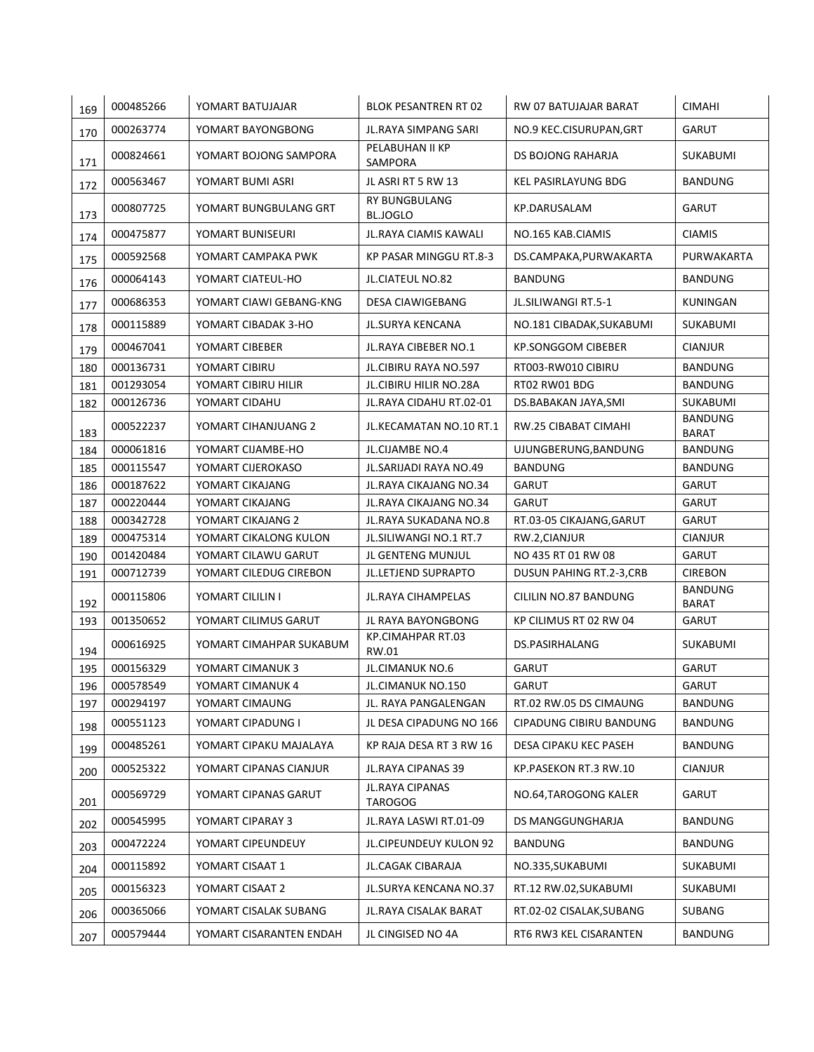| 169        | 000485266 | YOMART BATUJAJAR        | <b>BLOK PESANTREN RT 02</b>             | RW 07 BATUJAJAR BARAT           | <b>CIMAHI</b>                  |
|------------|-----------|-------------------------|-----------------------------------------|---------------------------------|--------------------------------|
| 170        | 000263774 | YOMART BAYONGBONG       | JL.RAYA SIMPANG SARI                    | NO.9 KEC.CISURUPAN, GRT         | <b>GARUT</b>                   |
| 171        | 000824661 | YOMART BOJONG SAMPORA   | PELABUHAN II KP<br>SAMPORA              | DS BOJONG RAHARJA               | SUKABUMI                       |
| 172        | 000563467 | YOMART BUMI ASRI        | JL ASRI RT 5 RW 13                      | KEL PASIRLAYUNG BDG             | <b>BANDUNG</b>                 |
| 173        | 000807725 | YOMART BUNGBULANG GRT   | <b>RY BUNGBULANG</b><br><b>BL.JOGLO</b> | KP.DARUSALAM                    | GARUT                          |
| 174        | 000475877 | YOMART BUNISEURI        | JL.RAYA CIAMIS KAWALI                   | NO.165 KAB.CIAMIS               | <b>CIAMIS</b>                  |
| 175        | 000592568 | YOMART CAMPAKA PWK      | KP PASAR MINGGU RT.8-3                  | DS.CAMPAKA, PURWAKARTA          | PURWAKARTA                     |
| 176        | 000064143 | YOMART CIATEUL-HO       | <b>JL.CIATEUL NO.82</b>                 | BANDUNG                         | <b>BANDUNG</b>                 |
| 177        | 000686353 | YOMART CIAWI GEBANG-KNG | DESA CIAWIGEBANG                        | JL.SILIWANGI RT.5-1             | KUNINGAN                       |
| 178        | 000115889 | YOMART CIBADAK 3-HO     | <b>JL.SURYA KENCANA</b>                 | NO.181 CIBADAK, SUKABUMI        | SUKABUMI                       |
| 179        | 000467041 | YOMART CIBEBER          | JL. RAYA CIBEBER NO. 1                  | <b>KP.SONGGOM CIBEBER</b>       | <b>CIANJUR</b>                 |
| 180        | 000136731 | YOMART CIBIRU           | JL.CIBIRU RAYA NO.597                   | RT003-RW010 CIBIRU              | <b>BANDUNG</b>                 |
| 181        | 001293054 | YOMART CIBIRU HILIR     | JL.CIBIRU HILIR NO.28A                  | RT02 RW01 BDG                   | <b>BANDUNG</b>                 |
| 182        | 000126736 | YOMART CIDAHU           | JL.RAYA CIDAHU RT.02-01                 | DS.BABAKAN JAYA, SMI            | SUKABUMI                       |
|            | 000522237 | YOMART CIHANJUANG 2     | JL.KECAMATAN NO.10 RT.1                 | RW.25 CIBABAT CIMAHI            | <b>BANDUNG</b>                 |
| 183<br>184 | 000061816 | YOMART CIJAMBE-HO       | JL.CIJAMBE NO.4                         | UJUNGBERUNG, BANDUNG            | <b>BARAT</b><br><b>BANDUNG</b> |
|            |           |                         |                                         |                                 |                                |
| 185        | 000115547 | YOMART CIJEROKASO       | <b>JL.SARIJADI RAYA NO.49</b>           | <b>BANDUNG</b>                  | <b>BANDUNG</b>                 |
| 186        | 000187622 | YOMART CIKAJANG         | JL. RAYA CIKAJANG NO. 34                | <b>GARUT</b>                    | <b>GARUT</b>                   |
| 187        | 000220444 | YOMART CIKAJANG         | JL. RAYA CIKAJANG NO. 34                | <b>GARUT</b>                    | <b>GARUT</b>                   |
| 188        | 000342728 | YOMART CIKAJANG 2       | JL. RAYA SUKADANA NO.8                  | RT.03-05 CIKAJANG, GARUT        | GARUT                          |
| 189        | 000475314 | YOMART CIKALONG KULON   | JL.SILIWANGI NO.1 RT.7                  | RW.2,CIANJUR                    | <b>CIANJUR</b>                 |
| 190        | 001420484 | YOMART CILAWU GARUT     | JL GENTENG MUNJUL                       | NO 435 RT 01 RW 08              | GARUT                          |
| 191        | 000712739 | YOMART CILEDUG CIREBON  | JL.LETJEND SUPRAPTO                     | <b>DUSUN PAHING RT.2-3, CRB</b> | <b>CIREBON</b>                 |
| 192        | 000115806 | YOMART CILILIN I        | JL.RAYA CIHAMPELAS                      | CILILIN NO.87 BANDUNG           | <b>BANDUNG</b><br><b>BARAT</b> |
| 193        | 001350652 | YOMART CILIMUS GARUT    | <b>JL RAYA BAYONGBONG</b>               | KP CILIMUS RT 02 RW 04          | <b>GARUT</b>                   |
| 194        | 000616925 | YOMART CIMAHPAR SUKABUM | KP.CIMAHPAR RT.03<br>RW.01              | DS.PASIRHALANG                  | SUKABUMI                       |
| 195        | 000156329 | YOMART CIMANUK 3        | JL.CIMANUK NO.6                         | <b>GARUT</b>                    | GARUT                          |
| 196        | 000578549 | YOMART CIMANUK 4        | JL.CIMANUK NO.150                       | <b>GARUT</b>                    | GARUT                          |
| 197        | 000294197 | YOMART CIMAUNG          | JL. RAYA PANGALENGAN                    | RT.02 RW.05 DS CIMAUNG          | <b>BANDUNG</b>                 |
| 198        | 000551123 | YOMART CIPADUNG I       | JL DESA CIPADUNG NO 166                 | CIPADUNG CIBIRU BANDUNG         | <b>BANDUNG</b>                 |
| 199        | 000485261 | YOMART CIPAKU MAJALAYA  | KP RAJA DESA RT 3 RW 16                 | DESA CIPAKU KEC PASEH           | <b>BANDUNG</b>                 |
| 200        | 000525322 | YOMART CIPANAS CIANJUR  | JL.RAYA CIPANAS 39                      | KP.PASEKON RT.3 RW.10           | <b>CIANJUR</b>                 |
| 201        | 000569729 | YOMART CIPANAS GARUT    | JL.RAYA CIPANAS<br><b>TAROGOG</b>       | NO.64, TAROGONG KALER           | GARUT                          |
| 202        | 000545995 | YOMART CIPARAY 3        | JL.RAYA LASWI RT.01-09                  | DS MANGGUNGHARJA                | BANDUNG                        |
| 203        | 000472224 | YOMART CIPEUNDEUY       | JL.CIPEUNDEUY KULON 92                  | BANDUNG                         | <b>BANDUNG</b>                 |
| 204        | 000115892 | YOMART CISAAT 1         | JL.CAGAK CIBARAJA                       | NO.335, SUKABUMI                | SUKABUMI                       |
| 205        | 000156323 | YOMART CISAAT 2         | JL.SURYA KENCANA NO.37                  | RT.12 RW.02,SUKABUMI            | SUKABUMI                       |
| 206        | 000365066 | YOMART CISALAK SUBANG   | JL.RAYA CISALAK BARAT                   | RT.02-02 CISALAK,SUBANG         | SUBANG                         |
| 207        | 000579444 | YOMART CISARANTEN ENDAH | JL CINGISED NO 4A                       | RT6 RW3 KEL CISARANTEN          | BANDUNG                        |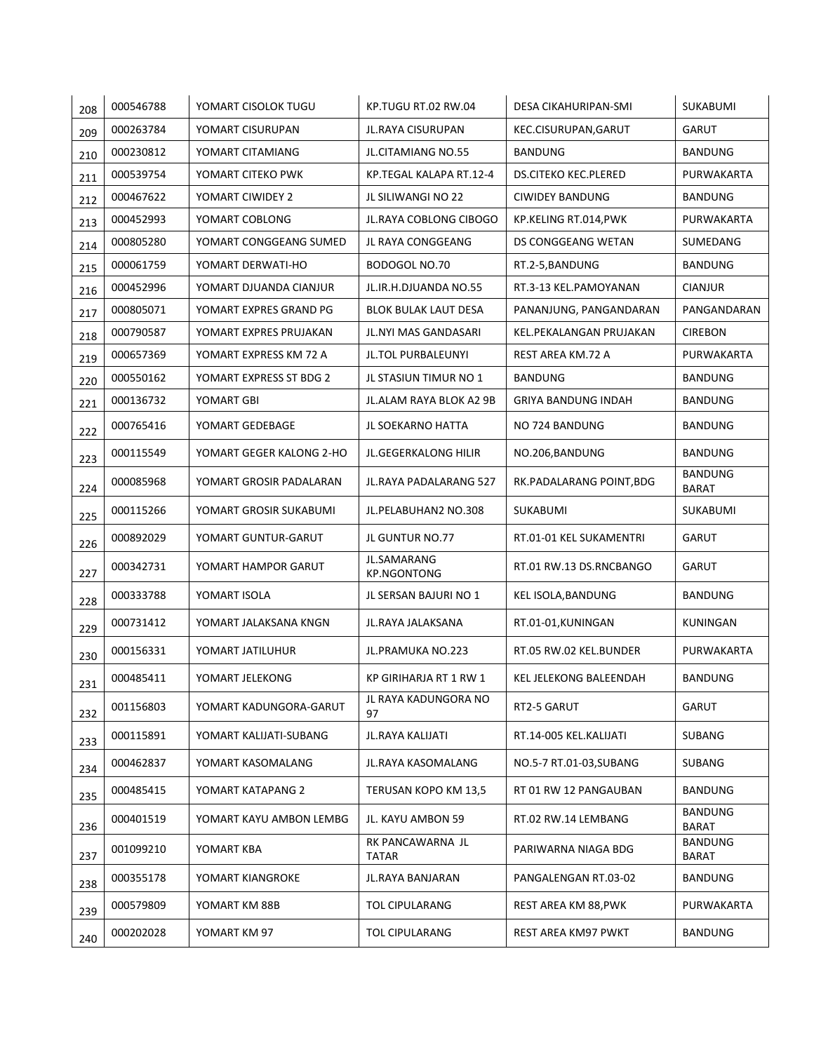| 208 | 000546788 | YOMART CISOLOK TUGU      | KP.TUGU RT.02 RW.04               | DESA CIKAHURIPAN-SMI        | SUKABUMI                       |
|-----|-----------|--------------------------|-----------------------------------|-----------------------------|--------------------------------|
| 209 | 000263784 | YOMART CISURUPAN         | JL.RAYA CISURUPAN                 | KEC.CISURUPAN, GARUT        | <b>GARUT</b>                   |
| 210 | 000230812 | YOMART CITAMIANG         | JL.CITAMIANG NO.55                | <b>BANDUNG</b>              | <b>BANDUNG</b>                 |
| 211 | 000539754 | YOMART CITEKO PWK        | KP.TEGAL KALAPA RT.12-4           | <b>DS.CITEKO KEC.PLERED</b> | PURWAKARTA                     |
| 212 | 000467622 | YOMART CIWIDEY 2         | JL SILIWANGI NO 22                | <b>CIWIDEY BANDUNG</b>      | <b>BANDUNG</b>                 |
| 213 | 000452993 | YOMART COBLONG           | <b>JL.RAYA COBLONG CIBOGO</b>     | KP.KELING RT.014, PWK       | PURWAKARTA                     |
| 214 | 000805280 | YOMART CONGGEANG SUMED   | JL RAYA CONGGEANG                 | DS CONGGEANG WETAN          | SUMEDANG                       |
| 215 | 000061759 | YOMART DERWATI-HO        | BODOGOL NO.70                     | RT.2-5, BANDUNG             | <b>BANDUNG</b>                 |
| 216 | 000452996 | YOMART DJUANDA CIANJUR   | JL.IR.H.DJUANDA NO.55             | RT.3-13 KEL.PAMOYANAN       | <b>CIANJUR</b>                 |
| 217 | 000805071 | YOMART EXPRES GRAND PG   | BLOK BULAK LAUT DESA              | PANANJUNG, PANGANDARAN      | PANGANDARAN                    |
| 218 | 000790587 | YOMART EXPRES PRUJAKAN   | JL.NYI MAS GANDASARI              | KEL.PEKALANGAN PRUJAKAN     | <b>CIREBON</b>                 |
| 219 | 000657369 | YOMART EXPRESS KM 72 A   | JL.TOL PURBALEUNYI                | REST AREA KM.72 A           | PURWAKARTA                     |
| 220 | 000550162 | YOMART EXPRESS ST BDG 2  | JL STASIUN TIMUR NO 1             | BANDUNG                     | <b>BANDUNG</b>                 |
| 221 | 000136732 | YOMART GBI               | JL.ALAM RAYA BLOK A2 9B           | <b>GRIYA BANDUNG INDAH</b>  | <b>BANDUNG</b>                 |
| 222 | 000765416 | YOMART GEDEBAGE          | JL SOEKARNO HATTA                 | NO 724 BANDUNG              | <b>BANDUNG</b>                 |
| 223 | 000115549 | YOMART GEGER KALONG 2-HO | JL.GEGERKALONG HILIR              | NO.206, BANDUNG             | <b>BANDUNG</b>                 |
| 224 | 000085968 | YOMART GROSIR PADALARAN  | JL.RAYA PADALARANG 527            | RK.PADALARANG POINT,BDG     | <b>BANDUNG</b><br><b>BARAT</b> |
| 225 | 000115266 | YOMART GROSIR SUKABUMI   | JL.PELABUHAN2 NO.308              | SUKABUMI                    | SUKABUMI                       |
| 226 | 000892029 | YOMART GUNTUR-GARUT      | JL GUNTUR NO.77                   | RT.01-01 KEL SUKAMENTRI     | <b>GARUT</b>                   |
| 227 | 000342731 | YOMART HAMPOR GARUT      | JL.SAMARANG<br><b>KP.NGONTONG</b> | RT.01 RW.13 DS.RNCBANGO     | GARUT                          |
| 228 | 000333788 | YOMART ISOLA             | JL SERSAN BAJURI NO 1             | KEL ISOLA, BANDUNG          | BANDUNG                        |
| 229 | 000731412 | YOMART JALAKSANA KNGN    | JL.RAYA JALAKSANA                 | RT.01-01, KUNINGAN          | KUNINGAN                       |
| 230 | 000156331 | YOMART JATILUHUR         | JL.PRAMUKA NO.223                 | RT.05 RW.02 KEL.BUNDER      | PURWAKARTA                     |
| 231 | 000485411 | YOMART JELEKONG          | KP GIRIHARJA RT 1 RW 1            | KEL JELEKONG BALEENDAH      | <b>BANDUNG</b>                 |
| 232 | 001156803 | YOMART KADUNGORA-GARUT   | JL RAYA KADUNGORA NO<br>97        | RT2-5 GARUT                 | GARUT                          |
| 233 | 000115891 | YOMART KALIJATI-SUBANG   | JL.RAYA KALIJATI                  | RT.14-005 KEL.KALIJATI      | SUBANG                         |
| 234 | 000462837 | YOMART KASOMALANG        | JL.RAYA KASOMALANG                | NO.5-7 RT.01-03, SUBANG     | SUBANG                         |
| 235 | 000485415 | YOMART KATAPANG 2        | TERUSAN KOPO KM 13,5              | RT 01 RW 12 PANGAUBAN       | BANDUNG                        |
| 236 | 000401519 | YOMART KAYU AMBON LEMBG  | JL. KAYU AMBON 59                 | RT.02 RW.14 LEMBANG         | BANDUNG<br><b>BARAT</b>        |
| 237 | 001099210 | YOMART KBA               | RK PANCAWARNA JL<br>TATAR         | PARIWARNA NIAGA BDG         | <b>BANDUNG</b><br><b>BARAT</b> |
| 238 | 000355178 | YOMART KIANGROKE         | JL.RAYA BANJARAN                  | PANGALENGAN RT.03-02        | BANDUNG                        |
| 239 | 000579809 | YOMART KM 88B            | <b>TOL CIPULARANG</b>             | REST AREA KM 88, PWK        | PURWAKARTA                     |
| 240 | 000202028 | YOMART KM 97             | <b>TOL CIPULARANG</b>             | REST AREA KM97 PWKT         | BANDUNG                        |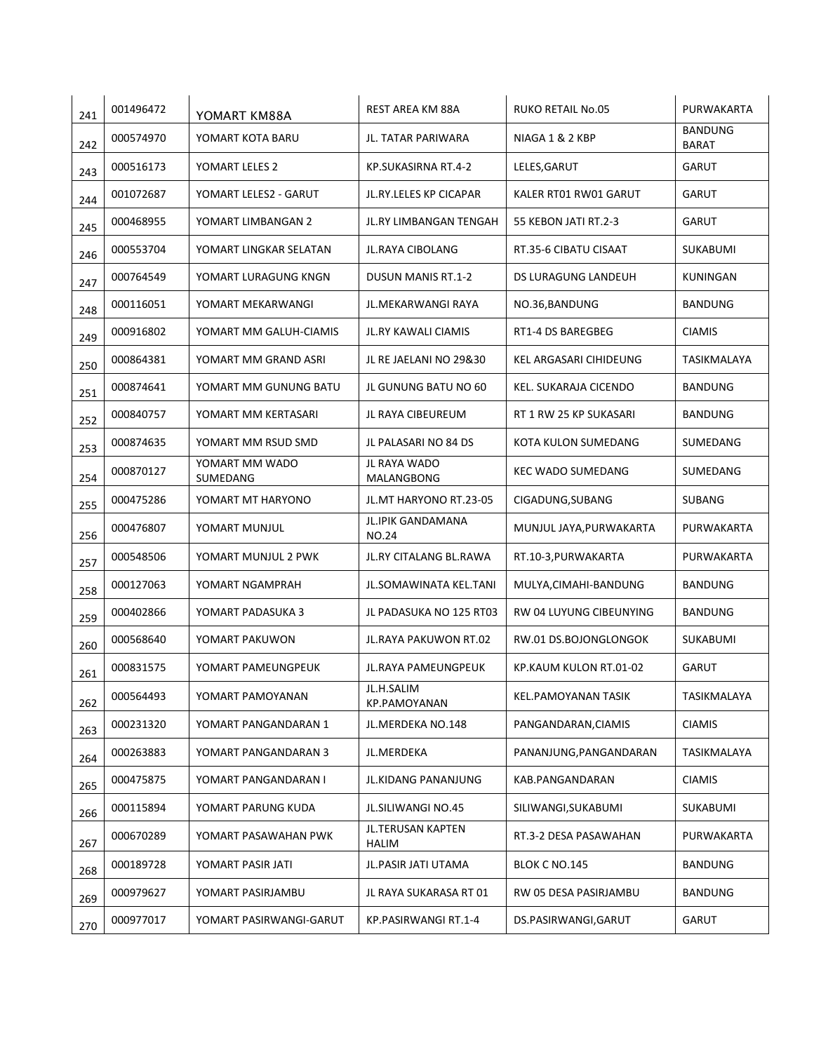| 241 | 001496472 | YOMART KM88A               | REST AREA KM 88A                  | <b>RUKO RETAIL No.05</b>   | PURWAKARTA                     |
|-----|-----------|----------------------------|-----------------------------------|----------------------------|--------------------------------|
| 242 | 000574970 | YOMART KOTA BARU           | JL. TATAR PARIWARA                | NIAGA 1 & 2 KBP            | <b>BANDUNG</b><br><b>BARAT</b> |
| 243 | 000516173 | YOMART LELES 2             | KP.SUKASIRNA RT.4-2               | LELES, GARUT               | <b>GARUT</b>                   |
| 244 | 001072687 | YOMART LELES2 - GARUT      | JL.RY.LELES KP CICAPAR            | KALER RT01 RW01 GARUT      | <b>GARUT</b>                   |
| 245 | 000468955 | YOMART LIMBANGAN 2         | JL.RY LIMBANGAN TENGAH            | 55 KEBON JATI RT.2-3       | <b>GARUT</b>                   |
| 246 | 000553704 | YOMART LINGKAR SELATAN     | JL.RAYA CIBOLANG                  | RT.35-6 CIBATU CISAAT      | SUKABUMI                       |
| 247 | 000764549 | YOMART LURAGUNG KNGN       | <b>DUSUN MANIS RT.1-2</b>         | DS LURAGUNG LANDEUH        | KUNINGAN                       |
| 248 | 000116051 | YOMART MEKARWANGI          | JL.MEKARWANGI RAYA                | NO.36, BANDUNG             | BANDUNG                        |
| 249 | 000916802 | YOMART MM GALUH-CIAMIS     | <b>JL.RY KAWALI CIAMIS</b>        | RT1-4 DS BAREGBEG          | <b>CIAMIS</b>                  |
| 250 | 000864381 | YOMART MM GRAND ASRI       | JL RE JAELANI NO 29&30            | KEL ARGASARI CIHIDEUNG     | TASIKMALAYA                    |
| 251 | 000874641 | YOMART MM GUNUNG BATU      | JL GUNUNG BATU NO 60              | KEL. SUKARAJA CICENDO      | <b>BANDUNG</b>                 |
| 252 | 000840757 | YOMART MM KERTASARI        | JL RAYA CIBEUREUM                 | RT 1 RW 25 KP SUKASARI     | <b>BANDUNG</b>                 |
| 253 | 000874635 | YOMART MM RSUD SMD         | JL PALASARI NO 84 DS              | KOTA KULON SUMEDANG        | SUMEDANG                       |
| 254 | 000870127 | YOMART MM WADO<br>SUMEDANG | JL RAYA WADO<br>MALANGBONG        | <b>KEC WADO SUMEDANG</b>   | SUMEDANG                       |
| 255 | 000475286 | YOMART MT HARYONO          | JL.MT HARYONO RT.23-05            | CIGADUNG, SUBANG           | SUBANG                         |
| 256 | 000476807 | YOMART MUNJUL              | JL.IPIK GANDAMANA<br><b>NO.24</b> | MUNJUL JAYA, PURWAKARTA    | PURWAKARTA                     |
| 257 | 000548506 | YOMART MUNJUL 2 PWK        | JL.RY CITALANG BL.RAWA            | RT.10-3, PURWAKARTA        | PURWAKARTA                     |
| 258 | 000127063 | YOMART NGAMPRAH            | JL.SOMAWINATA KEL.TANI            | MULYA, CIMAHI-BANDUNG      | BANDUNG                        |
| 259 | 000402866 | YOMART PADASUKA 3          | JL PADASUKA NO 125 RT03           | RW 04 LUYUNG CIBEUNYING    | <b>BANDUNG</b>                 |
| 260 | 000568640 | YOMART PAKUWON             | JL. RAYA PAKUWON RT.02            | RW.01 DS.BOJONGLONGOK      | <b>SUKABUMI</b>                |
| 261 | 000831575 | YOMART PAMEUNGPEUK         | JL.RAYA PAMEUNGPEUK               | KP.KAUM KULON RT.01-02     | GARUT                          |
| 262 | 000564493 | YOMART PAMOYANAN           | JL.H.SALIM<br>KP.PAMOYANAN        | <b>KEL.PAMOYANAN TASIK</b> | TASIKMALAYA                    |
| 263 | 000231320 | YOMART PANGANDARAN 1       | JL.MERDEKA NO.148                 | PANGANDARAN, CIAMIS        | <b>CIAMIS</b>                  |
| 264 | 000263883 | YOMART PANGANDARAN 3       | JL.MERDEKA                        | PANANJUNG, PANGANDARAN     | TASIKMALAYA                    |
| 265 | 000475875 | YOMART PANGANDARAN I       | JL.KIDANG PANANJUNG               | KAB.PANGANDARAN            | <b>CIAMIS</b>                  |
| 266 | 000115894 | YOMART PARUNG KUDA         | JL.SILIWANGI NO.45                | SILIWANGI, SUKABUMI        | SUKABUMI                       |
| 267 | 000670289 | YOMART PASAWAHAN PWK       | JL.TERUSAN KAPTEN<br><b>HALIM</b> | RT.3-2 DESA PASAWAHAN      | PURWAKARTA                     |
| 268 | 000189728 | YOMART PASIR JATI          | JL.PASIR JATI UTAMA               | BLOK C NO.145              | <b>BANDUNG</b>                 |
| 269 | 000979627 | YOMART PASIRJAMBU          | JL RAYA SUKARASA RT 01            | RW 05 DESA PASIRJAMBU      | <b>BANDUNG</b>                 |
| 270 | 000977017 | YOMART PASIRWANGI-GARUT    | KP.PASIRWANGI RT.1-4              | DS.PASIRWANGI, GARUT       | GARUT                          |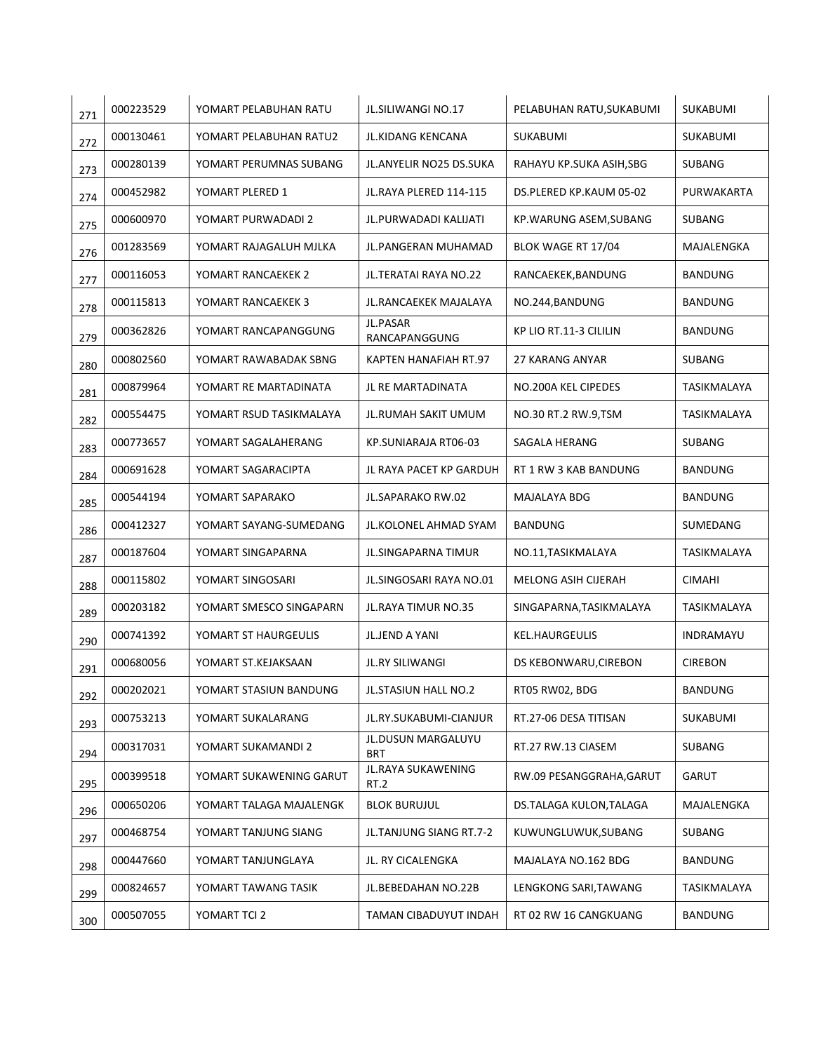| 271 | 000223529 | YOMART PELABUHAN RATU   | JL.SILIWANGI NO.17             | PELABUHAN RATU, SUKABUMI   | SUKABUMI           |
|-----|-----------|-------------------------|--------------------------------|----------------------------|--------------------|
| 272 | 000130461 | YOMART PELABUHAN RATU2  | JL.KIDANG KENCANA              | <b>SUKABUMI</b>            | SUKABUMI           |
| 273 | 000280139 | YOMART PERUMNAS SUBANG  | <b>JL.ANYELIR NO25 DS.SUKA</b> | RAHAYU KP.SUKA ASIH, SBG   | <b>SUBANG</b>      |
| 274 | 000452982 | YOMART PLERED 1         | JL.RAYA PLERED 114-115         | DS.PLERED KP.KAUM 05-02    | PURWAKARTA         |
| 275 | 000600970 | YOMART PURWADADI 2      | JL.PURWADADI KALIJATI          | KP.WARUNG ASEM, SUBANG     | <b>SUBANG</b>      |
| 276 | 001283569 | YOMART RAJAGALUH MJLKA  | JL.PANGERAN MUHAMAD            | BLOK WAGE RT 17/04         | MAJALENGKA         |
| 277 | 000116053 | YOMART RANCAEKEK 2      | JL.TERATAI RAYA NO.22          | RANCAEKEK, BANDUNG         | <b>BANDUNG</b>     |
| 278 | 000115813 | YOMART RANCAEKEK 3      | JL.RANCAEKEK MAJALAYA          | NO.244, BANDUNG            | <b>BANDUNG</b>     |
| 279 | 000362826 | YOMART RANCAPANGGUNG    | JL.PASAR<br>RANCAPANGGUNG      | KP LIO RT.11-3 CILILIN     | BANDUNG            |
| 280 | 000802560 | YOMART RAWABADAK SBNG   | KAPTEN HANAFIAH RT.97          | 27 KARANG ANYAR            | <b>SUBANG</b>      |
| 281 | 000879964 | YOMART RE MARTADINATA   | <b>JL RE MARTADINATA</b>       | NO.200A KEL CIPEDES        | <b>TASIKMALAYA</b> |
| 282 | 000554475 | YOMART RSUD TASIKMALAYA | JL.RUMAH SAKIT UMUM            | NO.30 RT.2 RW.9,TSM        | TASIKMALAYA        |
| 283 | 000773657 | YOMART SAGALAHERANG     | KP.SUNIARAJA RT06-03           | SAGALA HERANG              | <b>SUBANG</b>      |
| 284 | 000691628 | YOMART SAGARACIPTA      | JL RAYA PACET KP GARDUH        | RT 1 RW 3 KAB BANDUNG      | BANDUNG            |
| 285 | 000544194 | YOMART SAPARAKO         | JL.SAPARAKO RW.02              | MAJALAYA BDG               | <b>BANDUNG</b>     |
| 286 | 000412327 | YOMART SAYANG-SUMEDANG  | JL.KOLONEL AHMAD SYAM          | <b>BANDUNG</b>             | SUMEDANG           |
| 287 | 000187604 | YOMART SINGAPARNA       | JL.SINGAPARNA TIMUR            | NO.11, TASIKMALAYA         | TASIKMALAYA        |
| 288 | 000115802 | YOMART SINGOSARI        | JL.SINGOSARI RAYA NO.01        | <b>MELONG ASIH CIJERAH</b> | <b>CIMAHI</b>      |
| 289 | 000203182 | YOMART SMESCO SINGAPARN | JL.RAYA TIMUR NO.35            | SINGAPARNA, TASIKMALAYA    | TASIKMALAYA        |
| 290 | 000741392 | YOMART ST HAURGEULIS    | JL.JEND A YANI                 | <b>KEL.HAURGEULIS</b>      | INDRAMAYU          |
| 291 | 000680056 | YOMART ST.KEJAKSAAN     | <b>JL.RY SILIWANGI</b>         | DS KEBONWARU, CIREBON      | <b>CIREBON</b>     |
| 292 | 000202021 | YOMART STASIUN BANDUNG  | JL.STASIUN HALL NO.2           | RT05 RW02, BDG             | BANDUNG            |
| 293 | 000753213 | YOMART SUKALARANG       | JL.RY.SUKABUMI-CIANJUR         | RT.27-06 DESA TITISAN      | SUKABUMI           |
| 294 | 000317031 | YOMART SUKAMANDI 2      | JL.DUSUN MARGALUYU<br>BRT      | RT.27 RW.13 CIASEM         | SUBANG             |
| 295 | 000399518 | YOMART SUKAWENING GARUT | JL.RAYA SUKAWENING<br>RT.2     | RW.09 PESANGGRAHA, GARUT   | <b>GARUT</b>       |
| 296 | 000650206 | YOMART TALAGA MAJALENGK | <b>BLOK BURUJUL</b>            | DS.TALAGA KULON,TALAGA     | MAJALENGKA         |
| 297 | 000468754 | YOMART TANJUNG SIANG    | JL.TANJUNG SIANG RT.7-2        | KUWUNGLUWUK, SUBANG        | SUBANG             |
| 298 | 000447660 | YOMART TANJUNGLAYA      | JL. RY CICALENGKA              | MAJALAYA NO.162 BDG        | <b>BANDUNG</b>     |
| 299 | 000824657 | YOMART TAWANG TASIK     | JL.BEBEDAHAN NO.22B            | LENGKONG SARI, TAWANG      | TASIKMALAYA        |
| 300 | 000507055 | YOMART TCI 2            | TAMAN CIBADUYUT INDAH          | RT 02 RW 16 CANGKUANG      | <b>BANDUNG</b>     |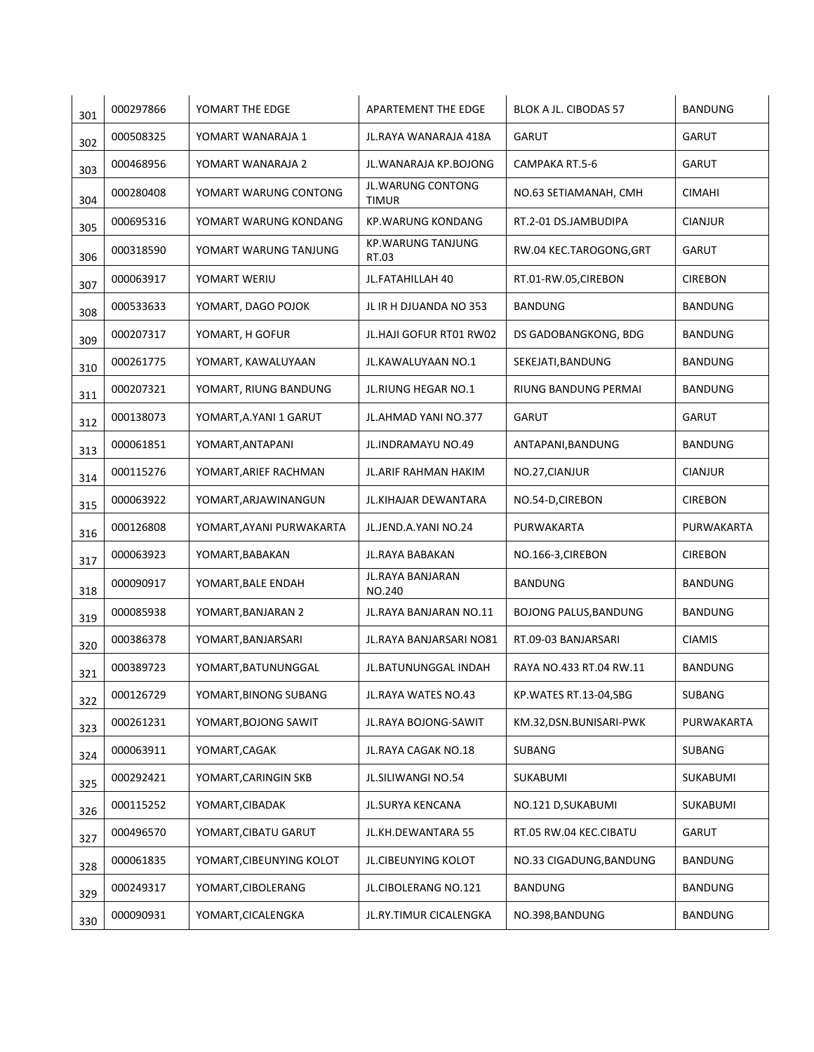| 301 | 000297866 | YOMART THE EDGE          | APARTEMENT THE EDGE               | BLOK A JL. CIBODAS 57        | <b>BANDUNG</b> |
|-----|-----------|--------------------------|-----------------------------------|------------------------------|----------------|
| 302 | 000508325 | YOMART WANARAJA 1        | JL.RAYA WANARAJA 418A             | <b>GARUT</b>                 | <b>GARUT</b>   |
| 303 | 000468956 | YOMART WANARAJA 2        | JL.WANARAJA KP.BOJONG             | CAMPAKA RT.5-6               | GARUT          |
| 304 | 000280408 | YOMART WARUNG CONTONG    | JL.WARUNG CONTONG<br><b>TIMUR</b> | NO.63 SETIAMANAH, CMH        | <b>CIMAHI</b>  |
| 305 | 000695316 | YOMART WARUNG KONDANG    | <b>KP.WARUNG KONDANG</b>          | RT.2-01 DS.JAMBUDIPA         | <b>CIANJUR</b> |
| 306 | 000318590 | YOMART WARUNG TANJUNG    | <b>KP.WARUNG TANJUNG</b><br>RT.03 | RW.04 KEC.TAROGONG, GRT      | GARUT          |
| 307 | 000063917 | YOMART WERIU             | JL.FATAHILLAH 40                  | RT.01-RW.05,CIREBON          | <b>CIREBON</b> |
| 308 | 000533633 | YOMART, DAGO POJOK       | JL IR H DJUANDA NO 353            | <b>BANDUNG</b>               | <b>BANDUNG</b> |
| 309 | 000207317 | YOMART, H GOFUR          | JL.HAJI GOFUR RT01 RW02           | DS GADOBANGKONG, BDG         | <b>BANDUNG</b> |
| 310 | 000261775 | YOMART, KAWALUYAAN       | JL.KAWALUYAAN NO.1                | SEKEJATI, BANDUNG            | <b>BANDUNG</b> |
| 311 | 000207321 | YOMART, RIUNG BANDUNG    | JL.RIUNG HEGAR NO.1               | RIUNG BANDUNG PERMAI         | <b>BANDUNG</b> |
| 312 | 000138073 | YOMART, A.YANI 1 GARUT   | JL.AHMAD YANI NO.377              | <b>GARUT</b>                 | GARUT          |
| 313 | 000061851 | YOMART, ANTAPANI         | JL.INDRAMAYU NO.49                | ANTAPANI, BANDUNG            | <b>BANDUNG</b> |
| 314 | 000115276 | YOMART, ARIEF RACHMAN    | JL.ARIF RAHMAN HAKIM              | NO.27, CIANJUR               | <b>CIANJUR</b> |
| 315 | 000063922 | YOMART, ARJAWINANGUN     | JL.KIHAJAR DEWANTARA              | NO.54-D,CIREBON              | <b>CIREBON</b> |
| 316 | 000126808 | YOMART, AYANI PURWAKARTA | JL.JEND.A.YANI NO.24              | PURWAKARTA                   | PURWAKARTA     |
| 317 | 000063923 | YOMART, BABAKAN          | JL.RAYA BABAKAN                   | NO.166-3, CIREBON            | <b>CIREBON</b> |
| 318 | 000090917 | YOMART, BALE ENDAH       | JL.RAYA BANJARAN<br>NO.240        | <b>BANDUNG</b>               | <b>BANDUNG</b> |
| 319 | 000085938 | YOMART, BANJARAN 2       | JL. RAYA BANJARAN NO. 11          | <b>BOJONG PALUS, BANDUNG</b> | <b>BANDUNG</b> |
| 320 | 000386378 | YOMART, BANJARSARI       | JL. RAYA BANJARSARI NO81          | RT.09-03 BANJARSARI          | <b>CIAMIS</b>  |
| 321 | 000389723 | YOMART, BATUNUNGGAL      | JL.BATUNUNGGAL INDAH              | RAYA NO.433 RT.04 RW.11      | <b>BANDUNG</b> |
| 322 | 000126729 | YOMART, BINONG SUBANG    | JL.RAYA WATES NO.43               | KP.WATES RT.13-04,SBG        | SUBANG         |
| 323 | 000261231 | YOMART, BOJONG SAWIT     | JL.RAYA BOJONG-SAWIT              | KM.32,DSN.BUNISARI-PWK       | PURWAKARTA     |
| 324 | 000063911 | YOMART, CAGAK            | JL.RAYA CAGAK NO.18               | SUBANG                       | SUBANG         |
| 325 | 000292421 | YOMART, CARINGIN SKB     | JL.SILIWANGI NO.54                | SUKABUMI                     | SUKABUMI       |
| 326 | 000115252 | YOMART, CIBADAK          | JL.SURYA KENCANA                  | NO.121 D, SUKABUMI           | SUKABUMI       |
| 327 | 000496570 | YOMART, CIBATU GARUT     | JL.KH.DEWANTARA 55                | RT.05 RW.04 KEC.CIBATU       | GARUT          |
| 328 | 000061835 | YOMART, CIBEUNYING KOLOT | JL.CIBEUNYING KOLOT               | NO.33 CIGADUNG, BANDUNG      | <b>BANDUNG</b> |
| 329 | 000249317 | YOMART, CIBOLERANG       | JL.CIBOLERANG NO.121              | <b>BANDUNG</b>               | <b>BANDUNG</b> |
| 330 | 000090931 | YOMART, CICALENGKA       | JL.RY.TIMUR CICALENGKA            | NO.398, BANDUNG              | <b>BANDUNG</b> |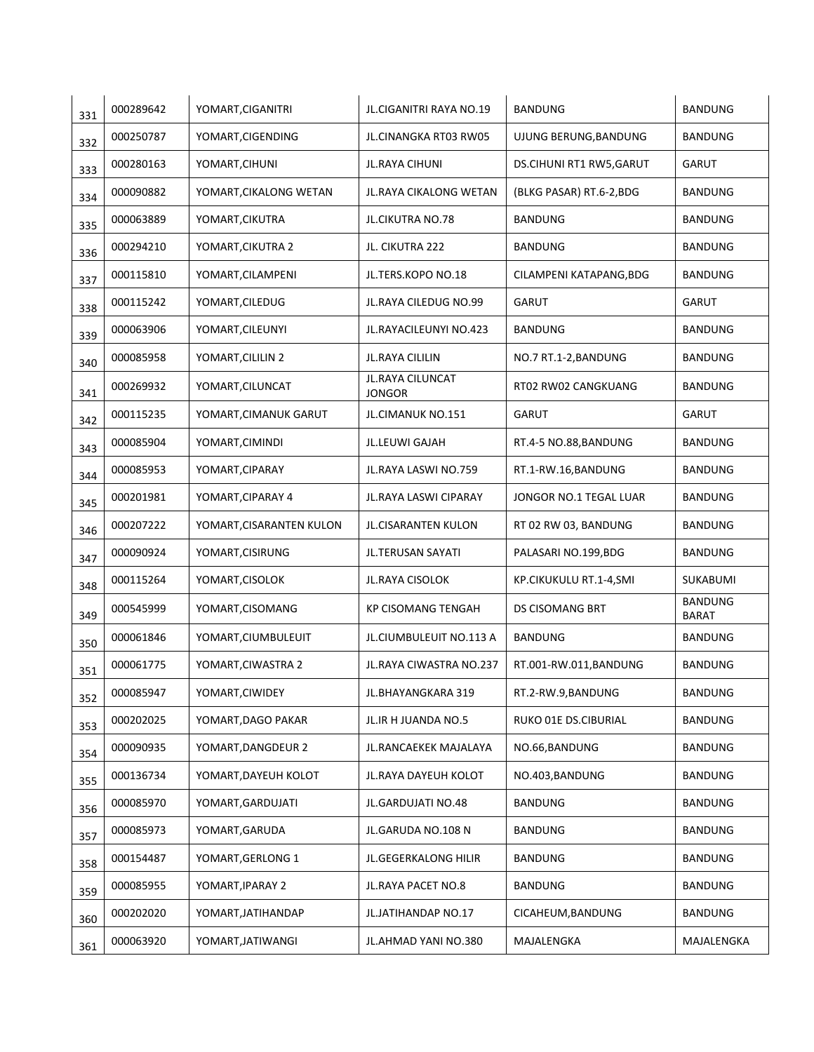| 331 | 000289642 | YOMART, CIGANITRI        | JL.CIGANITRI RAYA NO.19           | <b>BANDUNG</b>           | <b>BANDUNG</b>                 |
|-----|-----------|--------------------------|-----------------------------------|--------------------------|--------------------------------|
| 332 | 000250787 | YOMART, CIGENDING        | JL.CINANGKA RT03 RW05             | UJUNG BERUNG, BANDUNG    | <b>BANDUNG</b>                 |
| 333 | 000280163 | YOMART, CIHUNI           | <b>JL.RAYA CIHUNI</b>             | DS.CIHUNI RT1 RW5, GARUT | GARUT                          |
| 334 | 000090882 | YOMART, CIKALONG WETAN   | <b>JL.RAYA CIKALONG WETAN</b>     | (BLKG PASAR) RT.6-2,BDG  | <b>BANDUNG</b>                 |
| 335 | 000063889 | YOMART, CIKUTRA          | JL.CIKUTRA NO.78                  | <b>BANDUNG</b>           | <b>BANDUNG</b>                 |
| 336 | 000294210 | YOMART, CIKUTRA 2        | JL. CIKUTRA 222                   | <b>BANDUNG</b>           | <b>BANDUNG</b>                 |
| 337 | 000115810 | YOMART, CILAMPENI        | JL.TERS.KOPO NO.18                | CILAMPENI KATAPANG, BDG  | <b>BANDUNG</b>                 |
| 338 | 000115242 | YOMART, CILEDUG          | JL.RAYA CILEDUG NO.99             | <b>GARUT</b>             | <b>GARUT</b>                   |
| 339 | 000063906 | YOMART, CILEUNYI         | JL.RAYACILEUNYI NO.423            | <b>BANDUNG</b>           | <b>BANDUNG</b>                 |
| 340 | 000085958 | YOMART, CILILIN 2        | JL.RAYA CILILIN                   | NO.7 RT.1-2, BANDUNG     | <b>BANDUNG</b>                 |
| 341 | 000269932 | YOMART, CILUNCAT         | JL.RAYA CILUNCAT<br><b>JONGOR</b> | RT02 RW02 CANGKUANG      | <b>BANDUNG</b>                 |
| 342 | 000115235 | YOMART, CIMANUK GARUT    | JL.CIMANUK NO.151                 | <b>GARUT</b>             | <b>GARUT</b>                   |
| 343 | 000085904 | YOMART, CIMINDI          | <b>JL.LEUWI GAJAH</b>             | RT.4-5 NO.88, BANDUNG    | <b>BANDUNG</b>                 |
| 344 | 000085953 | YOMART, CIPARAY          | JL.RAYA LASWI NO.759              | RT.1-RW.16,BANDUNG       | <b>BANDUNG</b>                 |
| 345 | 000201981 | YOMART, CIPARAY 4        | JL.RAYA LASWI CIPARAY             | JONGOR NO.1 TEGAL LUAR   | <b>BANDUNG</b>                 |
| 346 | 000207222 | YOMART, CISARANTEN KULON | JL.CISARANTEN KULON               | RT 02 RW 03, BANDUNG     | <b>BANDUNG</b>                 |
| 347 | 000090924 | YOMART, CISIRUNG         | JL.TERUSAN SAYATI                 | PALASARI NO.199,BDG      | <b>BANDUNG</b>                 |
| 348 | 000115264 | YOMART, CISOLOK          | JL.RAYA CISOLOK                   | KP.CIKUKULU RT.1-4,SMI   | <b>SUKABUMI</b>                |
| 349 | 000545999 | YOMART, CISOMANG         | <b>KP CISOMANG TENGAH</b>         | <b>DS CISOMANG BRT</b>   | <b>BANDUNG</b><br><b>BARAT</b> |
| 350 | 000061846 | YOMART, CIUMBULEUIT      | JL.CIUMBULEUIT NO.113 A           | <b>BANDUNG</b>           | <b>BANDUNG</b>                 |
| 351 | 000061775 | YOMART, CIWASTRA 2       | JL.RAYA CIWASTRA NO.237           | RT.001-RW.011,BANDUNG    | <b>BANDUNG</b>                 |
| 352 | 000085947 | YOMART, CIWIDEY          | JL.BHAYANGKARA 319                | RT.2-RW.9,BANDUNG        | <b>BANDUNG</b>                 |
| 353 | 000202025 | YOMART, DAGO PAKAR       | JL.IR H JUANDA NO.5               | RUKO 01E DS.CIBURIAL     | <b>BANDUNG</b>                 |
| 354 | 000090935 | YOMART, DANGDEUR 2       | JL.RANCAEKEK MAJALAYA             | NO.66, BANDUNG           | <b>BANDUNG</b>                 |
| 355 | 000136734 | YOMART, DAYEUH KOLOT     | JL.RAYA DAYEUH KOLOT              | NO.403, BANDUNG          | <b>BANDUNG</b>                 |
| 356 | 000085970 | YOMART, GARDUJATI        | JL.GARDUJATI NO.48                | <b>BANDUNG</b>           | <b>BANDUNG</b>                 |
| 357 | 000085973 | YOMART, GARUDA           | JL.GARUDA NO.108 N                | <b>BANDUNG</b>           | <b>BANDUNG</b>                 |
| 358 | 000154487 | YOMART, GERLONG 1        | <b>JL.GEGERKALONG HILIR</b>       | <b>BANDUNG</b>           | <b>BANDUNG</b>                 |
| 359 | 000085955 | YOMART, IPARAY 2         | JL.RAYA PACET NO.8                | <b>BANDUNG</b>           | <b>BANDUNG</b>                 |
| 360 | 000202020 | YOMART, JATIHANDAP       | JL.JATIHANDAP NO.17               | CICAHEUM, BANDUNG        | <b>BANDUNG</b>                 |
| 361 | 000063920 | YOMART, JATIWANGI        | JL.AHMAD YANI NO.380              | MAJALENGKA               | MAJALENGKA                     |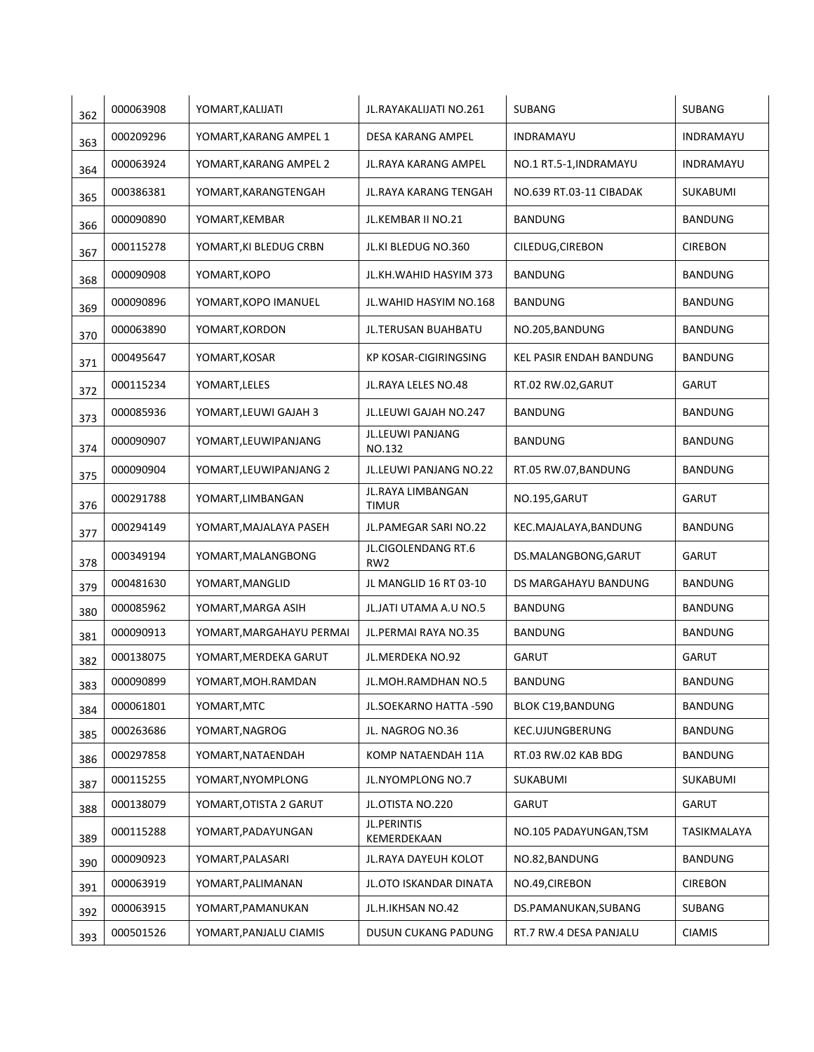| 362 | 000063908 | YOMART, KALIJATI         | JL.RAYAKALIJATI NO.261                 | <b>SUBANG</b>            | <b>SUBANG</b>   |
|-----|-----------|--------------------------|----------------------------------------|--------------------------|-----------------|
| 363 | 000209296 | YOMART, KARANG AMPEL 1   | DESA KARANG AMPEL                      | INDRAMAYU                | INDRAMAYU       |
| 364 | 000063924 | YOMART.KARANG AMPEL 2    | JL.RAYA KARANG AMPEL                   | NO.1 RT.5-1, INDRAMAYU   | INDRAMAYU       |
| 365 | 000386381 | YOMART, KARANGTENGAH     | JL.RAYA KARANG TENGAH                  | NO.639 RT.03-11 CIBADAK  | <b>SUKABUMI</b> |
| 366 | 000090890 | YOMART, KEMBAR           | JL.KEMBAR II NO.21                     | <b>BANDUNG</b>           | <b>BANDUNG</b>  |
| 367 | 000115278 | YOMART, KI BLEDUG CRBN   | JL.KI BLEDUG NO.360                    | CILEDUG, CIREBON         | <b>CIREBON</b>  |
| 368 | 000090908 | YOMART, KOPO             | JL.KH.WAHID HASYIM 373                 | <b>BANDUNG</b>           | <b>BANDUNG</b>  |
| 369 | 000090896 | YOMART, KOPO IMANUEL     | JL.WAHID HASYIM NO.168                 | <b>BANDUNG</b>           | <b>BANDUNG</b>  |
| 370 | 000063890 | YOMART, KORDON           | JL.TERUSAN BUAHBATU                    | NO.205, BANDUNG          | <b>BANDUNG</b>  |
| 371 | 000495647 | YOMART, KOSAR            | KP KOSAR-CIGIRINGSING                  | KEL PASIR ENDAH BANDUNG  | <b>BANDUNG</b>  |
| 372 | 000115234 | YOMART, LELES            | JL.RAYA LELES NO.48                    | RT.02 RW.02, GARUT       | GARUT           |
| 373 | 000085936 | YOMART, LEUWI GAJAH 3    | JL.LEUWI GAJAH NO.247                  | <b>BANDUNG</b>           | <b>BANDUNG</b>  |
| 374 | 000090907 | YOMART, LEUWIPANJANG     | JL.LEUWI PANJANG<br>NO.132             | <b>BANDUNG</b>           | <b>BANDUNG</b>  |
| 375 | 000090904 | YOMART, LEUWIPANJANG 2   | <b>JL.LEUWI PANJANG NO.22</b>          | RT.05 RW.07, BANDUNG     | <b>BANDUNG</b>  |
| 376 | 000291788 | YOMART, LIMBANGAN        | JL.RAYA LIMBANGAN<br><b>TIMUR</b>      | NO.195, GARUT            | <b>GARUT</b>    |
| 377 | 000294149 | YOMART, MAJALAYA PASEH   | JL.PAMEGAR SARI NO.22                  | KEC.MAJALAYA, BANDUNG    | <b>BANDUNG</b>  |
| 378 | 000349194 | YOMART, MALANGBONG       | JL.CIGOLENDANG RT.6<br>RW <sub>2</sub> | DS.MALANGBONG, GARUT     | <b>GARUT</b>    |
| 379 | 000481630 | YOMART, MANGLID          | JL MANGLID 16 RT 03-10                 | DS MARGAHAYU BANDUNG     | <b>BANDUNG</b>  |
| 380 | 000085962 | YOMART, MARGA ASIH       | JL.JATI UTAMA A.U NO.5                 | <b>BANDUNG</b>           | <b>BANDUNG</b>  |
| 381 | 000090913 | YOMART, MARGAHAYU PERMAI | JL.PERMAI RAYA NO.35                   | <b>BANDUNG</b>           | <b>BANDUNG</b>  |
| 382 | 000138075 | YOMART, MERDEKA GARUT    | JL.MERDEKA NO.92                       | <b>GARUT</b>             | GARUT           |
| 383 | 000090899 | YOMART,MOH.RAMDAN        | JL.MOH.RAMDHAN NO.5                    | <b>BANDUNG</b>           | <b>BANDUNG</b>  |
| 384 | 000061801 | YOMART, MTC              | JL.SOEKARNO HATTA -590                 | <b>BLOK C19, BANDUNG</b> | <b>BANDUNG</b>  |
| 385 | 000263686 | YOMART, NAGROG           | JL. NAGROG NO.36                       | KEC.UJUNGBERUNG          | <b>BANDUNG</b>  |
| 386 | 000297858 | YOMART, NATAENDAH        | KOMP NATAENDAH 11A                     | RT.03 RW.02 KAB BDG      | <b>BANDUNG</b>  |
| 387 | 000115255 | YOMART, NYOMPLONG        | JL.NYOMPLONG NO.7                      | SUKABUMI                 | SUKABUMI        |
| 388 | 000138079 | YOMART, OTISTA 2 GARUT   | JL.OTISTA NO.220                       | <b>GARUT</b>             | <b>GARUT</b>    |
| 389 | 000115288 | YOMART, PADAYUNGAN       | JL.PERINTIS<br>KEMERDEKAAN             | NO.105 PADAYUNGAN, TSM   | TASIKMALAYA     |
| 390 | 000090923 | YOMART, PALASARI         | JL.RAYA DAYEUH KOLOT                   | NO.82, BANDUNG           | <b>BANDUNG</b>  |
| 391 | 000063919 | YOMART, PALIMANAN        | JL.OTO ISKANDAR DINATA                 | NO.49, CIREBON           | <b>CIREBON</b>  |
| 392 | 000063915 | YOMART, PAMANUKAN        | JL.H.IKHSAN NO.42                      | DS.PAMANUKAN, SUBANG     | SUBANG          |
| 393 | 000501526 | YOMART, PANJALU CIAMIS   | <b>DUSUN CUKANG PADUNG</b>             | RT.7 RW.4 DESA PANJALU   | <b>CIAMIS</b>   |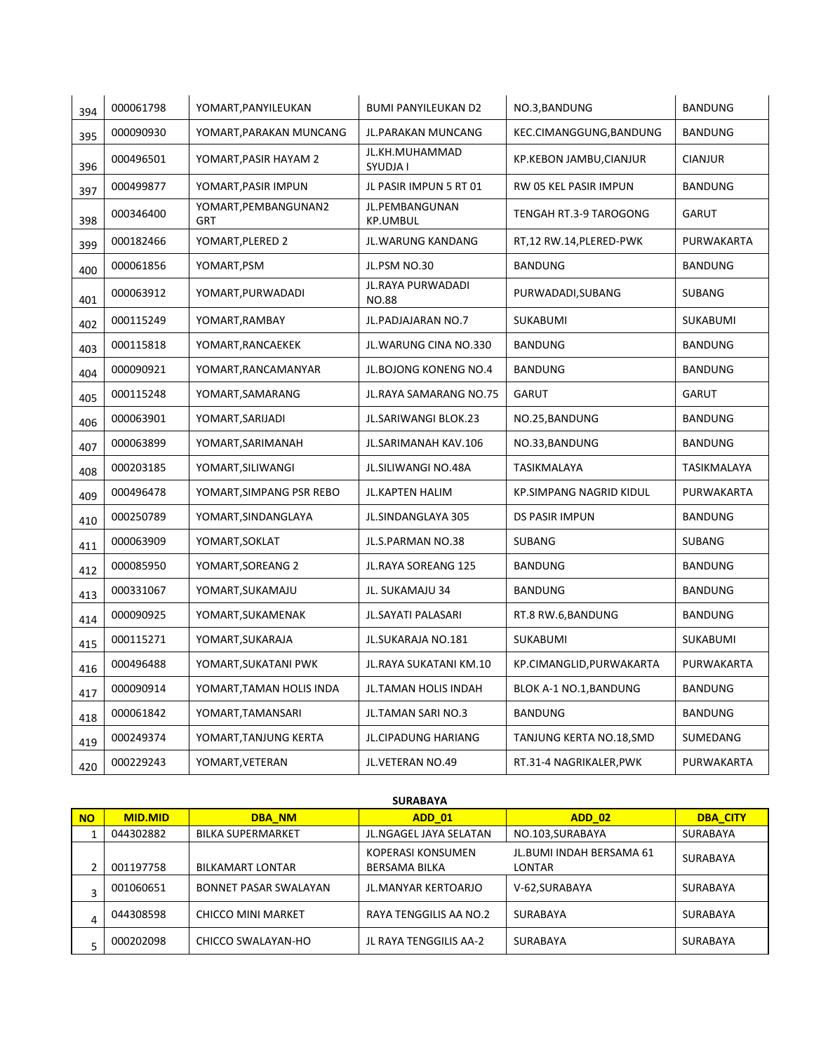| 394 | 000061798 | YOMART, PANYILEUKAN         | <b>BUMI PANYILEUKAN D2</b>        | NO.3, BANDUNG                  | <b>BANDUNG</b> |
|-----|-----------|-----------------------------|-----------------------------------|--------------------------------|----------------|
| 395 | 000090930 | YOMART, PARAKAN MUNCANG     | JL.PARAKAN MUNCANG                | KEC.CIMANGGUNG, BANDUNG        | <b>BANDUNG</b> |
| 396 | 000496501 | YOMART, PASIR HAYAM 2       | JL.KH.MUHAMMAD<br>SYUDJA I        | KP.KEBON JAMBU, CIANJUR        | <b>CIANJUR</b> |
| 397 | 000499877 | YOMART, PASIR IMPUN         | JL PASIR IMPUN 5 RT 01            | RW 05 KEL PASIR IMPUN          | <b>BANDUNG</b> |
| 398 | 000346400 | YOMART, PEMBANGUNAN2<br>GRT | JL.PEMBANGUNAN<br>KP.UMBUL        | TENGAH RT.3-9 TAROGONG         | <b>GARUT</b>   |
| 399 | 000182466 | YOMART, PLERED 2            | JL.WARUNG KANDANG                 | RT,12 RW.14, PLERED-PWK        | PURWAKARTA     |
| 400 | 000061856 | YOMART, PSM                 | JL.PSM NO.30                      | <b>BANDUNG</b>                 | <b>BANDUNG</b> |
| 401 | 000063912 | YOMART, PURWADADI           | JL.RAYA PURWADADI<br><b>NO.88</b> | PURWADADI, SUBANG              | SUBANG         |
| 402 | 000115249 | YOMART, RAMBAY              | JL.PADJAJARAN NO.7                | <b>SUKABUMI</b>                | SUKABUMI       |
| 403 | 000115818 | YOMART, RANCAEKEK           | JL.WARUNG CINA NO.330             | <b>BANDUNG</b>                 | <b>BANDUNG</b> |
| 404 | 000090921 | YOMART, RANCAMANYAR         | JL.BOJONG KONENG NO.4             | <b>BANDUNG</b>                 | <b>BANDUNG</b> |
| 405 | 000115248 | YOMART, SAMARANG            | JL.RAYA SAMARANG NO.75            | <b>GARUT</b>                   | <b>GARUT</b>   |
| 406 | 000063901 | YOMART, SARIJADI            | JL.SARIWANGI BLOK.23              | NO.25, BANDUNG                 | <b>BANDUNG</b> |
| 407 | 000063899 | YOMART, SARIMANAH           | JL.SARIMANAH KAV.106              | NO.33, BANDUNG                 | <b>BANDUNG</b> |
| 408 | 000203185 | YOMART, SILIWANGI           | JL.SILIWANGI NO.48A               | TASIKMALAYA                    | TASIKMALAYA    |
| 409 | 000496478 | YOMART, SIMPANG PSR REBO    | <b>JL.KAPTEN HALIM</b>            | <b>KP.SIMPANG NAGRID KIDUL</b> | PURWAKARTA     |
| 410 | 000250789 | YOMART, SINDANGLAYA         | JL.SINDANGLAYA 305                | DS PASIR IMPUN                 | <b>BANDUNG</b> |
| 411 | 000063909 | YOMART, SOKLAT              | JL.S.PARMAN NO.38                 | <b>SUBANG</b>                  | <b>SUBANG</b>  |
| 412 | 000085950 | YOMART, SOREANG 2           | JL.RAYA SOREANG 125               | <b>BANDUNG</b>                 | <b>BANDUNG</b> |
| 413 | 000331067 | YOMART, SUKAMAJU            | JL. SUKAMAJU 34                   | <b>BANDUNG</b>                 | <b>BANDUNG</b> |
| 414 | 000090925 | YOMART, SUKAMENAK           | JL.SAYATI PALASARI                | RT.8 RW.6, BANDUNG             | <b>BANDUNG</b> |
| 415 | 000115271 | YOMART, SUKARAJA            | JL.SUKARAJA NO.181                | SUKABUMI                       | SUKABUMI       |
| 416 | 000496488 | YOMART, SUKATANI PWK        | JL.RAYA SUKATANI KM.10            | KP.CIMANGLID, PURWAKARTA       | PURWAKARTA     |
| 417 | 000090914 | YOMART, TAMAN HOLIS INDA    | JL.TAMAN HOLIS INDAH              | BLOK A-1 NO.1, BANDUNG         | <b>BANDUNG</b> |
| 418 | 000061842 | YOMART, TAMANSARI           | JL.TAMAN SARI NO.3                | <b>BANDUNG</b>                 | <b>BANDUNG</b> |
| 419 | 000249374 | YOMART, TANJUNG KERTA       | <b>JL.CIPADUNG HARIANG</b>        | TANJUNG KERTA NO.18,SMD        | SUMEDANG       |
| 420 | 000229243 | YOMART, VETERAN             | JL.VETERAN NO.49                  | RT.31-4 NAGRIKALER, PWK        | PURWAKARTA     |

## **SURABAYA**

| l no | <b>MID.MID</b> | <b>DBA NM</b>                | <b>ADD 01</b>                             | <b>ADD 02</b>                             | <b>DBA CITY</b> |
|------|----------------|------------------------------|-------------------------------------------|-------------------------------------------|-----------------|
|      | 044302882      | <b>BILKA SUPERMARKET</b>     | JL.NGAGEL JAYA SELATAN                    | NO.103, SURABAYA                          | <b>SURABAYA</b> |
|      | 001197758      | <b>BILKAMART LONTAR</b>      | KOPERASI KONSUMEN<br><b>BERSAMA BILKA</b> | JL.BUMI INDAH BERSAMA 61<br><b>LONTAR</b> | <b>SURABAYA</b> |
|      | 001060651      | <b>BONNET PASAR SWALAYAN</b> | <b>JL.MANYAR KERTOARJO</b>                | V-62, SURABAYA                            | <b>SURABAYA</b> |
| 4    | 044308598      | CHICCO MINI MARKET           | RAYA TENGGILIS AA NO.2                    | <b>SURABAYA</b>                           | <b>SURABAYA</b> |
|      | 000202098      | CHICCO SWALAYAN-HO           | JL RAYA TENGGILIS AA-2                    | <b>SURABAYA</b>                           | <b>SURABAYA</b> |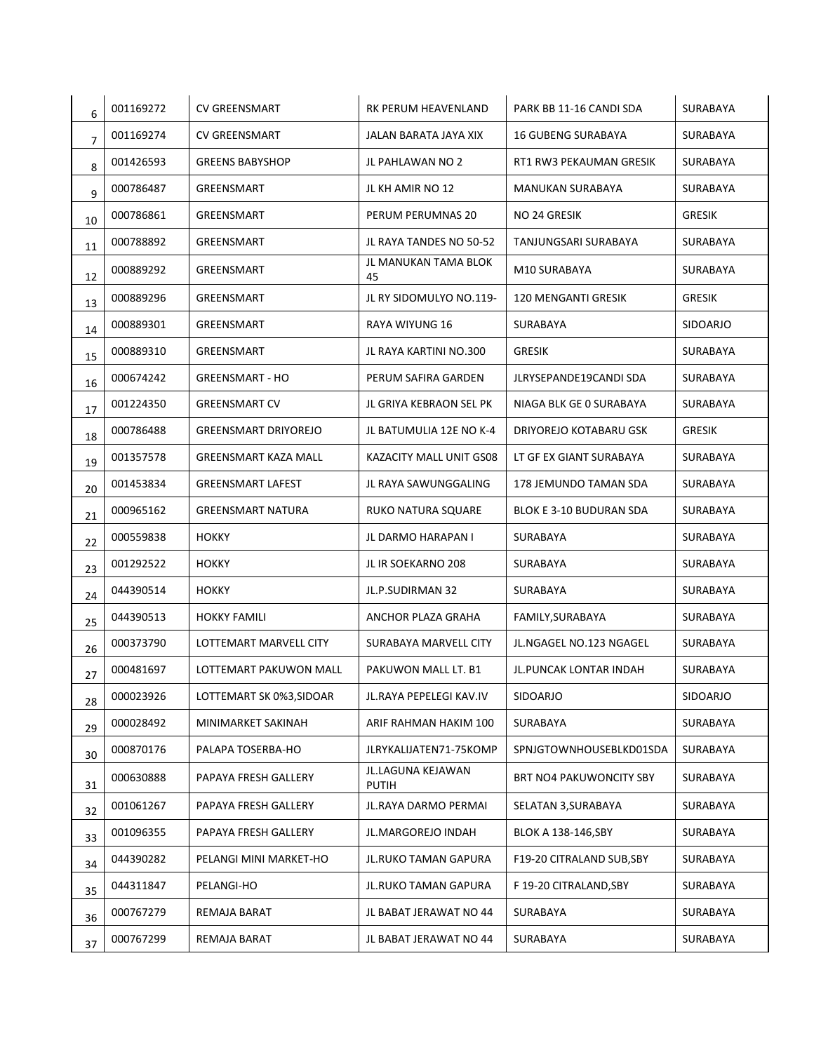| 6              | 001169272 | <b>CV GREENSMART</b>        | RK PERUM HEAVENLAND               | PARK BB 11-16 CANDI SDA   | SURABAYA        |
|----------------|-----------|-----------------------------|-----------------------------------|---------------------------|-----------------|
| $\overline{7}$ | 001169274 | <b>CV GREENSMART</b>        | JALAN BARATA JAYA XIX             | <b>16 GUBENG SURABAYA</b> | SURABAYA        |
| 8              | 001426593 | <b>GREENS BABYSHOP</b>      | JL PAHLAWAN NO 2                  | RT1 RW3 PEKAUMAN GRESIK   | SURABAYA        |
| 9              | 000786487 | GREENSMART                  | JL KH AMIR NO 12                  | MANUKAN SURABAYA          | <b>SURABAYA</b> |
| 10             | 000786861 | GREENSMART                  | PERUM PERUMNAS 20                 | NO 24 GRESIK              | <b>GRESIK</b>   |
| 11             | 000788892 | GREENSMART                  | JL RAYA TANDES NO 50-52           | TANJUNGSARI SURABAYA      | SURABAYA        |
| 12             | 000889292 | GREENSMART                  | JL MANUKAN TAMA BLOK<br>45        | M10 SURABAYA              | SURABAYA        |
| 13             | 000889296 | GREENSMART                  | JL RY SIDOMULYO NO.119-           | 120 MENGANTI GRESIK       | <b>GRESIK</b>   |
| 14             | 000889301 | GREENSMART                  | RAYA WIYUNG 16                    | SURABAYA                  | SIDOARJO        |
| 15             | 000889310 | GREENSMART                  | JL RAYA KARTINI NO.300            | <b>GRESIK</b>             | SURABAYA        |
| 16             | 000674242 | <b>GREENSMART - HO</b>      | PERUM SAFIRA GARDEN               | JLRYSEPANDE19CANDI SDA    | SURABAYA        |
| 17             | 001224350 | <b>GREENSMART CV</b>        | JL GRIYA KEBRAON SEL PK           | NIAGA BLK GE O SURABAYA   | SURABAYA        |
| 18             | 000786488 | <b>GREENSMART DRIYOREJO</b> | JL BATUMULIA 12E NO K-4           | DRIYOREJO KOTABARU GSK    | <b>GRESIK</b>   |
| 19             | 001357578 | <b>GREENSMART KAZA MALL</b> | KAZACITY MALL UNIT GS08           | LT GF EX GIANT SURABAYA   | SURABAYA        |
| 20             | 001453834 | <b>GREENSMART LAFEST</b>    | JL RAYA SAWUNGGALING              | 178 JEMUNDO TAMAN SDA     | SURABAYA        |
| 21             | 000965162 | <b>GREENSMART NATURA</b>    | RUKO NATURA SQUARE                | BLOK E 3-10 BUDURAN SDA   | SURABAYA        |
| 22             | 000559838 | <b>HOKKY</b>                | JL DARMO HARAPAN I                | SURABAYA                  | SURABAYA        |
| 23             | 001292522 | <b>HOKKY</b>                | JL IR SOEKARNO 208                | SURABAYA                  | SURABAYA        |
| 24             | 044390514 | <b>HOKKY</b>                | JL.P.SUDIRMAN 32                  | SURABAYA                  | SURABAYA        |
| 25             | 044390513 | <b>HOKKY FAMILI</b>         | ANCHOR PLAZA GRAHA                | FAMILY, SURABAYA          | SURABAYA        |
| 26             | 000373790 | LOTTEMART MARVELL CITY      | SURABAYA MARVELL CITY             | JL.NGAGEL NO.123 NGAGEL   | SURABAYA        |
| 27             | 000481697 | LOTTEMART PAKUWON MALL      | PAKUWON MALL LT. B1               | JL.PUNCAK LONTAR INDAH    | SURABAYA        |
| 28             | 000023926 | LOTTEMART SK 0%3, SIDOAR    | JL.RAYA PEPELEGI KAV.IV           | SIDOARJO                  | SIDOARJO        |
| 29             | 000028492 | MINIMARKET SAKINAH          | ARIF RAHMAN HAKIM 100             | SURABAYA                  | SURABAYA        |
| 30             | 000870176 | PALAPA TOSERBA-HO           | JLRYKALIJATEN71-75KOMP            | SPNJGTOWNHOUSEBLKD01SDA   | SURABAYA        |
| 31             | 000630888 | PAPAYA FRESH GALLERY        | JL.LAGUNA KEJAWAN<br><b>PUTIH</b> | BRT NO4 PAKUWONCITY SBY   | SURABAYA        |
| 32             | 001061267 | PAPAYA FRESH GALLERY        | JL.RAYA DARMO PERMAI              | SELATAN 3, SURABAYA       | SURABAYA        |
| 33             | 001096355 | PAPAYA FRESH GALLERY        | JL.MARGOREJO INDAH                | BLOK A 138-146, SBY       | SURABAYA        |
| 34             | 044390282 | PELANGI MINI MARKET-HO      | JL.RUKO TAMAN GAPURA              | F19-20 CITRALAND SUB, SBY | SURABAYA        |
| 35             | 044311847 | PELANGI-HO                  | JL.RUKO TAMAN GAPURA              | F 19-20 CITRALAND, SBY    | SURABAYA        |
| 36             | 000767279 | REMAJA BARAT                | JL BABAT JERAWAT NO 44            | SURABAYA                  | SURABAYA        |
| 37             | 000767299 | REMAJA BARAT                | JL BABAT JERAWAT NO 44            | SURABAYA                  | SURABAYA        |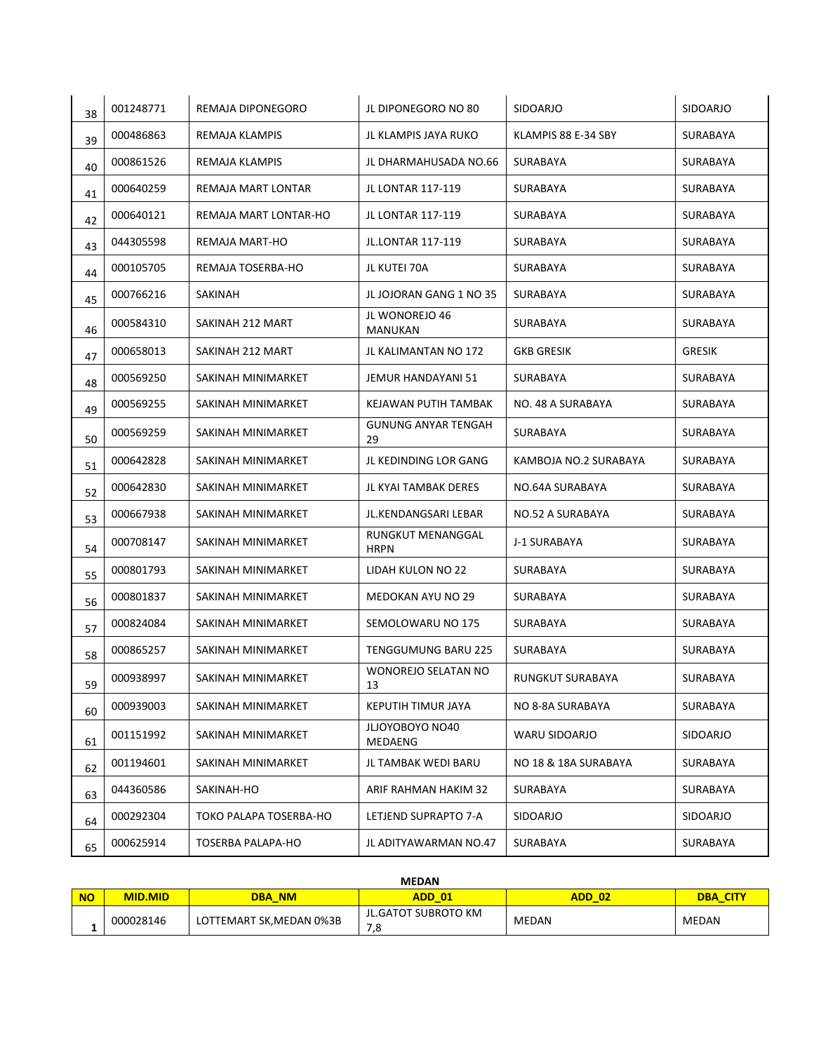| 38 | 001248771 | REMAJA DIPONEGORO        | JL DIPONEGORO NO 80              | <b>SIDOARJO</b>         | <b>SIDOARJO</b> |
|----|-----------|--------------------------|----------------------------------|-------------------------|-----------------|
| 39 | 000486863 | <b>REMAJA KLAMPIS</b>    | JL KLAMPIS JAYA RUKO             | KLAMPIS 88 E-34 SBY     | SURABAYA        |
| 40 | 000861526 | REMAJA KLAMPIS           | JL DHARMAHUSADA NO.66            | SURABAYA                | SURABAYA        |
| 41 | 000640259 | REMAJA MART LONTAR       | <b>JL LONTAR 117-119</b>         | SURABAYA                | SURABAYA        |
| 42 | 000640121 | REMAJA MART LONTAR-HO    | JL LONTAR 117-119                | SURABAYA                | SURABAYA        |
| 43 | 044305598 | REMAJA MART-HO           | JL.LONTAR 117-119                | <b>SURABAYA</b>         | SURABAYA        |
| 44 | 000105705 | REMAJA TOSERBA-HO        | JL KUTEI 70A                     | SURABAYA                | SURABAYA        |
| 45 | 000766216 | SAKINAH                  | JL JOJORAN GANG 1 NO 35          | SURABAYA                | SURABAYA        |
| 46 | 000584310 | SAKINAH 212 MART         | JL WONOREJO 46<br>MANUKAN        | SURABAYA                | SURABAYA        |
| 47 | 000658013 | SAKINAH 212 MART         | JL KALIMANTAN NO 172             | <b>GKB GRESIK</b>       | <b>GRESIK</b>   |
| 48 | 000569250 | SAKINAH MINIMARKET       | JEMUR HANDAYANI 51               | SURABAYA                | SURABAYA        |
| 49 | 000569255 | SAKINAH MINIMARKET       | KEJAWAN PUTIH TAMBAK             | NO. 48 A SURABAYA       | <b>SURABAYA</b> |
| 50 | 000569259 | SAKINAH MINIMARKET       | <b>GUNUNG ANYAR TENGAH</b><br>29 | SURABAYA                | SURABAYA        |
| 51 | 000642828 | SAKINAH MINIMARKET       | JL KEDINDING LOR GANG            | KAMBOJA NO.2 SURABAYA   | SURABAYA        |
| 52 | 000642830 | SAKINAH MINIMARKET       | JL KYAI TAMBAK DERES             | NO.64A SURABAYA         | SURABAYA        |
| 53 | 000667938 | SAKINAH MINIMARKET       | JL.KENDANGSARI LEBAR             | NO.52 A SURABAYA        | SURABAYA        |
| 54 | 000708147 | SAKINAH MINIMARKET       | RUNGKUT MENANGGAL<br><b>HRPN</b> | J-1 SURABAYA            | SURABAYA        |
| 55 | 000801793 | SAKINAH MINIMARKET       | LIDAH KULON NO 22                | SURABAYA                | SURABAYA        |
| 56 | 000801837 | SAKINAH MINIMARKET       | <b>MEDOKAN AYU NO 29</b>         | SURABAYA                | SURABAYA        |
| 57 | 000824084 | SAKINAH MINIMARKET       | SEMOLOWARU NO 175                | SURABAYA                | <b>SURABAYA</b> |
| 58 | 000865257 | SAKINAH MINIMARKET       | <b>TENGGUMUNG BARU 225</b>       | SURABAYA                | SURABAYA        |
| 59 | 000938997 | SAKINAH MINIMARKET       | <b>WONOREJO SELATAN NO</b><br>13 | <b>RUNGKUT SURABAYA</b> | SURABAYA        |
| 60 | 000939003 | SAKINAH MINIMARKET       | KEPUTIH TIMUR JAYA               | NO 8-8A SURABAYA        | SURABAYA        |
| 61 | 001151992 | SAKINAH MINIMARKET       | JLJOYOBOYO NO40<br>MEDAENG       | WARU SIDOARJO           | SIDOARJO        |
| 62 | 001194601 | SAKINAH MINIMARKET       | JL TAMBAK WEDI BARU              | NO 18 & 18A SURABAYA    | SURABAYA        |
| 63 | 044360586 | SAKINAH-HO               | ARIF RAHMAN HAKIM 32             | SURABAYA                | SURABAYA        |
| 64 | 000292304 | TOKO PALAPA TOSERBA-HO   | LETJEND SUPRAPTO 7-A             | SIDOARJO                | SIDOARJO        |
| 65 | 000625914 | <b>TOSERBA PALAPA-HO</b> | JL ADITYAWARMAN NO.47            | SURABAYA                | SURABAYA        |

| <b>MEDAN</b> |                |                          |                            |              |                 |  |
|--------------|----------------|--------------------------|----------------------------|--------------|-----------------|--|
| <b>NO</b>    | <b>MID.MID</b> | <b>DBA NM</b>            | <b>ADD 01</b>              | ADD 02       | <b>DBA CITY</b> |  |
|              | 000028146      | LOTTEMART SK, MEDAN 0%3B | JL.GATOT SUBROTO KM<br>7,8 | <b>MEDAN</b> | <b>MEDAN</b>    |  |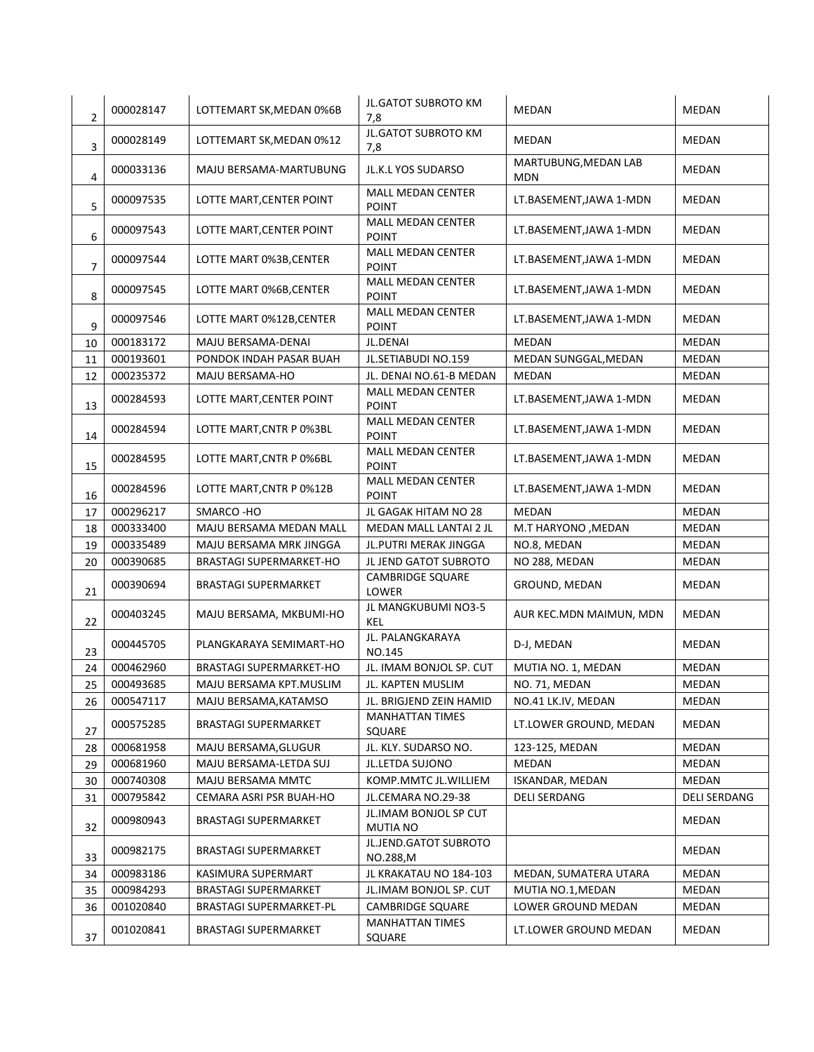| $\overline{2}$ | 000028147 | LOTTEMART SK, MEDAN 0%6B       | <b>JL.GATOT SUBROTO KM</b><br>7,8        | <b>MEDAN</b>                       | MEDAN        |
|----------------|-----------|--------------------------------|------------------------------------------|------------------------------------|--------------|
| 3              | 000028149 | LOTTEMART SK, MEDAN 0%12       | <b>JL.GATOT SUBROTO KM</b><br>7,8        | <b>MEDAN</b>                       | MEDAN        |
| 4              | 000033136 | MAJU BERSAMA-MARTUBUNG         | JL.K.L YOS SUDARSO                       | MARTUBUNG, MEDAN LAB<br><b>MDN</b> | MEDAN        |
| 5              | 000097535 | LOTTE MART, CENTER POINT       | <b>MALL MEDAN CENTER</b><br><b>POINT</b> | LT.BASEMENT, JAWA 1-MDN            | MEDAN        |
| 6              | 000097543 | LOTTE MART, CENTER POINT       | <b>MALL MEDAN CENTER</b><br><b>POINT</b> | LT.BASEMENT, JAWA 1-MDN            | MEDAN        |
| 7              | 000097544 | LOTTE MART 0%3B, CENTER        | <b>MALL MEDAN CENTER</b><br><b>POINT</b> | LT.BASEMENT, JAWA 1-MDN            | MEDAN        |
| 8              | 000097545 | LOTTE MART 0%6B, CENTER        | <b>MALL MEDAN CENTER</b><br><b>POINT</b> | LT.BASEMENT, JAWA 1-MDN            | MEDAN        |
| 9              | 000097546 | LOTTE MART 0%12B, CENTER       | <b>MALL MEDAN CENTER</b><br><b>POINT</b> | LT.BASEMENT, JAWA 1-MDN            | MEDAN        |
| 10             | 000183172 | MAJU BERSAMA-DENAI             | JL.DENAI                                 | <b>MEDAN</b>                       | MEDAN        |
| 11             | 000193601 | PONDOK INDAH PASAR BUAH        | JL.SETIABUDI NO.159                      | MEDAN SUNGGAL, MEDAN               | MEDAN        |
| 12             | 000235372 | MAJU BERSAMA-HO                | JL. DENAI NO.61-B MEDAN                  | MEDAN                              | MEDAN        |
| 13             | 000284593 | LOTTE MART, CENTER POINT       | <b>MALL MEDAN CENTER</b><br><b>POINT</b> | LT.BASEMENT, JAWA 1-MDN            | MEDAN        |
| 14             | 000284594 | LOTTE MART, CNTR P 0%3BL       | <b>MALL MEDAN CENTER</b><br><b>POINT</b> | LT.BASEMENT, JAWA 1-MDN            | MEDAN        |
| 15             | 000284595 | LOTTE MART, CNTR P 0%6BL       | <b>MALL MEDAN CENTER</b><br><b>POINT</b> | LT.BASEMENT, JAWA 1-MDN            | MEDAN        |
| 16             | 000284596 | LOTTE MART, CNTR P 0%12B       | <b>MALL MEDAN CENTER</b><br><b>POINT</b> | LT.BASEMENT, JAWA 1-MDN            | MEDAN        |
| 17             | 000296217 | SMARCO-HO                      | JL GAGAK HITAM NO 28                     | <b>MEDAN</b>                       | MEDAN        |
|                |           |                                |                                          |                                    |              |
| 18             | 000333400 | MAJU BERSAMA MEDAN MALL        | MEDAN MALL LANTAI 2 JL                   | M.T HARYONO, MEDAN                 | MEDAN        |
| 19             | 000335489 | MAJU BERSAMA MRK JINGGA        | JL. PUTRI MERAK JINGGA                   | NO.8, MEDAN                        | MEDAN        |
| 20             | 000390685 | <b>BRASTAGI SUPERMARKET-HO</b> | JL JEND GATOT SUBROTO                    | NO 288, MEDAN                      | MEDAN        |
| 21             | 000390694 | <b>BRASTAGI SUPERMARKET</b>    | <b>CAMBRIDGE SQUARE</b><br>LOWER         | GROUND, MEDAN                      | MEDAN        |
| 22             | 000403245 | MAJU BERSAMA, MKBUMI-HO        | JL MANGKUBUMI NO3-5<br>KEL               | AUR KEC.MDN MAIMUN, MDN            | MEDAN        |
| 23             | 000445705 | PLANGKARAYA SEMIMART-HO        | JL. PALANGKARAYA<br>NO.145               | D-J, MEDAN                         | MEDAN        |
| 24             | 000462960 | <b>BRASTAGI SUPERMARKET-HO</b> | JL. IMAM BONJOL SP. CUT                  | MUTIA NO. 1, MEDAN                 | MEDAN        |
| 25             | 000493685 | MAJU BERSAMA KPT.MUSLIM        | JL. KAPTEN MUSLIM                        | NO. 71, MEDAN                      | MEDAN        |
| 26             | 000547117 | MAJU BERSAMA, KATAMSO          | JL. BRIGJEND ZEIN HAMID                  | NO.41 LK.IV, MEDAN                 | MEDAN        |
| 27             | 000575285 | BRASTAGI SUPERMARKET           | <b>MANHATTAN TIMES</b><br>SQUARE         | LT.LOWER GROUND, MEDAN             | MEDAN        |
| 28             | 000681958 | MAJU BERSAMA, GLUGUR           | JL. KLY. SUDARSO NO.                     | 123-125, MEDAN                     | MEDAN        |
| 29             | 000681960 | MAJU BERSAMA-LETDA SUJ         | JL.LETDA SUJONO                          | MEDAN                              | MEDAN        |
| 30             | 000740308 | MAJU BERSAMA MMTC              | KOMP.MMTC JL.WILLIEM                     | ISKANDAR, MEDAN                    | MEDAN        |
| 31             | 000795842 | CEMARA ASRI PSR BUAH-HO        | JL.CEMARA NO.29-38                       | <b>DELI SERDANG</b>                | DELI SERDANG |
| 32             | 000980943 | <b>BRASTAGI SUPERMARKET</b>    | JL.IMAM BONJOL SP CUT<br>MUTIA NO        |                                    | MEDAN        |
| 33             | 000982175 | <b>BRASTAGI SUPERMARKET</b>    | JL.JEND.GATOT SUBROTO<br>NO.288,M        |                                    | MEDAN        |
| 34             | 000983186 | KASIMURA SUPERMART             | JL KRAKATAU NO 184-103                   | MEDAN, SUMATERA UTARA              | MEDAN        |
| 35             | 000984293 | <b>BRASTAGI SUPERMARKET</b>    | JL.IMAM BONJOL SP. CUT                   | MUTIA NO.1, MEDAN                  | MEDAN        |
| 36             | 001020840 | BRASTAGI SUPERMARKET-PL        | <b>CAMBRIDGE SQUARE</b>                  | LOWER GROUND MEDAN                 | MEDAN        |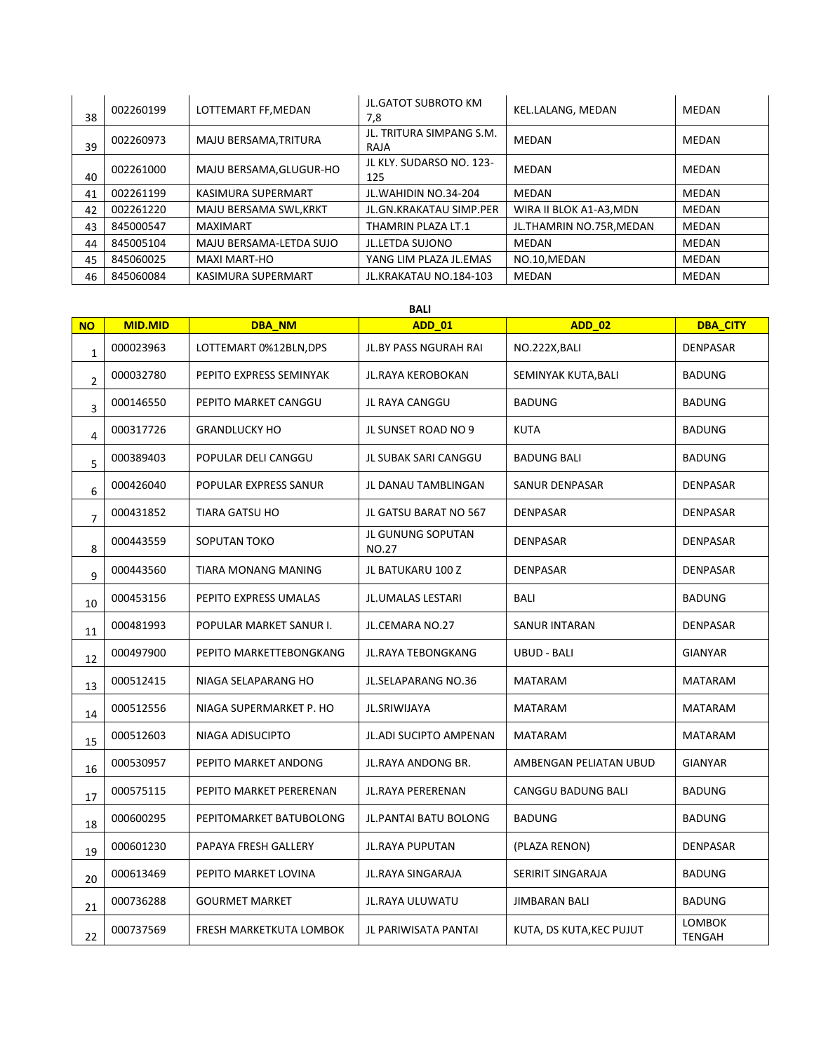| 38 | 002260199 | LOTTEMART FF, MEDAN     | <b>JL.GATOT SUBROTO KM</b><br>7,8 | KEL.LALANG, MEDAN        | MEDAN        |
|----|-----------|-------------------------|-----------------------------------|--------------------------|--------------|
| 39 | 002260973 | MAJU BERSAMA, TRITURA   | JL. TRITURA SIMPANG S.M.<br>RAJA  | MEDAN                    | <b>MEDAN</b> |
| 40 | 002261000 | MAJU BERSAMA, GLUGUR-HO | JL KLY. SUDARSO NO. 123-<br>125   | MEDAN                    | MEDAN        |
| 41 | 002261199 | KASIMURA SUPERMART      | JL. WAHIDIN NO. 34-204            | <b>MEDAN</b>             | MEDAN        |
| 42 | 002261220 | MAJU BERSAMA SWL, KRKT  | JL.GN.KRAKATAU SIMP.PER           | WIRA II BLOK A1-A3, MDN  | MEDAN        |
| 43 | 845000547 | <b>MAXIMART</b>         | THAMRIN PLAZA LT.1                | JL.THAMRIN NO.75R, MEDAN | <b>MEDAN</b> |
| 44 | 845005104 | MAJU BERSAMA-LETDA SUJO | JL.LETDA SUJONO                   | <b>MEDAN</b>             | MEDAN        |
| 45 | 845060025 | <b>MAXI MART-HO</b>     | YANG LIM PLAZA JL.EMAS            | NO.10, MEDAN             | MEDAN        |
| 46 | 845060084 | KASIMURA SUPERMART      | JL.KRAKATAU NO.184-103            | MEDAN                    | <b>MEDAN</b> |

| <b>NO</b>      | <b>MID.MID</b> | DBA_NM                  | <b>ADD_01</b>                     | <b>ADD 02</b>             | <b>DBA CITY</b>         |
|----------------|----------------|-------------------------|-----------------------------------|---------------------------|-------------------------|
| $\mathbf 1$    | 000023963      | LOTTEMART 0%12BLN, DPS  | JL.BY PASS NGURAH RAI             | NO.222X, BALI             | <b>DENPASAR</b>         |
| $\overline{2}$ | 000032780      | PEPITO EXPRESS SEMINYAK | JL.RAYA KEROBOKAN                 | SEMINYAK KUTA, BALI       | <b>BADUNG</b>           |
| 3              | 000146550      | PEPITO MARKET CANGGU    | JL RAYA CANGGU                    | <b>BADUNG</b>             | <b>BADUNG</b>           |
| 4              | 000317726      | <b>GRANDLUCKY HO</b>    | JL SUNSET ROAD NO 9               | <b>KUTA</b>               | <b>BADUNG</b>           |
| 5              | 000389403      | POPULAR DELI CANGGU     | JL SUBAK SARI CANGGU              | <b>BADUNG BALI</b>        | <b>BADUNG</b>           |
| 6              | 000426040      | POPULAR EXPRESS SANUR   | JL DANAU TAMBLINGAN               | SANUR DENPASAR            | <b>DENPASAR</b>         |
| $\overline{7}$ | 000431852      | TIARA GATSU HO          | JL GATSU BARAT NO 567             | <b>DENPASAR</b>           | <b>DENPASAR</b>         |
| 8              | 000443559      | SOPUTAN TOKO            | JL GUNUNG SOPUTAN<br><b>NO.27</b> | <b>DENPASAR</b>           | DENPASAR                |
| 9              | 000443560      | TIARA MONANG MANING     | JL BATUKARU 100 Z                 | <b>DENPASAR</b>           | DENPASAR                |
| 10             | 000453156      | PEPITO EXPRESS UMALAS   | <b>JL.UMALAS LESTARI</b>          | BALI                      | <b>BADUNG</b>           |
| 11             | 000481993      | POPULAR MARKET SANUR I. | JL.CEMARA NO.27                   | <b>SANUR INTARAN</b>      | DENPASAR                |
| 12             | 000497900      | PEPITO MARKETTEBONGKANG | JL.RAYA TEBONGKANG                | <b>UBUD - BALI</b>        | <b>GIANYAR</b>          |
| 13             | 000512415      | NIAGA SELAPARANG HO     | JL.SELAPARANG NO.36               | <b>MATARAM</b>            | <b>MATARAM</b>          |
| 14             | 000512556      | NIAGA SUPERMARKET P. HO | JL.SRIWIJAYA                      | <b>MATARAM</b>            | <b>MATARAM</b>          |
| 15             | 000512603      | NIAGA ADISUCIPTO        | JL.ADI SUCIPTO AMPENAN            | <b>MATARAM</b>            | <b>MATARAM</b>          |
| 16             | 000530957      | PEPITO MARKET ANDONG    | JL.RAYA ANDONG BR.                | AMBENGAN PELIATAN UBUD    | <b>GIANYAR</b>          |
| 17             | 000575115      | PEPITO MARKET PERERENAN | JL.RAYA PERERENAN                 | <b>CANGGU BADUNG BALI</b> | <b>BADUNG</b>           |
| 18             | 000600295      | PEPITOMARKET BATUBOLONG | JL.PANTAI BATU BOLONG             | <b>BADUNG</b>             | <b>BADUNG</b>           |
| 19             | 000601230      | PAPAYA FRESH GALLERY    | JL.RAYA PUPUTAN                   | (PLAZA RENON)             | DENPASAR                |
| 20             | 000613469      | PEPITO MARKET LOVINA    | <b>JL.RAYA SINGARAJA</b>          | SERIRIT SINGARAJA         | <b>BADUNG</b>           |
| 21             | 000736288      | <b>GOURMET MARKET</b>   | JL.RAYA ULUWATU                   | <b>JIMBARAN BALI</b>      | <b>BADUNG</b>           |
| 22             | 000737569      | FRESH MARKETKUTA LOMBOK | JL PARIWISATA PANTAI              | KUTA, DS KUTA, KEC PUJUT  | <b>LOMBOK</b><br>TENGAH |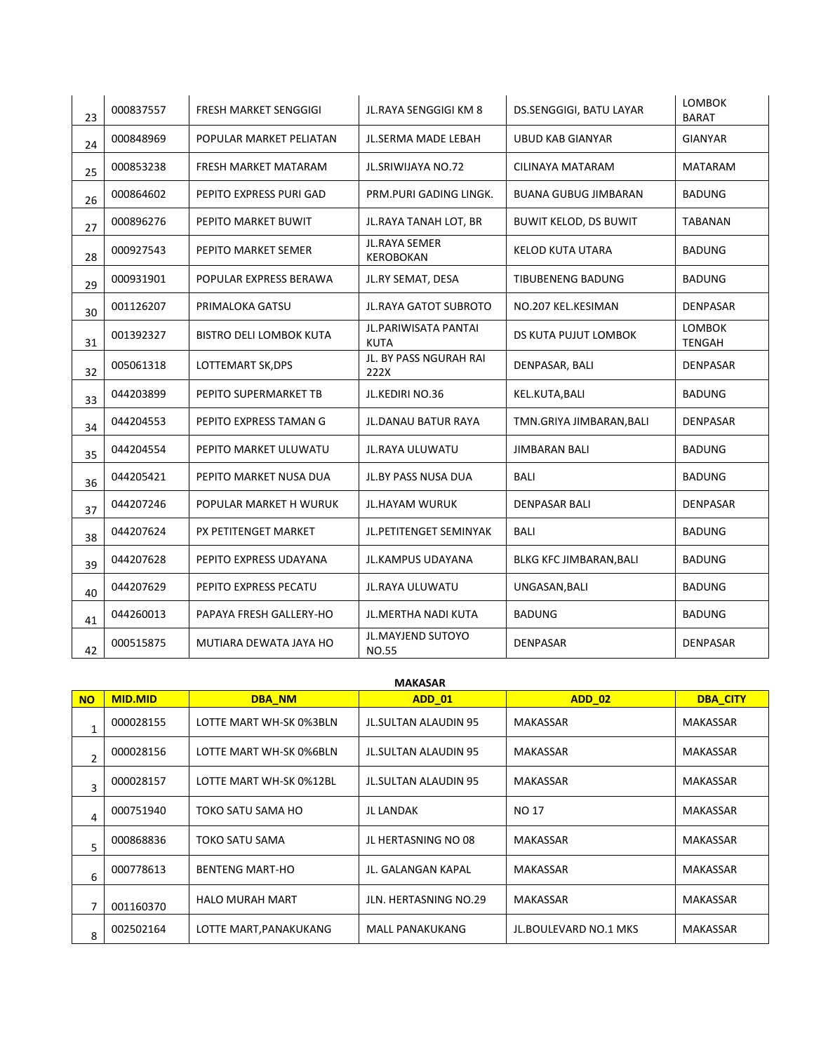| 23 | 000837557 | FRESH MARKET SENGGIGI          | JL.RAYA SENGGIGI KM 8                    | DS.SENGGIGI, BATU LAYAR        | <b>LOMBOK</b><br><b>BARAT</b>  |
|----|-----------|--------------------------------|------------------------------------------|--------------------------------|--------------------------------|
| 24 | 000848969 | POPULAR MARKET PELIATAN        | <b>JL.SERMA MADE LEBAH</b>               | <b>UBUD KAB GIANYAR</b>        | <b>GIANYAR</b>                 |
| 25 | 000853238 | FRESH MARKET MATARAM           | JL.SRIWIJAYA NO.72                       | CILINAYA MATARAM               | <b>MATARAM</b>                 |
| 26 | 000864602 | PEPITO EXPRESS PURI GAD        | PRM.PURI GADING LINGK.                   | <b>BUANA GUBUG JIMBARAN</b>    | <b>BADUNG</b>                  |
| 27 | 000896276 | PEPITO MARKET BUWIT            | JL.RAYA TANAH LOT, BR                    | <b>BUWIT KELOD, DS BUWIT</b>   | TABANAN                        |
| 28 | 000927543 | PEPITO MARKET SEMER            | <b>JL.RAYA SEMER</b><br><b>KEROBOKAN</b> | <b>KELOD KUTA UTARA</b>        | <b>BADUNG</b>                  |
| 29 | 000931901 | POPULAR EXPRESS BERAWA         | JL.RY SEMAT, DESA                        | <b>TIBUBENENG BADUNG</b>       | <b>BADUNG</b>                  |
| 30 | 001126207 | PRIMALOKA GATSU                | <b>JL.RAYA GATOT SUBROTO</b>             | NO.207 KEL.KESIMAN             | <b>DENPASAR</b>                |
| 31 | 001392327 | <b>BISTRO DELI LOMBOK KUTA</b> | JL.PARIWISATA PANTAI<br><b>KUTA</b>      | DS KUTA PUJUT LOMBOK           | <b>LOMBOK</b><br><b>TENGAH</b> |
| 32 | 005061318 | LOTTEMART SK, DPS              | JL. BY PASS NGURAH RAI<br>222X           | DENPASAR, BALI                 | <b>DENPASAR</b>                |
| 33 | 044203899 | PEPITO SUPERMARKET TB          | JL.KEDIRI NO.36                          | KEL.KUTA, BALI                 | <b>BADUNG</b>                  |
| 34 | 044204553 | PEPITO EXPRESS TAMAN G         | <b>JL.DANAU BATUR RAYA</b>               | TMN.GRIYA JIMBARAN, BALI       | <b>DENPASAR</b>                |
| 35 | 044204554 | PEPITO MARKET ULUWATU          | JL.RAYA ULUWATU                          | <b>JIMBARAN BALI</b>           | <b>BADUNG</b>                  |
| 36 | 044205421 | PEPITO MARKET NUSA DUA         | JL.BY PASS NUSA DUA                      | <b>BALI</b>                    | <b>BADUNG</b>                  |
| 37 | 044207246 | POPULAR MARKET H WURUK         | <b>JL.HAYAM WURUK</b>                    | <b>DENPASAR BALI</b>           | <b>DENPASAR</b>                |
| 38 | 044207624 | PX PETITENGET MARKET           | JL.PETITENGET SEMINYAK                   | <b>BALI</b>                    | <b>BADUNG</b>                  |
| 39 | 044207628 | PEPITO EXPRESS UDAYANA         | <b>JL.KAMPUS UDAYANA</b>                 | <b>BLKG KFC JIMBARAN, BALI</b> | <b>BADUNG</b>                  |
| 40 | 044207629 | PEPITO EXPRESS PECATU          | JL.RAYA ULUWATU                          | UNGASAN, BALI                  | <b>BADUNG</b>                  |
| 41 | 044260013 | PAPAYA FRESH GALLERY-HO        | JL.MERTHA NADI KUTA                      | <b>BADUNG</b>                  | <b>BADUNG</b>                  |
| 42 | 000515875 | MUTIARA DEWATA JAYA HO         | JL.MAYJEND SUTOYO<br><b>NO.55</b>        | <b>DENPASAR</b>                | <b>DENPASAR</b>                |

## **MAKASAR**

| <b>NO</b>      | <b>MID.MID</b> | <b>DBA NM</b>           | <b>ADD 01</b>               | <b>ADD 02</b>                | <b>DBA CITY</b> |
|----------------|----------------|-------------------------|-----------------------------|------------------------------|-----------------|
| 1              | 000028155      | LOTTE MART WH-SK 0%3BLN | JL.SULTAN ALAUDIN 95        | MAKASSAR                     | MAKASSAR        |
| $\overline{2}$ | 000028156      | LOTTE MART WH-SK 0%6BLN | <b>JL.SULTAN ALAUDIN 95</b> | <b>MAKASSAR</b>              | <b>MAKASSAR</b> |
| $\overline{3}$ | 000028157      | LOTTE MART WH-SK 0%12BL | <b>JL.SULTAN ALAUDIN 95</b> | <b>MAKASSAR</b>              | <b>MAKASSAR</b> |
| 4              | 000751940      | TOKO SATU SAMA HO       | <b>JL LANDAK</b>            | <b>NO 17</b>                 | <b>MAKASSAR</b> |
| 5              | 000868836      | <b>TOKO SATU SAMA</b>   | JL HERTASNING NO 08         | MAKASSAR                     | MAKASSAR        |
| 6              | 000778613      | <b>BENTENG MART-HO</b>  | JL. GALANGAN KAPAL          | <b>MAKASSAR</b>              | <b>MAKASSAR</b> |
| 7              | 001160370      | <b>HALO MURAH MART</b>  | JLN. HERTASNING NO.29       | <b>MAKASSAR</b>              | MAKASSAR        |
| 8              | 002502164      | LOTTE MART, PANAKUKANG  | <b>MALL PANAKUKANG</b>      | <b>JL.BOULEVARD NO.1 MKS</b> | MAKASSAR        |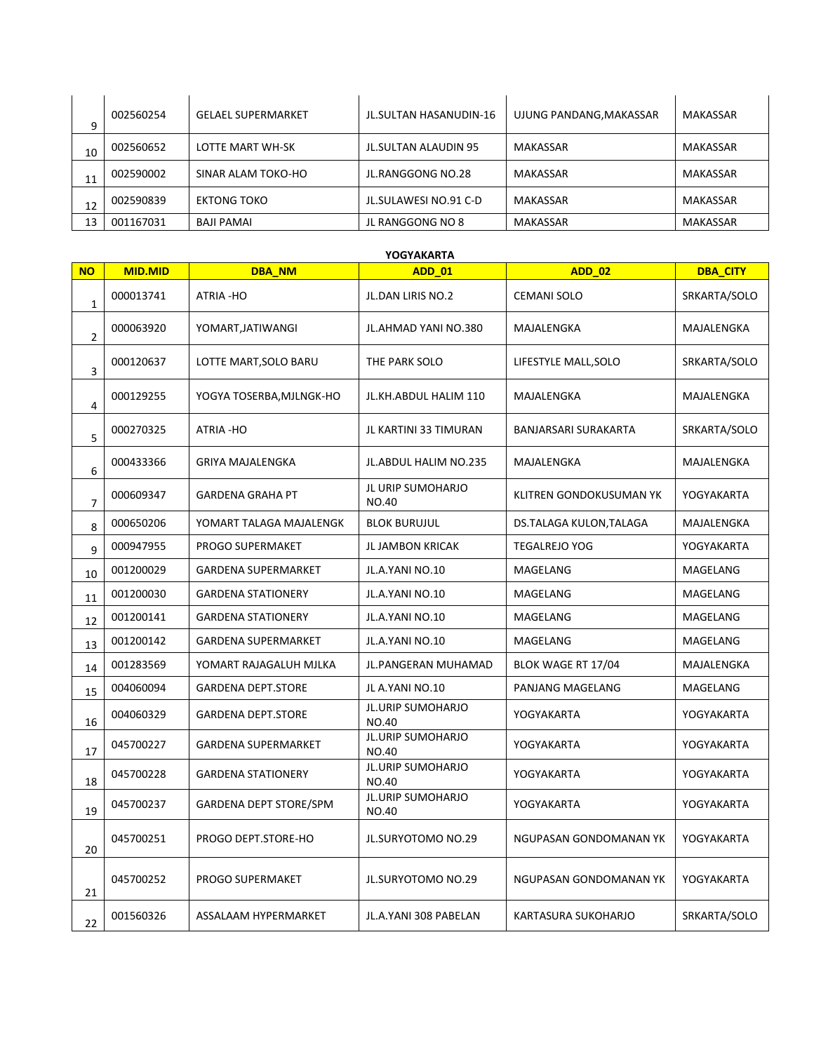| q  | 002560254 | <b>GELAEL SUPERMARKET</b> | JL.SULTAN HASANUDIN-16 | UJUNG PANDANG, MAKASSAR | MAKASSAR        |
|----|-----------|---------------------------|------------------------|-------------------------|-----------------|
| 10 | 002560652 | LOTTE MART WH-SK          | JL.SULTAN ALAUDIN 95   | MAKASSAR                | MAKASSAR        |
| 11 | 002590002 | SINAR ALAM TOKO-HO        | JL.RANGGONG NO.28      | MAKASSAR                | <b>MAKASSAR</b> |
| 12 | 002590839 | <b>EKTONG TOKO</b>        | JL.SULAWESI NO.91 C-D  | MAKASSAR                | MAKASSAR        |
| 13 | 001167031 | BAJI PAMAI                | JL RANGGONG NO 8       | <b>MAKASSAR</b>         | MAKASSAR        |

|                | YOGYAKARTA     |                            |                                          |                         |                 |  |  |  |
|----------------|----------------|----------------------------|------------------------------------------|-------------------------|-----------------|--|--|--|
| <b>NO</b>      | <b>MID.MID</b> | <b>DBA NM</b>              | <b>ADD 01</b>                            | <b>ADD 02</b>           | <b>DBA CITY</b> |  |  |  |
| $\mathbf 1$    | 000013741      | ATRIA-HO                   | JL.DAN LIRIS NO.2                        | <b>CEMANI SOLO</b>      | SRKARTA/SOLO    |  |  |  |
| $\overline{2}$ | 000063920      | YOMART, JATIWANGI          | JL.AHMAD YANI NO.380                     | MAJALENGKA              | MAJALENGKA      |  |  |  |
| 3              | 000120637      | LOTTE MART, SOLO BARU      | THE PARK SOLO                            | LIFESTYLE MALL, SOLO    | SRKARTA/SOLO    |  |  |  |
| 4              | 000129255      | YOGYA TOSERBA,MJLNGK-HO    | JL.KH.ABDUL HALIM 110                    | MAJALENGKA              | MAJALENGKA      |  |  |  |
| 5              | 000270325      | ATRIA - HO                 | JL KARTINI 33 TIMURAN                    | BANJARSARI SURAKARTA    | SRKARTA/SOLO    |  |  |  |
| 6              | 000433366      | <b>GRIYA MAJALENGKA</b>    | <b>JL.ABDUL HALIM NO.235</b>             | MAJALENGKA              | MAJALENGKA      |  |  |  |
| $\overline{7}$ | 000609347      | <b>GARDENA GRAHA PT</b>    | JL URIP SUMOHARJO<br>NO.40               | KLITREN GONDOKUSUMAN YK | YOGYAKARTA      |  |  |  |
| 8              | 000650206      | YOMART TALAGA MAJALENGK    | <b>BLOK BURUJUL</b>                      | DS.TALAGA KULON,TALAGA  | MAJALENGKA      |  |  |  |
| 9              | 000947955      | <b>PROGO SUPERMAKET</b>    | JL JAMBON KRICAK                         | <b>TEGALREJO YOG</b>    | YOGYAKARTA      |  |  |  |
| 10             | 001200029      | <b>GARDENA SUPERMARKET</b> | JL.A.YANI NO.10                          | MAGELANG                | MAGELANG        |  |  |  |
| 11             | 001200030      | <b>GARDENA STATIONERY</b>  | JL.A.YANI NO.10                          | MAGELANG                | MAGELANG        |  |  |  |
| 12             | 001200141      | <b>GARDENA STATIONERY</b>  | JL.A.YANI NO.10                          | MAGELANG                | MAGELANG        |  |  |  |
| 13             | 001200142      | <b>GARDENA SUPERMARKET</b> | JL.A.YANI NO.10                          | MAGELANG                | MAGELANG        |  |  |  |
| 14             | 001283569      | YOMART RAJAGALUH MJLKA     | <b>JL.PANGERAN MUHAMAD</b>               | BLOK WAGE RT 17/04      | MAJALENGKA      |  |  |  |
| 15             | 004060094      | <b>GARDENA DEPT.STORE</b>  | JL A.YANI NO.10                          | PANJANG MAGELANG        | MAGELANG        |  |  |  |
| 16             | 004060329      | <b>GARDENA DEPT.STORE</b>  | <b>JL.URIP SUMOHARJO</b><br>NO.40        | YOGYAKARTA              | YOGYAKARTA      |  |  |  |
| 17             | 045700227      | <b>GARDENA SUPERMARKET</b> | <b>JL.URIP SUMOHARJO</b><br>NO.40        | YOGYAKARTA              | YOGYAKARTA      |  |  |  |
| 18             | 045700228      | <b>GARDENA STATIONERY</b>  | <b>JL.URIP SUMOHARJO</b><br><b>NO.40</b> | YOGYAKARTA              | YOGYAKARTA      |  |  |  |
| 19             | 045700237      | GARDENA DEPT STORE/SPM     | <b>JL.URIP SUMOHARJO</b><br>NO.40        | YOGYAKARTA              | YOGYAKARTA      |  |  |  |
| 20             | 045700251      | PROGO DEPT.STORE-HO        | <b>JL.SURYOTOMO NO.29</b>                | NGUPASAN GONDOMANAN YK  | YOGYAKARTA      |  |  |  |
| 21             | 045700252      | PROGO SUPERMAKET           | <b>JL.SURYOTOMO NO.29</b>                | NGUPASAN GONDOMANAN YK  | YOGYAKARTA      |  |  |  |
| 22             | 001560326      | ASSALAAM HYPERMARKET       | JL.A.YANI 308 PABELAN                    | KARTASURA SUKOHARJO     | SRKARTA/SOLO    |  |  |  |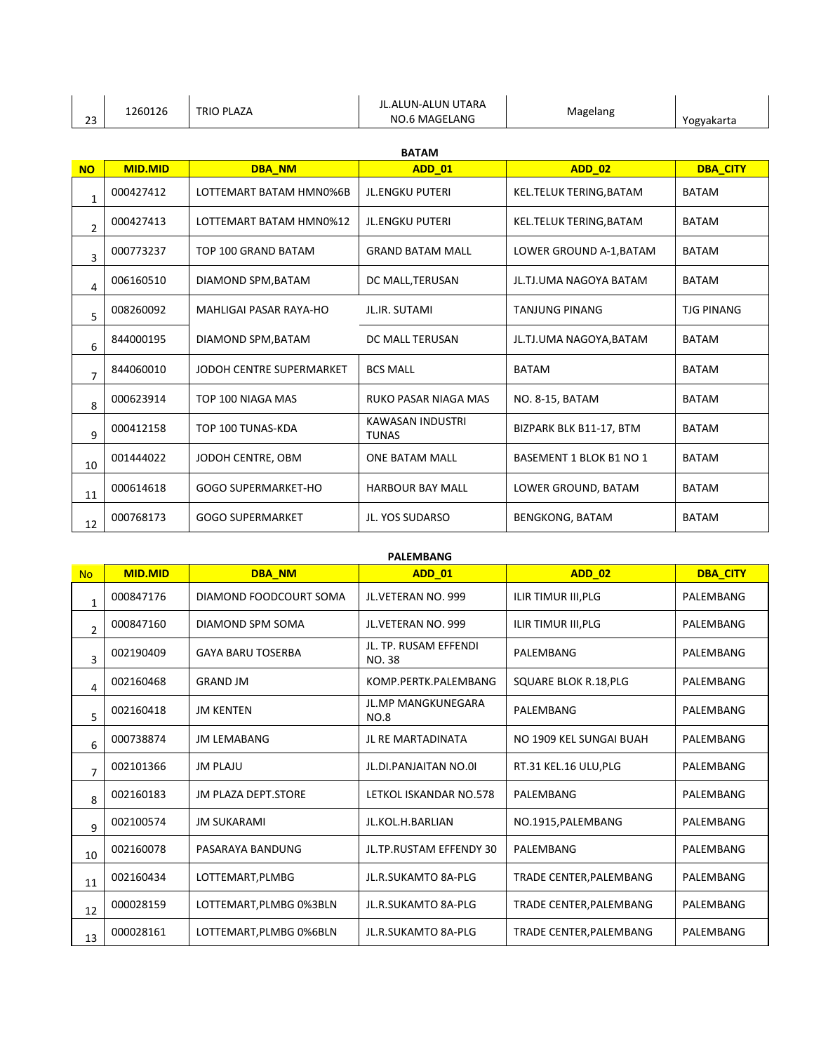| 23             | 1260126        | <b>TRIO PLAZA</b>          | <b>JL.ALUN-ALUN UTARA</b><br><b>NO.6 MAGELANG</b> | Magelang                       | Yogyakarta        |  |  |  |
|----------------|----------------|----------------------------|---------------------------------------------------|--------------------------------|-------------------|--|--|--|
|                | <b>BATAM</b>   |                            |                                                   |                                |                   |  |  |  |
| <b>NO</b>      | <b>MID.MID</b> | <b>DBA NM</b>              | <b>ADD 01</b>                                     | <b>ADD 02</b>                  | <b>DBA_CITY</b>   |  |  |  |
| $\mathbf{1}$   | 000427412      | LOTTEMART BATAM HMN0%6B    | <b>JL.ENGKU PUTERI</b>                            | KEL.TELUK TERING, BATAM        | <b>BATAM</b>      |  |  |  |
| $\overline{2}$ | 000427413      | LOTTEMART BATAM HMN0%12    | <b>JL.ENGKU PUTERI</b>                            | KEL.TELUK TERING, BATAM        | <b>BATAM</b>      |  |  |  |
| 3              | 000773237      | TOP 100 GRAND BATAM        | <b>GRAND BATAM MALL</b>                           | LOWER GROUND A-1, BATAM        | <b>BATAM</b>      |  |  |  |
| 4              | 006160510      | DIAMOND SPM, BATAM         | DC MALL, TERUSAN                                  | JL.TJ.UMA NAGOYA BATAM         | <b>BATAM</b>      |  |  |  |
| 5              | 008260092      | MAHLIGAI PASAR RAYA-HO     | JL.IR. SUTAMI                                     | <b>TANJUNG PINANG</b>          | <b>TJG PINANG</b> |  |  |  |
| 6              | 844000195      | DIAMOND SPM, BATAM         | DC MALL TERUSAN                                   | JL.TJ.UMA NAGOYA, BATAM        | <b>BATAM</b>      |  |  |  |
| $\overline{7}$ | 844060010      | JODOH CENTRE SUPERMARKET   | <b>BCS MALL</b>                                   | <b>BATAM</b>                   | <b>BATAM</b>      |  |  |  |
| 8              | 000623914      | TOP 100 NIAGA MAS          | RUKO PASAR NIAGA MAS                              | NO. 8-15, BATAM                | <b>BATAM</b>      |  |  |  |
| 9              | 000412158      | TOP 100 TUNAS-KDA          | KAWASAN INDUSTRI<br><b>TUNAS</b>                  | BIZPARK BLK B11-17, BTM        | <b>BATAM</b>      |  |  |  |
| 10             | 001444022      | JODOH CENTRE, OBM          | <b>ONE BATAM MALL</b>                             | <b>BASEMENT 1 BLOK B1 NO 1</b> | <b>BATAM</b>      |  |  |  |
| 11             | 000614618      | <b>GOGO SUPERMARKET-HO</b> | <b>HARBOUR BAY MALL</b>                           | LOWER GROUND, BATAM            | <b>BATAM</b>      |  |  |  |
| 12             | 000768173      | <b>GOGO SUPERMARKET</b>    | JL. YOS SUDARSO                                   | <b>BENGKONG, BATAM</b>         | <b>BATAM</b>      |  |  |  |

|--|

| <b>No</b>      | <b>MID.MID</b> | <b>DBA NM</b>              | <b>ADD 01</b>                            | <b>ADD 02</b>                | <b>DBA CITY</b> |
|----------------|----------------|----------------------------|------------------------------------------|------------------------------|-----------------|
| $\mathbf{1}$   | 000847176      | DIAMOND FOODCOURT SOMA     | JL.VETERAN NO. 999                       | ILIR TIMUR III, PLG          | PALEMBANG       |
| $\overline{2}$ | 000847160      | DIAMOND SPM SOMA           | JL.VETERAN NO. 999                       | ILIR TIMUR III, PLG          | PALEMBANG       |
| 3              | 002190409      | <b>GAYA BARU TOSERBA</b>   | JL. TP. RUSAM EFFENDI<br>NO. 38          | PALEMBANG                    | PALEMBANG       |
| 4              | 002160468      | <b>GRAND JM</b>            | KOMP.PERTK.PALEMBANG                     | <b>SQUARE BLOK R.18, PLG</b> | PALEMBANG       |
| 5              | 002160418      | <b>JM KENTEN</b>           | <b>JL.MP MANGKUNEGARA</b><br><b>NO.8</b> | PALEMBANG                    | PALEMBANG       |
| 6              | 000738874      | <b>JM LEMABANG</b>         | <b>JL RE MARTADINATA</b>                 | NO 1909 KEL SUNGAI BUAH      | PALEMBANG       |
| $\overline{7}$ | 002101366      | <b>JM PLAJU</b>            | JL.DI.PANJAITAN NO.01                    | RT.31 KEL.16 ULU, PLG        | PALEMBANG       |
| 8              | 002160183      | <b>JM PLAZA DEPT.STORE</b> | LETKOL ISKANDAR NO.578                   | PALEMBANG                    | PALEMBANG       |
| 9              | 002100574      | <b>JM SUKARAMI</b>         | JL.KOL.H.BARLIAN                         | NO.1915, PALEMBANG           | PALEMBANG       |
| 10             | 002160078      | PASARAYA BANDUNG           | JL.TP.RUSTAM EFFENDY 30                  | PALEMBANG                    | PALEMBANG       |
| 11             | 002160434      | LOTTEMART.PLMBG            | <b>JL.R.SUKAMTO 8A-PLG</b>               | TRADE CENTER.PALEMBANG       | PALEMBANG       |
| 12             | 000028159      | LOTTEMART, PLMBG 0%3BLN    | <b>JL.R.SUKAMTO 8A-PLG</b>               | TRADE CENTER, PALEMBANG      | PALEMBANG       |
| 13             | 000028161      | LOTTEMART, PLMBG 0%6BLN    | JL.R.SUKAMTO 8A-PLG                      | TRADE CENTER, PALEMBANG      | PALEMBANG       |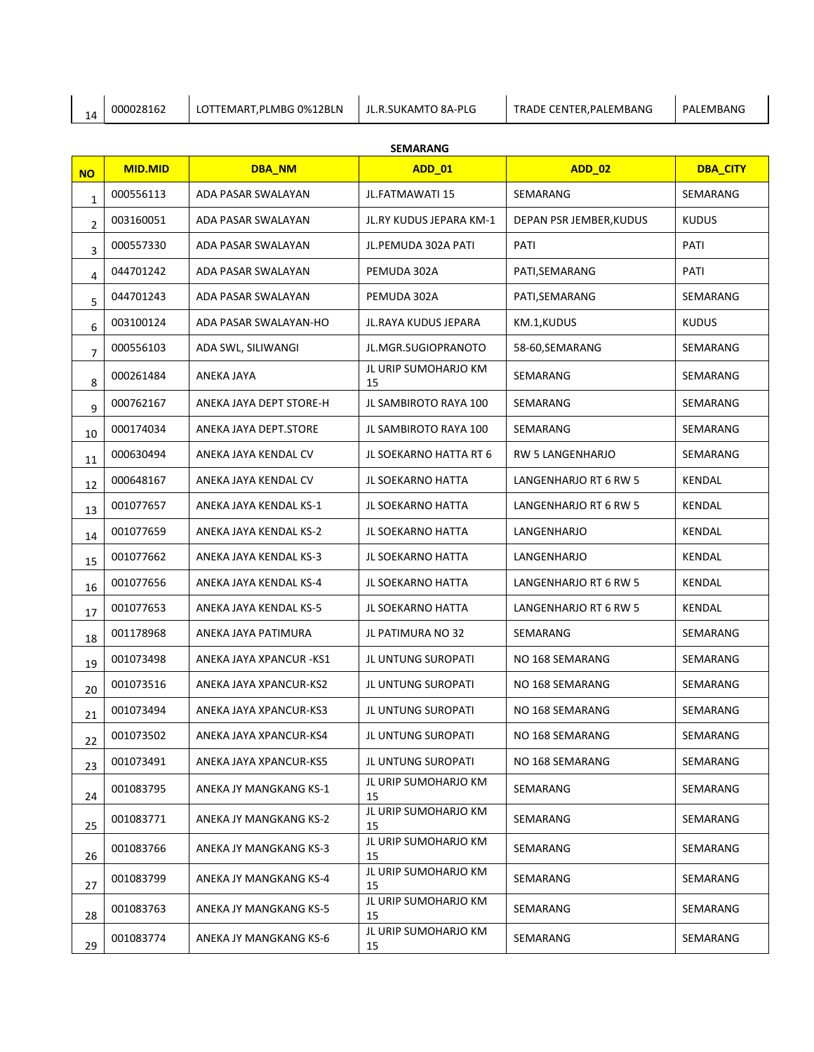| ہ ا | 10002816 | F.PLMBG 0%12BLN<br>TEMART<br>. | `8A-PLG<br>. JL.<br>SUKAMTO | TRADE CENTER.PALEMBANG | EMBANG<br>PΔ. |
|-----|----------|--------------------------------|-----------------------------|------------------------|---------------|
|     |          |                                |                             |                        |               |

## **SEMARANG**

| <b>NO</b>      | <b>MID.MID</b> | <b>DBA_NM</b>            | <b>ADD_01</b>              | <b>ADD_02</b>           | <b>DBA_CITY</b> |
|----------------|----------------|--------------------------|----------------------------|-------------------------|-----------------|
| $\mathbf 1$    | 000556113      | ADA PASAR SWALAYAN       | <b>JL.FATMAWATI 15</b>     | SEMARANG                | SEMARANG        |
| $\overline{2}$ | 003160051      | ADA PASAR SWALAYAN       | JL.RY KUDUS JEPARA KM-1    | DEPAN PSR JEMBER, KUDUS | <b>KUDUS</b>    |
| 3              | 000557330      | ADA PASAR SWALAYAN       | JL.PEMUDA 302A PATI        | PATI                    | PATI            |
| 4              | 044701242      | ADA PASAR SWALAYAN       | PEMUDA 302A                | PATI, SEMARANG          | PATI            |
| 5              | 044701243      | ADA PASAR SWALAYAN       | PEMUDA 302A                | PATI, SEMARANG          | SEMARANG        |
| 6              | 003100124      | ADA PASAR SWALAYAN-HO    | JL.RAYA KUDUS JEPARA       | KM.1,KUDUS              | <b>KUDUS</b>    |
| 7              | 000556103      | ADA SWL, SILIWANGI       | JL.MGR.SUGIOPRANOTO        | 58-60, SEMARANG         | SEMARANG        |
| 8              | 000261484      | ANEKA JAYA               | JL URIP SUMOHARJO KM<br>15 | SEMARANG                | SEMARANG        |
| 9              | 000762167      | ANEKA JAYA DEPT STORE-H  | JL SAMBIROTO RAYA 100      | SEMARANG                | SEMARANG        |
| 10             | 000174034      | ANEKA JAYA DEPT.STORE    | JL SAMBIROTO RAYA 100      | SEMARANG                | SEMARANG        |
| 11             | 000630494      | ANEKA JAYA KENDAL CV     | JL SOEKARNO HATTA RT 6     | <b>RW 5 LANGENHARJO</b> | SEMARANG        |
| 12             | 000648167      | ANEKA JAYA KENDAL CV     | JL SOEKARNO HATTA          | LANGENHARJO RT 6 RW 5   | KENDAL          |
| 13             | 001077657      | ANEKA JAYA KENDAL KS-1   | <b>JL SOEKARNO HATTA</b>   | LANGENHARJO RT 6 RW 5   | KENDAL          |
| 14             | 001077659      | ANEKA JAYA KENDAL KS-2   | <b>JL SOEKARNO HATTA</b>   | LANGENHARJO             | KENDAL          |
| 15             | 001077662      | ANEKA JAYA KENDAL KS-3   | JL SOEKARNO HATTA          | LANGENHARJO             | KENDAL          |
| 16             | 001077656      | ANEKA JAYA KENDAL KS-4   | JL SOEKARNO HATTA          | LANGENHARJO RT 6 RW 5   | KENDAL          |
| 17             | 001077653      | ANEKA JAYA KENDAL KS-5   | JL SOEKARNO HATTA          | LANGENHARJO RT 6 RW 5   | KENDAL          |
| 18             | 001178968      | ANEKA JAYA PATIMURA      | JL PATIMURA NO 32          | SEMARANG                | SEMARANG        |
| 19             | 001073498      | ANEKA JAYA XPANCUR - KS1 | JL UNTUNG SUROPATI         | NO 168 SEMARANG         | SEMARANG        |
| 20             | 001073516      | ANEKA JAYA XPANCUR-KS2   | <b>JL UNTUNG SUROPATI</b>  | NO 168 SEMARANG         | SEMARANG        |
| 21             | 001073494      | ANEKA JAYA XPANCUR-KS3   | JL UNTUNG SUROPATI         | NO 168 SEMARANG         | SEMARANG        |
| 22             | 001073502      | ANEKA JAYA XPANCUR-KS4   | JL UNTUNG SUROPATI         | NO 168 SEMARANG         | SEMARANG        |
| 23             | 001073491      | ANEKA JAYA XPANCUR-KS5   | JL UNTUNG SUROPATI         | NO 168 SEMARANG         | SEMARANG        |
| 24             | 001083795      | ANEKA JY MANGKANG KS-1   | JL URIP SUMOHARJO KM<br>15 | SEMARANG                | SEMARANG        |
| 25             | 001083771      | ANEKA JY MANGKANG KS-2   | JL URIP SUMOHARJO KM<br>15 | SEMARANG                | SEMARANG        |
| 26             | 001083766      | ANEKA JY MANGKANG KS-3   | JL URIP SUMOHARJO KM<br>15 | SEMARANG                | SEMARANG        |
| 27             | 001083799      | ANEKA JY MANGKANG KS-4   | JL URIP SUMOHARJO KM<br>15 | SEMARANG                | SEMARANG        |
| 28             | 001083763      | ANEKA JY MANGKANG KS-5   | JL URIP SUMOHARJO KM<br>15 | SEMARANG                | SEMARANG        |
| 29             | 001083774      | ANEKA JY MANGKANG KS-6   | JL URIP SUMOHARJO KM<br>15 | SEMARANG                | SEMARANG        |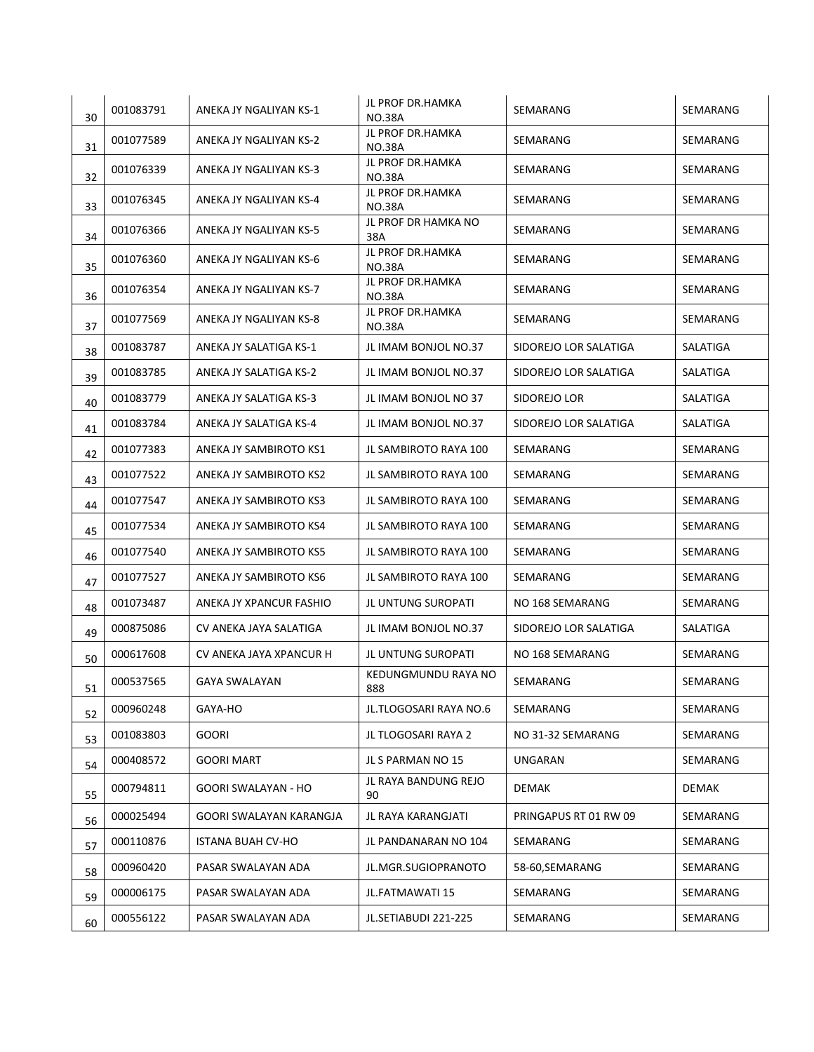| 30 | 001083791 | ANEKA JY NGALIYAN KS-1  | JL PROF DR.HAMKA<br><b>NO.38A</b>        | SEMARANG              | SEMARANG |
|----|-----------|-------------------------|------------------------------------------|-----------------------|----------|
| 31 | 001077589 | ANEKA JY NGALIYAN KS-2  | JL PROF DR.HAMKA<br><b>NO.38A</b>        | SEMARANG              | SEMARANG |
| 32 | 001076339 | ANEKA JY NGALIYAN KS-3  | JL PROF DR.HAMKA<br><b>NO.38A</b>        | SEMARANG              | SEMARANG |
| 33 | 001076345 | ANEKA JY NGALIYAN KS-4  | <b>JL PROF DR.HAMKA</b><br><b>NO.38A</b> | SEMARANG              | SEMARANG |
| 34 | 001076366 | ANEKA JY NGALIYAN KS-5  | JL PROF DR HAMKA NO<br>38A               | SEMARANG              | SEMARANG |
| 35 | 001076360 | ANEKA JY NGALIYAN KS-6  | JL PROF DR.HAMKA<br><b>NO.38A</b>        | SEMARANG              | SEMARANG |
| 36 | 001076354 | ANEKA JY NGALIYAN KS-7  | JL PROF DR.HAMKA<br><b>NO.38A</b>        | SEMARANG              | SEMARANG |
| 37 | 001077569 | ANEKA JY NGALIYAN KS-8  | JL PROF DR.HAMKA<br><b>NO.38A</b>        | SEMARANG              | SEMARANG |
| 38 | 001083787 | ANEKA JY SALATIGA KS-1  | JL IMAM BONJOL NO.37                     | SIDOREJO LOR SALATIGA | SALATIGA |
| 39 | 001083785 | ANEKA JY SALATIGA KS-2  | JL IMAM BONJOL NO.37                     | SIDOREJO LOR SALATIGA | SALATIGA |
| 40 | 001083779 | ANEKA JY SALATIGA KS-3  | JL IMAM BONJOL NO 37                     | SIDOREJO LOR          | SALATIGA |
| 41 | 001083784 | ANEKA JY SALATIGA KS-4  | JL IMAM BONJOL NO.37                     | SIDOREJO LOR SALATIGA | SALATIGA |
| 42 | 001077383 | ANEKA JY SAMBIROTO KS1  | JL SAMBIROTO RAYA 100                    | SEMARANG              | SEMARANG |
| 43 | 001077522 | ANEKA JY SAMBIROTO KS2  | JL SAMBIROTO RAYA 100                    | SEMARANG              | SEMARANG |
| 44 | 001077547 | ANEKA JY SAMBIROTO KS3  | JL SAMBIROTO RAYA 100                    | SEMARANG              | SEMARANG |
| 45 | 001077534 | ANEKA JY SAMBIROTO KS4  | JL SAMBIROTO RAYA 100                    | SEMARANG              | SEMARANG |
| 46 | 001077540 | ANEKA JY SAMBIROTO KS5  | JL SAMBIROTO RAYA 100                    | SEMARANG              | SEMARANG |
| 47 | 001077527 | ANEKA JY SAMBIROTO KS6  | JL SAMBIROTO RAYA 100                    | SEMARANG              | SEMARANG |
| 48 | 001073487 | ANEKA JY XPANCUR FASHIO | JL UNTUNG SUROPATI                       | NO 168 SEMARANG       | SEMARANG |
| 49 | 000875086 | CV ANEKA JAYA SALATIGA  | JL IMAM BONJOL NO.37                     | SIDOREJO LOR SALATIGA | SALATIGA |
| 50 | 000617608 | CV ANEKA JAYA XPANCUR H | JL UNTUNG SUROPATI                       | NO 168 SEMARANG       | SEMARANG |
| 51 | 000537565 | GAYA SWALAYAN           | KEDUNGMUNDU RAYA NO<br>888               | SEMARANG              | SEMARANG |
| 52 | 000960248 | GAYA-HO                 | JL.TLOGOSARI RAYA NO.6                   | SEMARANG              | SEMARANG |
| 53 | 001083803 | <b>GOORI</b>            | JL TLOGOSARI RAYA 2                      | NO 31-32 SEMARANG     | SEMARANG |
| 54 | 000408572 | <b>GOORI MART</b>       | JL S PARMAN NO 15                        | <b>UNGARAN</b>        | SEMARANG |
| 55 | 000794811 | GOORI SWALAYAN - HO     | JL RAYA BANDUNG REJO<br>90               | DEMAK                 | DEMAK    |
| 56 | 000025494 | GOORI SWALAYAN KARANGJA | JL RAYA KARANGJATI                       | PRINGAPUS RT 01 RW 09 | SEMARANG |
| 57 | 000110876 | ISTANA BUAH CV-HO       | JL PANDANARAN NO 104                     | SEMARANG              | SEMARANG |
| 58 | 000960420 | PASAR SWALAYAN ADA      | JL.MGR.SUGIOPRANOTO                      | 58-60,SEMARANG        | SEMARANG |
| 59 | 000006175 | PASAR SWALAYAN ADA      | JL.FATMAWATI 15                          | SEMARANG              | SEMARANG |
| 60 | 000556122 | PASAR SWALAYAN ADA      | JL.SETIABUDI 221-225                     | SEMARANG              | SEMARANG |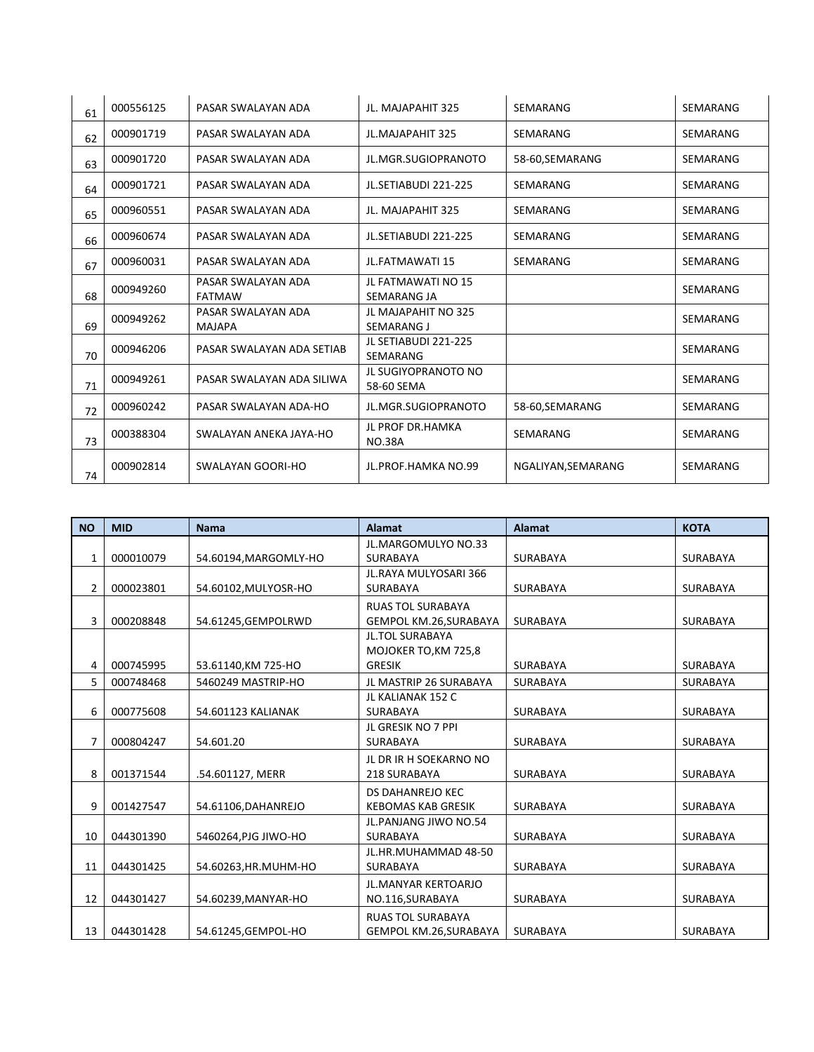| 61 | 000556125 | PASAR SWALAYAN ADA                  | JL. MAJAPAHIT 325                        | SEMARANG           | SEMARANG        |
|----|-----------|-------------------------------------|------------------------------------------|--------------------|-----------------|
| 62 | 000901719 | PASAR SWALAYAN ADA                  | <b>JL.MAJAPAHIT 325</b>                  | SEMARANG           | SEMARANG        |
| 63 | 000901720 | PASAR SWALAYAN ADA                  | JL.MGR.SUGIOPRANOTO                      | 58-60, SEMARANG    | SEMARANG        |
| 64 | 000901721 | PASAR SWALAYAN ADA                  | JL.SETIABUDI 221-225                     | SEMARANG           | SEMARANG        |
| 65 | 000960551 | PASAR SWALAYAN ADA                  | JL. MAJAPAHIT 325                        | SEMARANG           | <b>SEMARANG</b> |
| 66 | 000960674 | PASAR SWALAYAN ADA                  | JL.SETIABUDI 221-225                     | SEMARANG           | SEMARANG        |
| 67 | 000960031 | PASAR SWALAYAN ADA                  | <b>JL.FATMAWATI 15</b>                   | SEMARANG           | SEMARANG        |
| 68 | 000949260 | PASAR SWALAYAN ADA<br><b>FATMAW</b> | JL FATMAWATI NO 15<br>SEMARANG JA        |                    | SEMARANG        |
| 69 | 000949262 | PASAR SWALAYAN ADA<br><b>MAJAPA</b> | JL MAJAPAHIT NO 325<br>SEMARANG J        |                    | SEMARANG        |
| 70 | 000946206 | PASAR SWALAYAN ADA SETIAB           | JL SETIABUDI 221-225<br><b>SEMARANG</b>  |                    | SEMARANG        |
| 71 | 000949261 | PASAR SWALAYAN ADA SILIWA           | <b>JL SUGIYOPRANOTO NO</b><br>58-60 SEMA |                    | SEMARANG        |
| 72 | 000960242 | PASAR SWALAYAN ADA-HO               | JL.MGR.SUGIOPRANOTO                      | 58-60, SEMARANG    | SEMARANG        |
| 73 | 000388304 | SWALAYAN ANEKA JAYA-HO              | <b>JL PROF DR.HAMKA</b><br><b>NO.38A</b> | SEMARANG           | SEMARANG        |
| 74 | 000902814 | <b>SWALAYAN GOORI-HO</b>            | JL.PROF.HAMKA NO.99                      | NGALIYAN, SEMARANG | SEMARANG        |

| <b>NO</b>      | <b>MID</b> | <b>Nama</b>           | <b>Alamat</b>              | Alamat          | <b>KOTA</b>     |
|----------------|------------|-----------------------|----------------------------|-----------------|-----------------|
|                |            |                       | JL.MARGOMULYO NO.33        |                 |                 |
| 1              | 000010079  | 54.60194, MARGOMLY-HO | <b>SURABAYA</b>            | <b>SURABAYA</b> | <b>SURABAYA</b> |
|                |            |                       | JL.RAYA MULYOSARI 366      |                 |                 |
| $\overline{2}$ | 000023801  | 54.60102, MULYOSR-HO  | <b>SURABAYA</b>            | SURABAYA        | <b>SURABAYA</b> |
|                |            |                       | <b>RUAS TOL SURABAYA</b>   |                 |                 |
| 3              | 000208848  | 54.61245, GEMPOLRWD   | GEMPOL KM.26, SURABAYA     | SURABAYA        | <b>SURABAYA</b> |
|                |            |                       | <b>JL.TOL SURABAYA</b>     |                 |                 |
|                |            |                       | MOJOKER TO, KM 725,8       |                 |                 |
| 4              | 000745995  | 53.61140, KM 725-HO   | <b>GRESIK</b>              | <b>SURABAYA</b> | <b>SURABAYA</b> |
| 5              | 000748468  | 5460249 MASTRIP-HO    | JL MASTRIP 26 SURABAYA     | SURABAYA        | <b>SURABAYA</b> |
|                |            |                       | JL KALIANAK 152 C          |                 |                 |
| 6              | 000775608  | 54.601123 KALIANAK    | <b>SURABAYA</b>            | SURABAYA        | <b>SURABAYA</b> |
|                |            |                       | JL GRESIK NO 7 PPI         |                 |                 |
| 7              | 000804247  | 54.601.20             | <b>SURABAYA</b>            | <b>SURABAYA</b> | <b>SURABAYA</b> |
|                |            |                       | JL DR IR H SOEKARNO NO     |                 |                 |
| 8              | 001371544  | .54.601127, MERR      | 218 SURABAYA               | SURABAYA        | <b>SURABAYA</b> |
|                |            |                       | <b>DS DAHANREJO KEC</b>    |                 |                 |
| 9              | 001427547  | 54.61106, DAHANREJO   | <b>KEBOMAS KAB GRESIK</b>  | <b>SURABAYA</b> | <b>SURABAYA</b> |
|                |            |                       | JL.PANJANG JIWO NO.54      |                 |                 |
| 10             | 044301390  | 5460264, PJG JIWO-HO  | <b>SURABAYA</b>            | SURABAYA        | <b>SURABAYA</b> |
|                |            |                       | JL.HR.MUHAMMAD 48-50       |                 |                 |
| 11             | 044301425  | 54.60263, HR. MUHM-HO | <b>SURABAYA</b>            | <b>SURABAYA</b> | <b>SURABAYA</b> |
|                |            |                       | <b>JL.MANYAR KERTOARJO</b> |                 |                 |
| 12             | 044301427  | 54.60239, MANYAR-HO   | NO.116, SURABAYA           | SURABAYA        | <b>SURABAYA</b> |
|                |            |                       | <b>RUAS TOL SURABAYA</b>   |                 |                 |
| 13             | 044301428  | 54.61245, GEMPOL-HO   | GEMPOL KM.26, SURABAYA     | SURABAYA        | <b>SURABAYA</b> |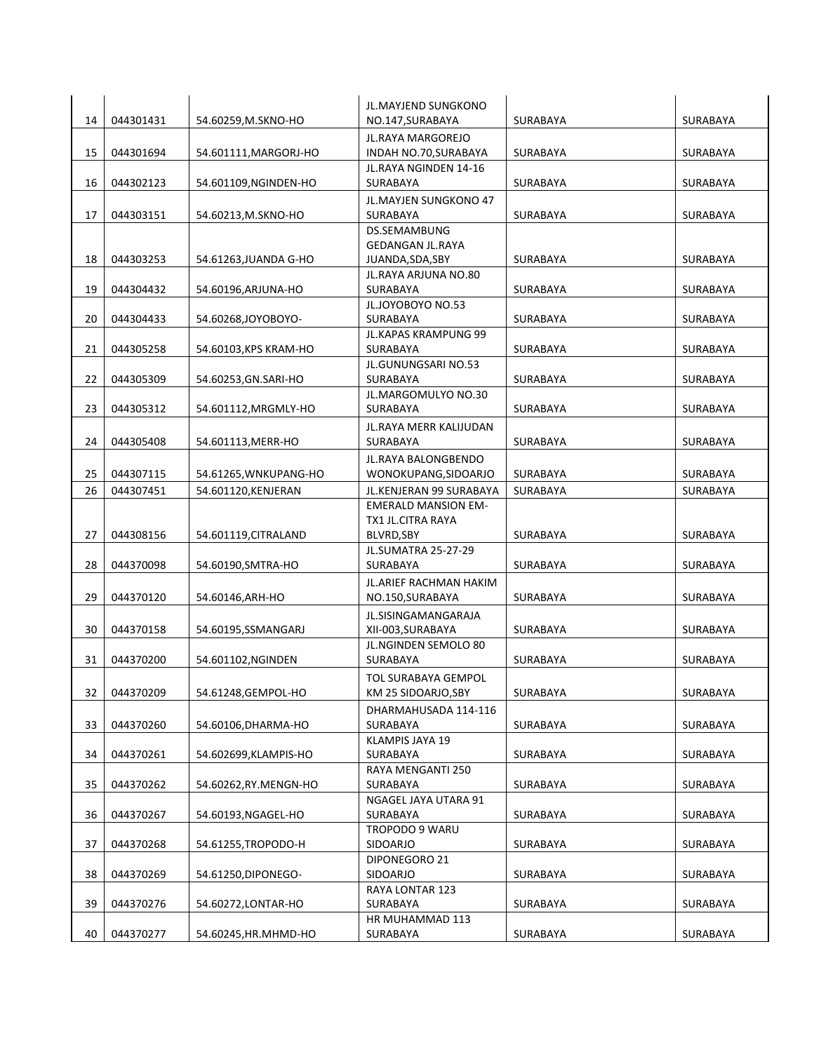|    |           |                       | JL.MAYJEND SUNGKONO                      |                 |                 |
|----|-----------|-----------------------|------------------------------------------|-----------------|-----------------|
| 14 | 044301431 | 54.60259, M.SKNO-HO   | NO.147, SURABAYA                         | SURABAYA        | SURABAYA        |
|    |           |                       | <b>JL.RAYA MARGOREJO</b>                 |                 |                 |
| 15 | 044301694 | 54.601111, MARGORJ-HO | INDAH NO.70, SURABAYA                    | SURABAYA        | SURABAYA        |
|    |           |                       | JL.RAYA NGINDEN 14-16                    |                 |                 |
| 16 | 044302123 | 54.601109, NGINDEN-HO | SURABAYA                                 | SURABAYA        | SURABAYA        |
|    |           |                       | JL.MAYJEN SUNGKONO 47                    |                 |                 |
| 17 | 044303151 | 54.60213, M.SKNO-HO   | SURABAYA<br>DS.SEMAMBUNG                 | SURABAYA        | SURABAYA        |
|    |           |                       | <b>GEDANGAN JL.RAYA</b>                  |                 |                 |
| 18 | 044303253 | 54.61263, JUANDA G-HO | JUANDA, SDA, SBY                         | <b>SURABAYA</b> | SURABAYA        |
|    |           |                       | JL.RAYA ARJUNA NO.80                     |                 |                 |
| 19 | 044304432 | 54.60196, ARJUNA-HO   | SURABAYA                                 | SURABAYA        | SURABAYA        |
|    |           |                       | JL.JOYOBOYO NO.53                        |                 |                 |
| 20 | 044304433 | 54.60268,JOYOBOYO-    | SURABAYA                                 | SURABAYA        | SURABAYA        |
|    |           |                       | JL.KAPAS KRAMPUNG 99                     |                 |                 |
| 21 | 044305258 | 54.60103, KPS KRAM-HO | SURABAYA<br>JL.GUNUNGSARI NO.53          | SURABAYA        | SURABAYA        |
| 22 | 044305309 | 54.60253, GN.SARI-HO  | SURABAYA                                 | SURABAYA        | SURABAYA        |
|    |           |                       | JL.MARGOMULYO NO.30                      |                 |                 |
| 23 | 044305312 | 54.601112, MRGMLY-HO  | SURABAYA                                 | SURABAYA        | SURABAYA        |
|    |           |                       | JL.RAYA MERR KALIJUDAN                   |                 |                 |
| 24 | 044305408 | 54.601113, MERR-HO    | SURABAYA                                 | SURABAYA        | <b>SURABAYA</b> |
|    |           |                       | JL.RAYA BALONGBENDO                      |                 |                 |
| 25 | 044307115 | 54.61265, WNKUPANG-HO | WONOKUPANG, SIDOARJO                     | SURABAYA        | SURABAYA        |
| 26 | 044307451 | 54.601120, KENJERAN   | JL.KENJERAN 99 SURABAYA                  | SURABAYA        | SURABAYA        |
|    |           |                       | <b>EMERALD MANSION EM-</b>               |                 |                 |
|    |           |                       | TX1 JL.CITRA RAYA                        |                 |                 |
| 27 | 044308156 | 54.601119, CITRALAND  | BLVRD, SBY                               | SURABAYA        | SURABAYA        |
| 28 |           |                       | <b>JL.SUMATRA 25-27-29</b>               |                 |                 |
|    | 044370098 | 54.60190, SMTRA-HO    | SURABAYA                                 | SURABAYA        | SURABAYA        |
| 29 | 044370120 |                       | JL.ARIEF RACHMAN HAKIM                   | SURABAYA        | SURABAYA        |
|    |           | 54.60146, ARH-HO      | NO.150, SURABAYA                         |                 |                 |
| 30 | 044370158 | 54.60195,SSMANGARJ    | JL.SISINGAMANGARAJA<br>XII-003, SURABAYA | SURABAYA        | SURABAYA        |
|    |           |                       | JL.NGINDEN SEMOLO 80                     |                 |                 |
| 31 | 044370200 | 54.601102, NGINDEN    | SURABAYA                                 | SURABAYA        | SURABAYA        |
|    |           |                       | <b>TOL SURABAYA GEMPOL</b>               |                 |                 |
| 32 | 044370209 | 54.61248, GEMPOL-HO   | KM 25 SIDOARJO, SBY                      | SURABAYA        | SURABAYA        |
|    |           |                       | DHARMAHUSADA 114-116                     |                 |                 |
| 33 | 044370260 | 54.60106, DHARMA-HO   | SURABAYA                                 | SURABAYA        | SURABAYA        |
|    |           |                       | KLAMPIS JAYA 19                          |                 |                 |
| 34 | 044370261 | 54.602699, KLAMPIS-HO | SURABAYA                                 | SURABAYA        | SURABAYA        |
|    |           |                       | RAYA MENGANTI 250                        |                 |                 |
| 35 | 044370262 | 54.60262,RY.MENGN-HO  | SURABAYA                                 | SURABAYA        | SURABAYA        |
|    | 044370267 |                       | NGAGEL JAYA UTARA 91                     |                 |                 |
| 36 |           | 54.60193, NGAGEL-HO   | SURABAYA<br>TROPODO 9 WARU               | SURABAYA        | SURABAYA        |
| 37 | 044370268 | 54.61255, TROPODO-H   | SIDOARJO                                 | SURABAYA        | SURABAYA        |
|    |           |                       | DIPONEGORO 21                            |                 |                 |
| 38 | 044370269 | 54.61250, DIPONEGO-   | SIDOARJO                                 | SURABAYA        | SURABAYA        |
|    |           |                       | RAYA LONTAR 123                          |                 |                 |
| 39 | 044370276 | 54.60272, LONTAR-HO   | SURABAYA                                 | SURABAYA        | SURABAYA        |
|    |           |                       | HR MUHAMMAD 113                          |                 |                 |
| 40 | 044370277 | 54.60245, HR. MHMD-HO | SURABAYA                                 | SURABAYA        | SURABAYA        |